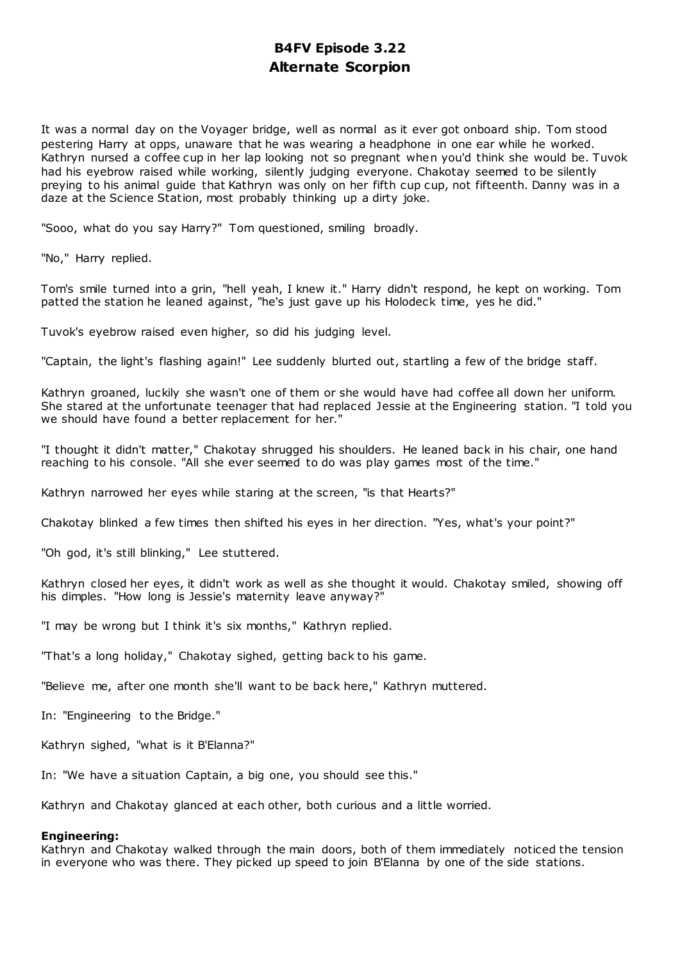# **B4FV Episode 3.22 Alternate Scorpion**

It was a normal day on the Voyager bridge, well as normal as it ever got onboard ship. Tom stood pestering Harry at opps, unaware that he was wearing a headphone in one ear while he worked. Kathryn nursed a coffee cup in her lap looking not so pregnant when you'd think she would be. Tuvok had his eyebrow raised while working, silently judging everyone. Chakotay seemed to be silently preying to his animal guide that Kathryn was only on her fifth cup cup, not fifteenth. Danny was in a daze at the Science Station, most probably thinking up a dirty joke.

"Sooo, what do you say Harry?" Tom questioned, smiling broadly.

"No," Harry replied.

Tom's smile turned into a grin, "hell yeah, I knew it." Harry didn't respond, he kept on working. Tom patted the station he leaned against, "he's just gave up his Holodeck time, yes he did."

Tuvok's eyebrow raised even higher, so did his judging level.

"Captain, the light's flashing again!" Lee suddenly blurted out, startling a few of the bridge staff.

Kathryn groaned, luckily she wasn't one of them or she would have had coffee all down her uniform. She stared at the unfortunate teenager that had replaced Jessie at the Engineering station. "I told you we should have found a better replacement for her."

"I thought it didn't matter," Chakotay shrugged his shoulders. He leaned back in his chair, one hand reaching to his console. "All she ever seemed to do was play games most of the time."

Kathryn narrowed her eyes while staring at the screen, "is that Hearts?"

Chakotay blinked a few times then shifted his eyes in her direction. "Yes, what's your point?"

"Oh god, it's still blinking," Lee stuttered.

Kathryn closed her eyes, it didn't work as well as she thought it would. Chakotay smiled, showing off his dimples. "How long is Jessie's maternity leave anyway?"

"I may be wrong but I think it's six months," Kathryn replied.

"That's a long holiday," Chakotay sighed, getting back to his game.

"Believe me, after one month she'll want to be back here," Kathryn muttered.

In: "Engineering to the Bridge."

Kathryn sighed, "what is it B'Elanna?"

In: "We have a situation Captain, a big one, you should see this."

Kathryn and Chakotay glanced at each other, both curious and a little worried.

#### **Engineering:**

Kathryn and Chakotay walked through the main doors, both of them immediately noticed the tension in everyone who was there. They picked up speed to join B'Elanna by one of the side stations.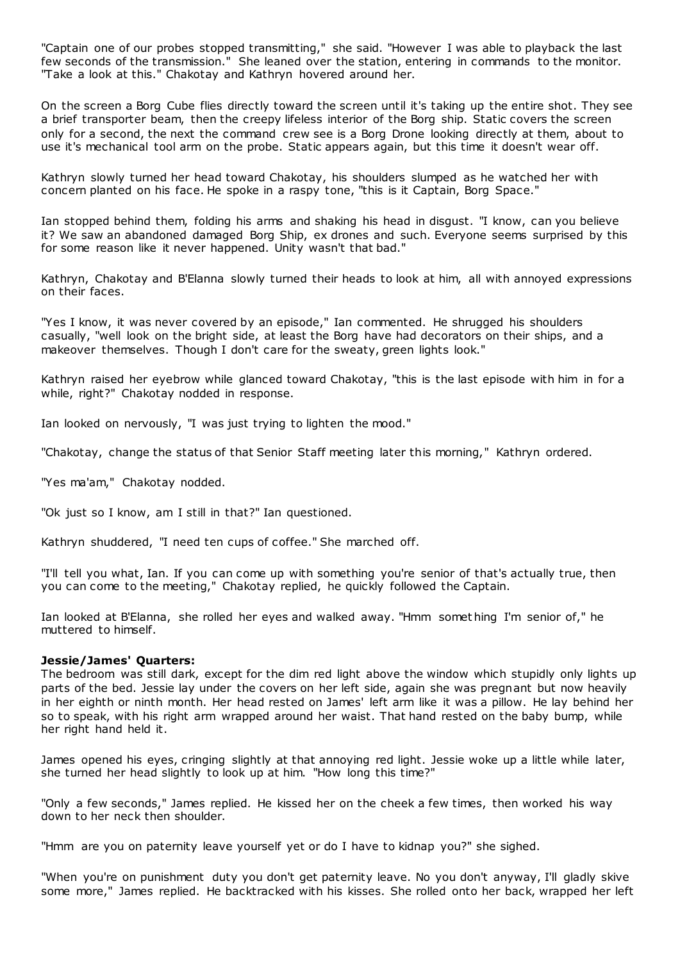"Captain one of our probes stopped transmitting," she said. "However I was able to playback the last few seconds of the transmission." She leaned over the station, entering in commands to the monitor. "Take a look at this." Chakotay and Kathryn hovered around her.

On the screen a Borg Cube flies directly toward the screen until it's taking up the entire shot. They see a brief transporter beam, then the creepy lifeless interior of the Borg ship. Static covers the screen only for a second, the next the command crew see is a Borg Drone looking directly at them, about to use it's mechanical tool arm on the probe. Static appears again, but this time it doesn't wear off.

Kathryn slowly turned her head toward Chakotay, his shoulders slumped as he watched her with concern planted on his face. He spoke in a raspy tone, "this is it Captain, Borg Space."

Ian stopped behind them, folding his arms and shaking his head in disgust. "I know, can you believe it? We saw an abandoned damaged Borg Ship, ex drones and such. Everyone seems surprised by this for some reason like it never happened. Unity wasn't that bad."

Kathryn, Chakotay and B'Elanna slowly turned their heads to look at him, all with annoyed expressions on their faces.

"Yes I know, it was never covered by an episode," Ian commented. He shrugged his shoulders casually, "well look on the bright side, at least the Borg have had decorators on their ships, and a makeover themselves. Though I don't care for the sweaty, green lights look."

Kathryn raised her eyebrow while glanced toward Chakotay, "this is the last episode with him in for a while, right?" Chakotay nodded in response.

Ian looked on nervously, "I was just trying to lighten the mood."

"Chakotay, change the status of that Senior Staff meeting later this morning," Kathryn ordered.

"Yes ma'am," Chakotay nodded.

"Ok just so I know, am I still in that?" Ian questioned.

Kathryn shuddered, "I need ten cups of coffee." She marched off.

"I'll tell you what, Ian. If you can come up with something you're senior of that's actually true, then you can come to the meeting," Chakotay replied, he quickly followed the Captain.

Ian looked at B'Elanna, she rolled her eyes and walked away. "Hmm somet hing I'm senior of," he muttered to himself.

#### **Jessie/James' Quarters:**

The bedroom was still dark, except for the dim red light above the window which stupidly only lights up parts of the bed. Jessie lay under the covers on her left side, again she was pregnant but now heavily in her eighth or ninth month. Her head rested on James' left arm like it was a pillow. He lay behind her so to speak, with his right arm wrapped around her waist. That hand rested on the baby bump, while her right hand held it.

James opened his eyes, cringing slightly at that annoying red light. Jessie woke up a little while later, she turned her head slightly to look up at him. "How long this time?"

"Only a few seconds," James replied. He kissed her on the cheek a few times, then worked his way down to her neck then shoulder.

"Hmm are you on paternity leave yourself yet or do I have to kidnap you?" she sighed.

"When you're on punishment duty you don't get paternity leave. No you don't anyway, I'll gladly skive some more," James replied. He backtracked with his kisses. She rolled onto her back, wrapped her left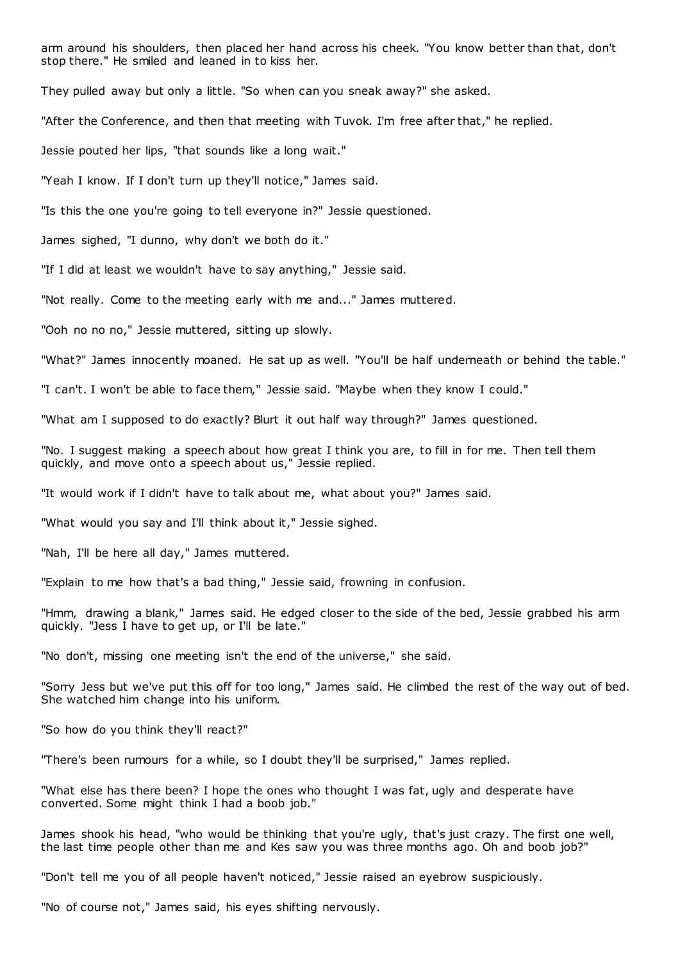arm around his shoulders, then placed her hand across his cheek. "You know better than that, don't stop there." He smiled and leaned in to kiss her.

They pulled away but only a little. "So when can you sneak away?" she asked.

"After the Conference, and then that meeting with Tuvok. I'm free after that," he replied.

Jessie pouted her lips, "that sounds like a long wait."

"Yeah I know. If I don't turn up they'll notice," James said.

"Is this the one you're going to tell everyone in?" Jessie questioned.

James sighed, "I dunno, why don't we both do it."

"If I did at least we wouldn't have to say anything," Jessie said.

"Not really. Come to the meeting early with me and..." James muttered.

"Ooh no no no," Jessie muttered, sitting up slowly.

"What?" James innocently moaned. He sat up as well. "You'll be half underneath or behind the table."

"I can't. I won't be able to face them," Jessie said. "Maybe when they know I could."

"What am I supposed to do exactly? Blurt it out half way through?" James questioned.

"No. I suggest making a speech about how great I think you are, to fill in for me. Then tell them quickly, and move onto a speech about us," Jessie replied.

"It would work if I didn't have to talk about me, what about you?" James said.

"What would you say and I'll think about it," Jessie sighed.

"Nah, I'll be here all day," James muttered.

"Explain to me how that's a bad thing," Jessie said, frowning in confusion.

"Hmm, drawing a blank," James said. He edged closer to the side of the bed, Jessie grabbed his arm quickly. "Jess I have to get up, or I'll be late."

"No don't, missing one meeting isn't the end of the universe," she said.

"Sorry Jess but we've put this off for too long," James said. He climbed the rest of the way out of bed. She watched him change into his uniform.

"So how do you think they'll react?"

"There's been rumours for a while, so I doubt they'll be surprised," James replied.

"What else has there been? I hope the ones who thought I was fat, ugly and desperate have converted. Some might think I had a boob job."

James shook his head, "who would be thinking that you're ugly, that's just crazy. The first one well, the last time people other than me and Kes saw you was three months ago. Oh and boob job?"

"Don't tell me you of all people haven't noticed," Jessie raised an eyebrow suspiciously.

"No of course not," James said, his eyes shifting nervously.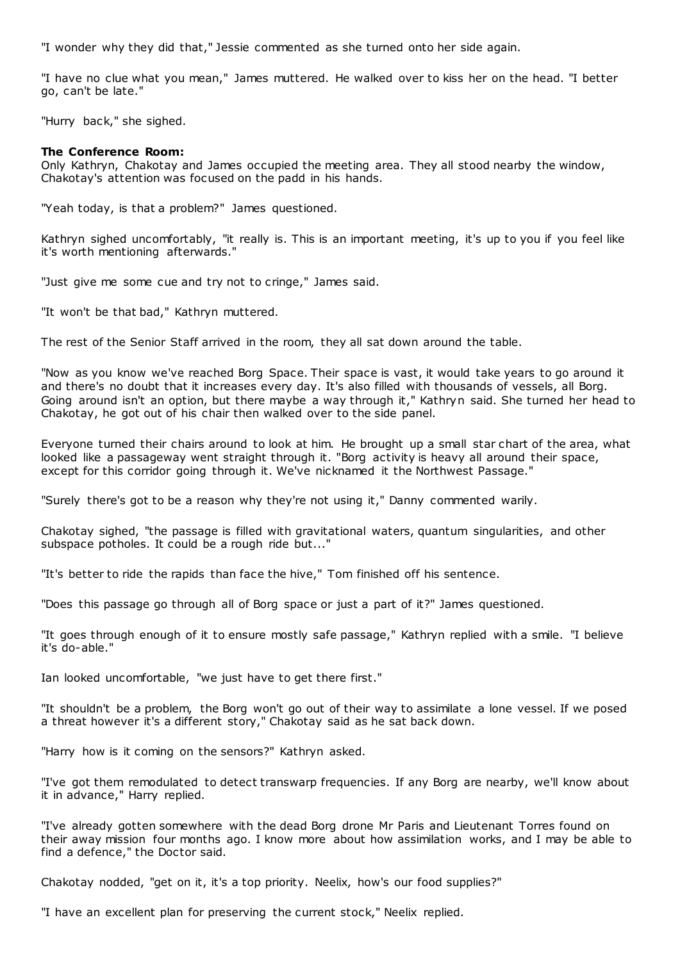"I wonder why they did that," Jessie commented as she turned onto her side again.

"I have no clue what you mean," James muttered. He walked over to kiss her on the head. "I better go, can't be late."

"Hurry back," she sighed.

# **The Conference Room:**

Only Kathryn, Chakotay and James occupied the meeting area. They all stood nearby the window, Chakotay's attention was focused on the padd in his hands.

"Yeah today, is that a problem?" James questioned.

Kathryn sighed uncomfortably, "it really is. This is an important meeting, it's up to you if you feel like it's worth mentioning afterwards."

"Just give me some cue and try not to cringe," James said.

"It won't be that bad," Kathryn muttered.

The rest of the Senior Staff arrived in the room, they all sat down around the table.

"Now as you know we've reached Borg Space. Their space is vast, it would take years to go around it and there's no doubt that it increases every day. It's also filled with thousands of vessels, all Borg. Going around isn't an option, but there maybe a way through it," Kathryn said. She turned her head to Chakotay, he got out of his chair then walked over to the side panel.

Everyone turned their chairs around to look at him. He brought up a small star chart of the area, what looked like a passageway went straight through it. "Borg activity is heavy all around their space, except for this corridor going through it. We've nicknamed it the Northwest Passage."

"Surely there's got to be a reason why they're not using it," Danny commented warily.

Chakotay sighed, "the passage is filled with gravitational waters, quantum singularities, and other subspace potholes. It could be a rough ride but..."

"It's better to ride the rapids than face the hive," Tom finished off his sentence.

"Does this passage go through all of Borg space or just a part of it?" James questioned.

"It goes through enough of it to ensure mostly safe passage," Kathryn replied with a smile. "I believe it's do-able."

Ian looked uncomfortable, "we just have to get there first."

"It shouldn't be a problem, the Borg won't go out of their way to assimilate a lone vessel. If we posed a threat however it's a different story," Chakotay said as he sat back down.

"Harry how is it coming on the sensors?" Kathryn asked.

"I've got them remodulated to detect transwarp frequencies. If any Borg are nearby, we'll know about it in advance," Harry replied.

"I've already gotten somewhere with the dead Borg drone Mr Paris and Lieutenant Torres found on their away mission four months ago. I know more about how assimilation works, and I may be able to find a defence," the Doctor said.

Chakotay nodded, "get on it, it's a top priority. Neelix, how's our food supplies?"

"I have an excellent plan for preserving the current stock," Neelix replied.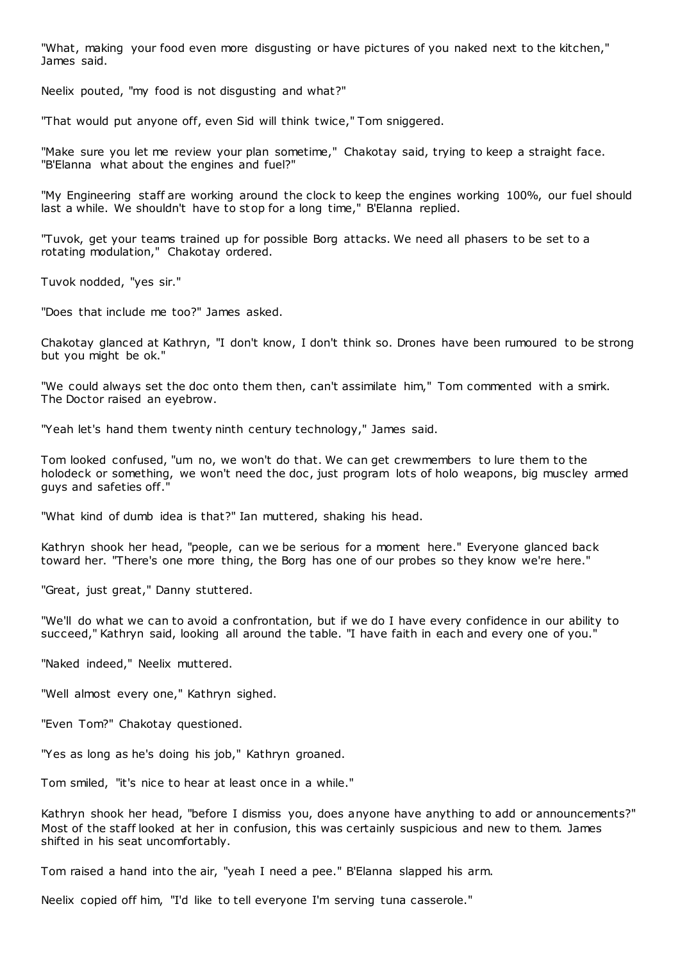"What, making your food even more disgusting or have pictures of you naked next to the kitchen," James said.

Neelix pouted, "my food is not disgusting and what?"

"That would put anyone off, even Sid will think twice," Tom sniggered.

"Make sure you let me review your plan sometime," Chakotay said, trying to keep a straight face. "B'Elanna what about the engines and fuel?"

"My Engineering staff are working around the clock to keep the engines working 100%, our fuel should last a while. We shouldn't have to stop for a long time," B'Elanna replied.

"Tuvok, get your teams trained up for possible Borg attacks. We need all phasers to be set to a rotating modulation," Chakotay ordered.

Tuvok nodded, "yes sir."

"Does that include me too?" James asked.

Chakotay glanced at Kathryn, "I don't know, I don't think so. Drones have been rumoured to be strong but you might be ok."

"We could always set the doc onto them then, can't assimilate him," Tom commented with a smirk. The Doctor raised an eyebrow.

"Yeah let's hand them twenty ninth century technology," James said.

Tom looked confused, "um no, we won't do that. We can get crewmembers to lure them to the holodeck or something, we won't need the doc, just program lots of holo weapons, big muscley armed guys and safeties off.

"What kind of dumb idea is that?" Ian muttered, shaking his head.

Kathryn shook her head, "people, can we be serious for a moment here." Everyone glanced back toward her. "There's one more thing, the Borg has one of our probes so they know we're here."

"Great, just great," Danny stuttered.

"We'll do what we can to avoid a confrontation, but if we do I have every confidence in our ability to succeed," Kathryn said, looking all around the table. "I have faith in each and every one of you."

"Naked indeed," Neelix muttered.

"Well almost every one," Kathryn sighed.

"Even Tom?" Chakotay questioned.

"Yes as long as he's doing his job," Kathryn groaned.

Tom smiled, "it's nice to hear at least once in a while."

Kathryn shook her head, "before I dismiss you, does anyone have anything to add or announcements?" Most of the staff looked at her in confusion, this was certainly suspicious and new to them. James shifted in his seat uncomfortably.

Tom raised a hand into the air, "yeah I need a pee." B'Elanna slapped his arm.

Neelix copied off him, "I'd like to tell everyone I'm serving tuna casserole."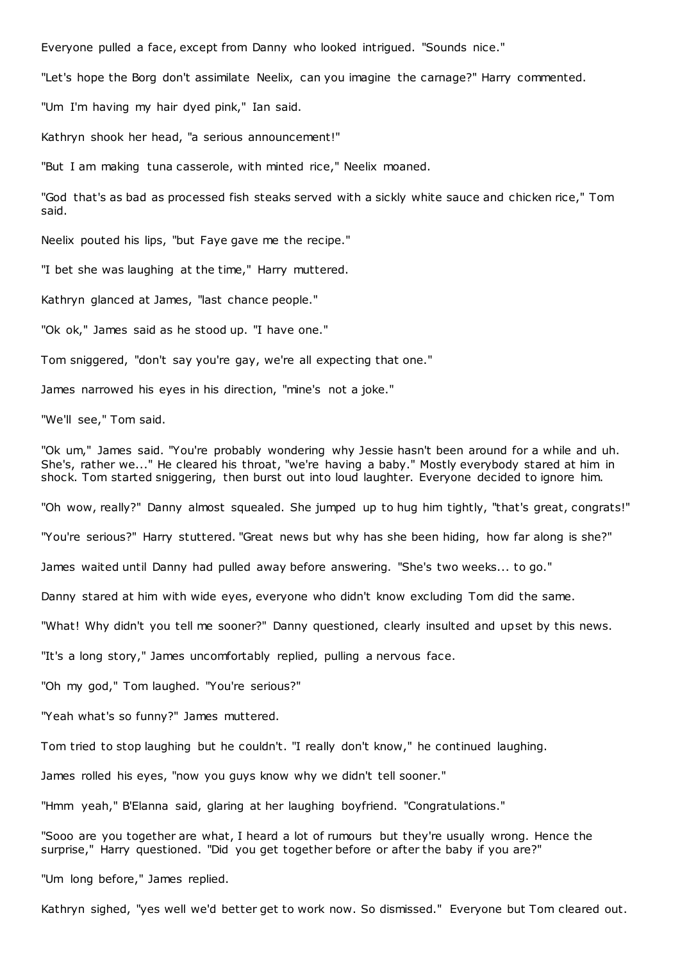Everyone pulled a face, except from Danny who looked intrigued. "Sounds nice."

"Let's hope the Borg don't assimilate Neelix, can you imagine the carnage?" Harry commented.

"Um I'm having my hair dyed pink," Ian said.

Kathryn shook her head, "a serious announcement!"

"But I am making tuna casserole, with minted rice," Neelix moaned.

"God that's as bad as processed fish steaks served with a sickly white sauce and chicken rice," Tom said.

Neelix pouted his lips, "but Faye gave me the recipe."

"I bet she was laughing at the time," Harry muttered.

Kathryn glanced at James, "last chance people."

"Ok ok," James said as he stood up. "I have one."

Tom sniggered, "don't say you're gay, we're all expecting that one."

James narrowed his eyes in his direction, "mine's not a joke."

"We'll see," Tom said.

"Ok um," James said. "You're probably wondering why Jessie hasn't been around for a while and uh. She's, rather we..." He cleared his throat, "we're having a baby." Mostly everybody stared at him in shock. Tom started sniggering, then burst out into loud laughter. Everyone decided to ignore him.

"Oh wow, really?" Danny almost squealed. She jumped up to hug him tightly, "that's great, congrats!"

"You're serious?" Harry stuttered. "Great news but why has she been hiding, how far along is she?"

James waited until Danny had pulled away before answering. "She's two weeks... to go."

Danny stared at him with wide eyes, everyone who didn't know excluding Tom did the same.

"What! Why didn't you tell me sooner?" Danny questioned, clearly insulted and upset by this news.

"It's a long story," James uncomfortably replied, pulling a nervous face.

"Oh my god," Tom laughed. "You're serious?"

"Yeah what's so funny?" James muttered.

Tom tried to stop laughing but he couldn't. "I really don't know," he continued laughing.

James rolled his eyes, "now you guys know why we didn't tell sooner."

"Hmm yeah," B'Elanna said, glaring at her laughing boyfriend. "Congratulations."

"Sooo are you together are what, I heard a lot of rumours but they're usually wrong. Hence the surprise," Harry questioned. "Did you get together before or after the baby if you are?"

"Um long before," James replied.

Kathryn sighed, "yes well we'd better get to work now. So dismissed." Everyone but Tom cleared out.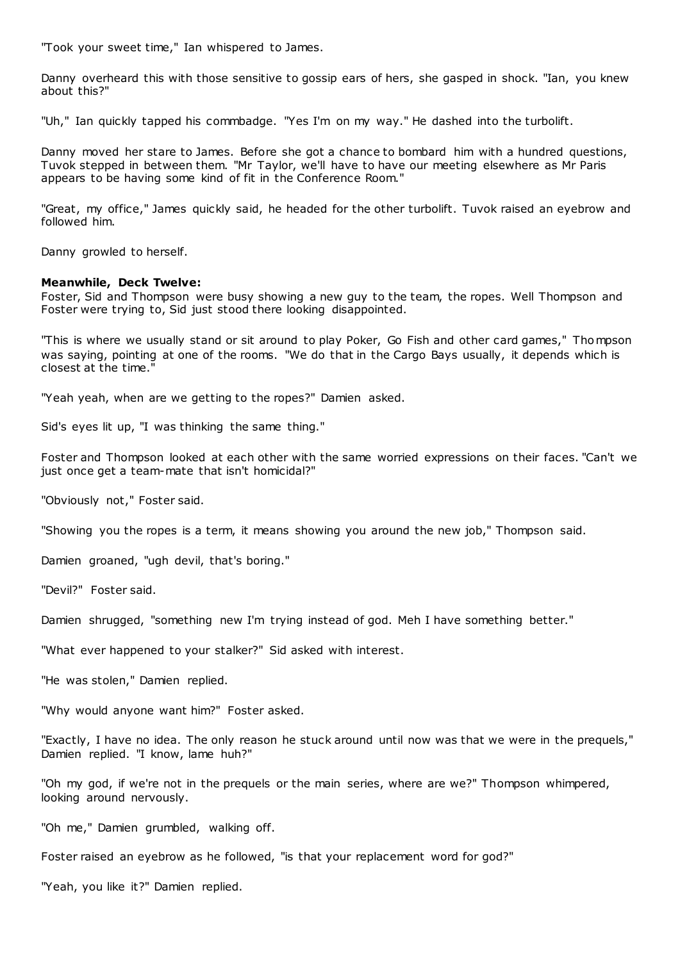"Took your sweet time," Ian whispered to James.

Danny overheard this with those sensitive to gossip ears of hers, she gasped in shock. "Ian, you knew about this?"

"Uh," Ian quickly tapped his commbadge. "Yes I'm on my way." He dashed into the turbolift.

Danny moved her stare to James. Before she got a chance to bombard him with a hundred questions, Tuvok stepped in between them. "Mr Taylor, we'll have to have our meeting elsewhere as Mr Paris appears to be having some kind of fit in the Conference Room."

"Great, my office," James quickly said, he headed for the other turbolift. Tuvok raised an eyebrow and followed him.

Danny growled to herself.

# **Meanwhile, Deck Twelve:**

Foster, Sid and Thompson were busy showing a new guy to the team, the ropes. Well Thompson and Foster were trying to, Sid just stood there looking disappointed.

"This is where we usually stand or sit around to play Poker, Go Fish and other card games," Thompson was saying, pointing at one of the rooms. "We do that in the Cargo Bays usually, it depends which is closest at the time."

"Yeah yeah, when are we getting to the ropes?" Damien asked.

Sid's eyes lit up, "I was thinking the same thing."

Foster and Thompson looked at each other with the same worried expressions on their faces. "Can't we just once get a team-mate that isn't homicidal?"

"Obviously not," Foster said.

"Showing you the ropes is a term, it means showing you around the new job," Thompson said.

Damien groaned, "ugh devil, that's boring."

"Devil?" Foster said.

Damien shrugged, "something new I'm trying instead of god. Meh I have something better."

"What ever happened to your stalker?" Sid asked with interest.

"He was stolen," Damien replied.

"Why would anyone want him?" Foster asked.

"Exactly, I have no idea. The only reason he stuck around until now was that we were in the prequels," Damien replied. "I know, lame huh?"

"Oh my god, if we're not in the prequels or the main series, where are we?" Thompson whimpered, looking around nervously.

"Oh me," Damien grumbled, walking off.

Foster raised an eyebrow as he followed, "is that your replacement word for god?"

"Yeah, you like it?" Damien replied.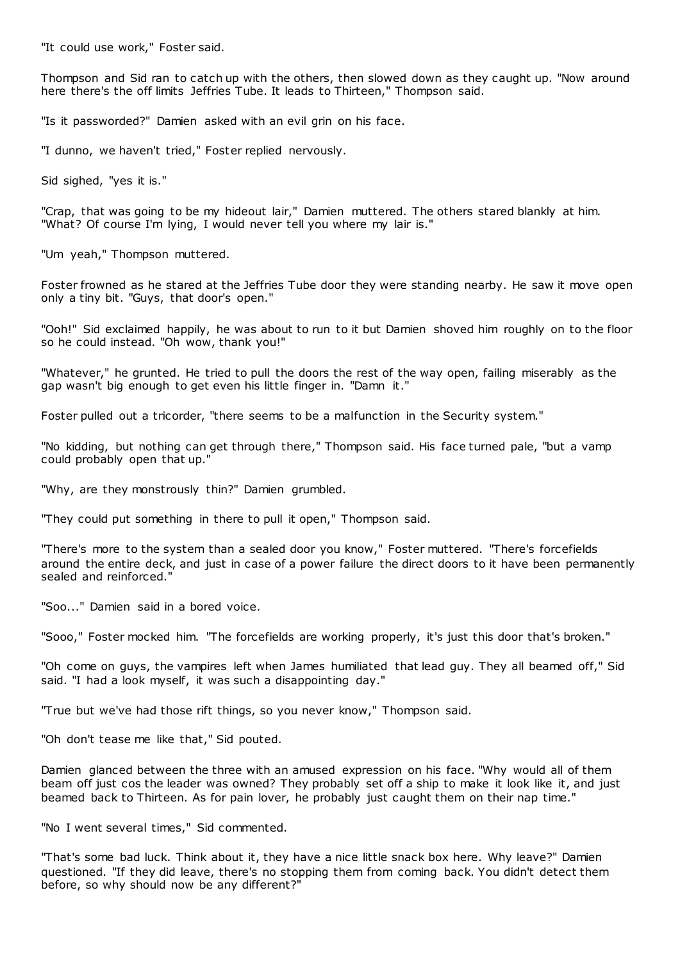"It could use work," Foster said.

Thompson and Sid ran to catch up with the others, then slowed down as they caught up. "Now around here there's the off limits Jeffries Tube. It leads to Thirteen," Thompson said.

"Is it passworded?" Damien asked with an evil grin on his face.

"I dunno, we haven't tried," Foster replied nervously.

Sid sighed, "yes it is."

"Crap, that was going to be my hideout lair," Damien muttered. The others stared blankly at him. "What? Of course I'm lying, I would never tell you where my lair is."

"Um yeah," Thompson muttered.

Foster frowned as he stared at the Jeffries Tube door they were standing nearby. He saw it move open only a tiny bit. "Guys, that door's open."

"Ooh!" Sid exclaimed happily, he was about to run to it but Damien shoved him roughly on to the floor so he could instead. "Oh wow, thank you!"

"Whatever," he grunted. He tried to pull the doors the rest of the way open, failing miserably as the gap wasn't big enough to get even his little finger in. "Damn it."

Foster pulled out a tricorder, "there seems to be a malfunction in the Security system."

"No kidding, but nothing can get through there," Thompson said. His face turned pale, "but a vamp could probably open that up."

"Why, are they monstrously thin?" Damien grumbled.

"They could put something in there to pull it open," Thompson said.

"There's more to the system than a sealed door you know," Foster muttered. "There's forcefields around the entire deck, and just in case of a power failure the direct doors to it have been permanently sealed and reinforced."

"Soo..." Damien said in a bored voice.

"Sooo," Foster mocked him. "The forcefields are working properly, it's just this door that's broken."

"Oh come on guys, the vampires left when James humiliated that lead guy. They all beamed off," Sid said. "I had a look myself, it was such a disappointing day."

"True but we've had those rift things, so you never know," Thompson said.

"Oh don't tease me like that," Sid pouted.

Damien glanced between the three with an amused expression on his face. "Why would all of them beam off just cos the leader was owned? They probably set off a ship to make it look like it, and just beamed back to Thirteen. As for pain lover, he probably just caught them on their nap time."

"No I went several times," Sid commented.

"That's some bad luck. Think about it, they have a nice little snack box here. Why leave?" Damien questioned. "If they did leave, there's no stopping them from coming back. You didn't detect them before, so why should now be any different?"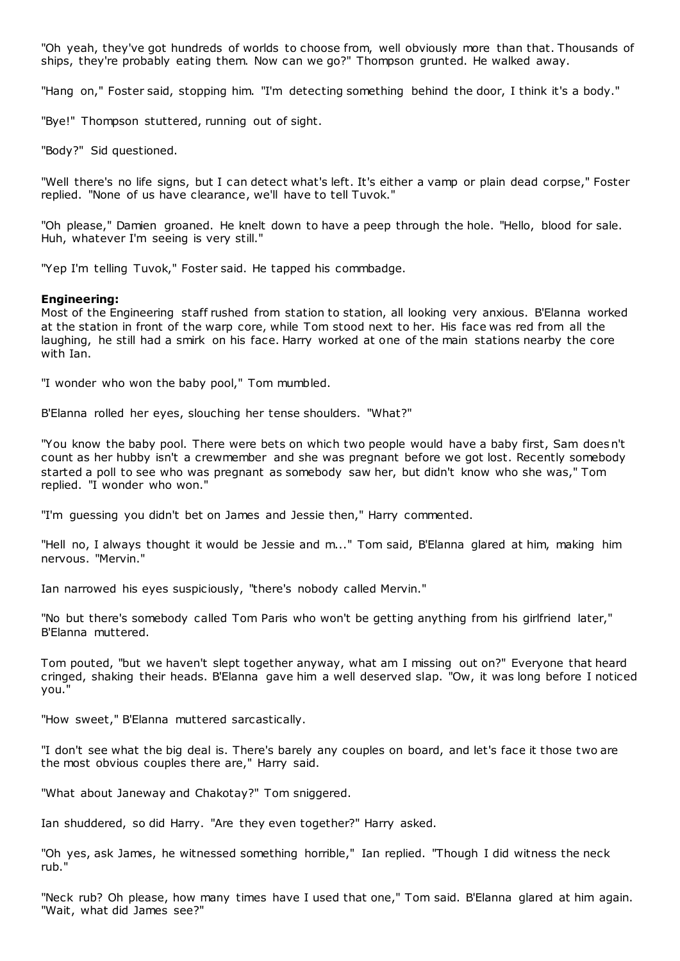"Oh yeah, they've got hundreds of worlds to choose from, well obviously more than that. Thousands of ships, they're probably eating them. Now can we go?" Thompson grunted. He walked away.

"Hang on," Foster said, stopping him. "I'm detecting something behind the door, I think it's a body."

"Bye!" Thompson stuttered, running out of sight.

"Body?" Sid questioned.

"Well there's no life signs, but I can detect what's left. It's either a vamp or plain dead corpse," Foster replied. "None of us have clearance, we'll have to tell Tuvok."

"Oh please," Damien groaned. He knelt down to have a peep through the hole. "Hello, blood for sale. Huh, whatever I'm seeing is very still."

"Yep I'm telling Tuvok," Foster said. He tapped his commbadge.

#### **Engineering:**

Most of the Engineering staff rushed from station to station, all looking very anxious. B'Elanna worked at the station in front of the warp core, while Tom stood next to her. His face was red from all the laughing, he still had a smirk on his face. Harry worked at one of the main stations nearby the core with Ian.

"I wonder who won the baby pool," Tom mumbled.

B'Elanna rolled her eyes, slouching her tense shoulders. "What?"

"You know the baby pool. There were bets on which two people would have a baby first, Sam doesn't count as her hubby isn't a crewmember and she was pregnant before we got lost. Recently somebody started a poll to see who was pregnant as somebody saw her, but didn't know who she was," Tom replied. "I wonder who won."

"I'm guessing you didn't bet on James and Jessie then," Harry commented.

"Hell no, I always thought it would be Jessie and m..." Tom said, B'Elanna glared at him, making him nervous. "Mervin."

Ian narrowed his eyes suspiciously, "there's nobody called Mervin."

"No but there's somebody called Tom Paris who won't be getting anything from his girlfriend later," B'Elanna muttered.

Tom pouted, "but we haven't slept together anyway, what am I missing out on?" Everyone that heard cringed, shaking their heads. B'Elanna gave him a well deserved slap. "Ow, it was long before I noticed you."

"How sweet," B'Elanna muttered sarcastically.

"I don't see what the big deal is. There's barely any couples on board, and let's face it those two are the most obvious couples there are," Harry said.

"What about Janeway and Chakotay?" Tom sniggered.

Ian shuddered, so did Harry. "Are they even together?" Harry asked.

"Oh yes, ask James, he witnessed something horrible," Ian replied. "Though I did witness the neck rub."

"Neck rub? Oh please, how many times have I used that one," Tom said. B'Elanna glared at him again. "Wait, what did James see?"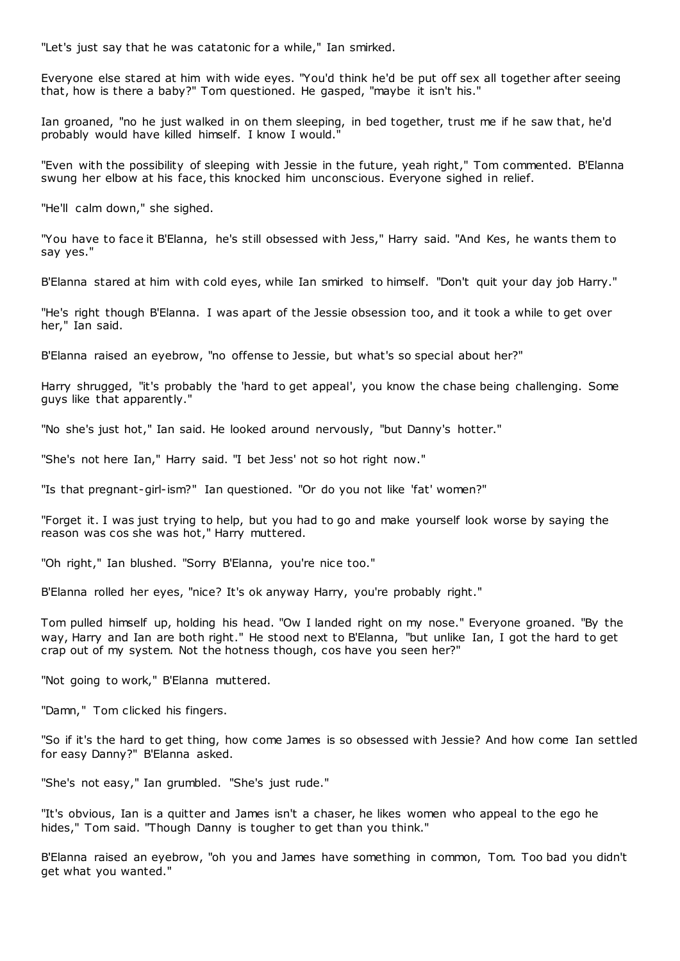"Let's just say that he was catatonic for a while," Ian smirked.

Everyone else stared at him with wide eyes. "You'd think he'd be put off sex all together after seeing that, how is there a baby?" Tom questioned. He gasped, "maybe it isn't his."

Ian groaned, "no he just walked in on them sleeping, in bed together, trust me if he saw that, he'd probably would have killed himself. I know I would."

"Even with the possibility of sleeping with Jessie in the future, yeah right," Tom commented. B'Elanna swung her elbow at his face, this knocked him unconscious. Everyone sighed in relief.

"He'll calm down," she sighed.

"You have to face it B'Elanna, he's still obsessed with Jess," Harry said. "And Kes, he wants them to say yes."

B'Elanna stared at him with cold eyes, while Ian smirked to himself. "Don't quit your day job Harry."

"He's right though B'Elanna. I was apart of the Jessie obsession too, and it took a while to get over her," Ian said.

B'Elanna raised an eyebrow, "no offense to Jessie, but what's so special about her?"

Harry shrugged, "it's probably the 'hard to get appeal', you know the chase being challenging. Some guys like that apparently."

"No she's just hot," Ian said. He looked around nervously, "but Danny's hotter."

"She's not here Ian," Harry said. "I bet Jess' not so hot right now."

"Is that pregnant-girl-ism?" Ian questioned. "Or do you not like 'fat' women?"

"Forget it. I was just trying to help, but you had to go and make yourself look worse by saying the reason was cos she was hot," Harry muttered.

"Oh right," Ian blushed. "Sorry B'Elanna, you're nice too."

B'Elanna rolled her eyes, "nice? It's ok anyway Harry, you're probably right."

Tom pulled himself up, holding his head. "Ow I landed right on my nose." Everyone groaned. "By the way, Harry and Ian are both right." He stood next to B'Elanna, "but unlike Ian, I got the hard to get crap out of my system. Not the hotness though, cos have you seen her?"

"Not going to work," B'Elanna muttered.

"Damn," Tom clicked his fingers.

"So if it's the hard to get thing, how come James is so obsessed with Jessie? And how come Ian settled for easy Danny?" B'Elanna asked.

"She's not easy," Ian grumbled. "She's just rude."

"It's obvious, Ian is a quitter and James isn't a chaser, he likes women who appeal to the ego he hides," Tom said. "Though Danny is tougher to get than you think."

B'Elanna raised an eyebrow, "oh you and James have something in common, Tom. Too bad you didn't get what you wanted."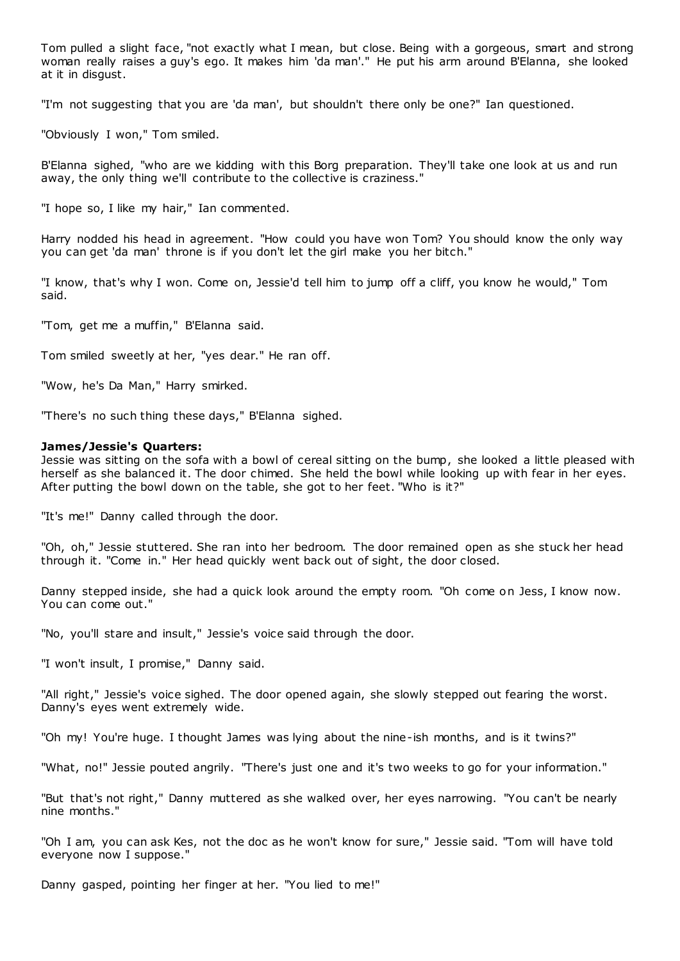Tom pulled a slight face, "not exactly what I mean, but close. Being with a gorgeous, smart and strong woman really raises a guy's ego. It makes him 'da man'." He put his arm around B'Elanna, she looked at it in disgust.

"I'm not suggesting that you are 'da man', but shouldn't there only be one?" Ian questioned.

"Obviously I won," Tom smiled.

B'Elanna sighed, "who are we kidding with this Borg preparation. They'll take one look at us and run away, the only thing we'll contribute to the collective is craziness."

"I hope so, I like my hair," Ian commented.

Harry nodded his head in agreement. "How could you have won Tom? You should know the only way you can get 'da man' throne is if you don't let the girl make you her bitch."

"I know, that's why I won. Come on, Jessie'd tell him to jump off a cliff, you know he would," Tom said.

"Tom, get me a muffin," B'Elanna said.

Tom smiled sweetly at her, "yes dear." He ran off.

"Wow, he's Da Man," Harry smirked.

"There's no such thing these days," B'Elanna sighed.

#### **James/Jessie's Quarters:**

Jessie was sitting on the sofa with a bowl of cereal sitting on the bump, she looked a little pleased with herself as she balanced it. The door chimed. She held the bowl while looking up with fear in her eyes. After putting the bowl down on the table, she got to her feet. "Who is it?"

"It's me!" Danny called through the door.

"Oh, oh," Jessie stuttered. She ran into her bedroom. The door remained open as she stuck her head through it. "Come in." Her head quickly went back out of sight, the door closed.

Danny stepped inside, she had a quick look around the empty room. "Oh come on Jess, I know now. You can come out."

"No, you'll stare and insult," Jessie's voice said through the door.

"I won't insult, I promise," Danny said.

"All right," Jessie's voice sighed. The door opened again, she slowly stepped out fearing the worst. Danny's eyes went extremely wide.

"Oh my! You're huge. I thought James was lying about the nine-ish months, and is it twins?"

"What, no!" Jessie pouted angrily. "There's just one and it's two weeks to go for your information."

"But that's not right," Danny muttered as she walked over, her eyes narrowing. "You can't be nearly nine months."

"Oh I am, you can ask Kes, not the doc as he won't know for sure," Jessie said. "Tom will have told everyone now I suppose."

Danny gasped, pointing her finger at her. "You lied to me!"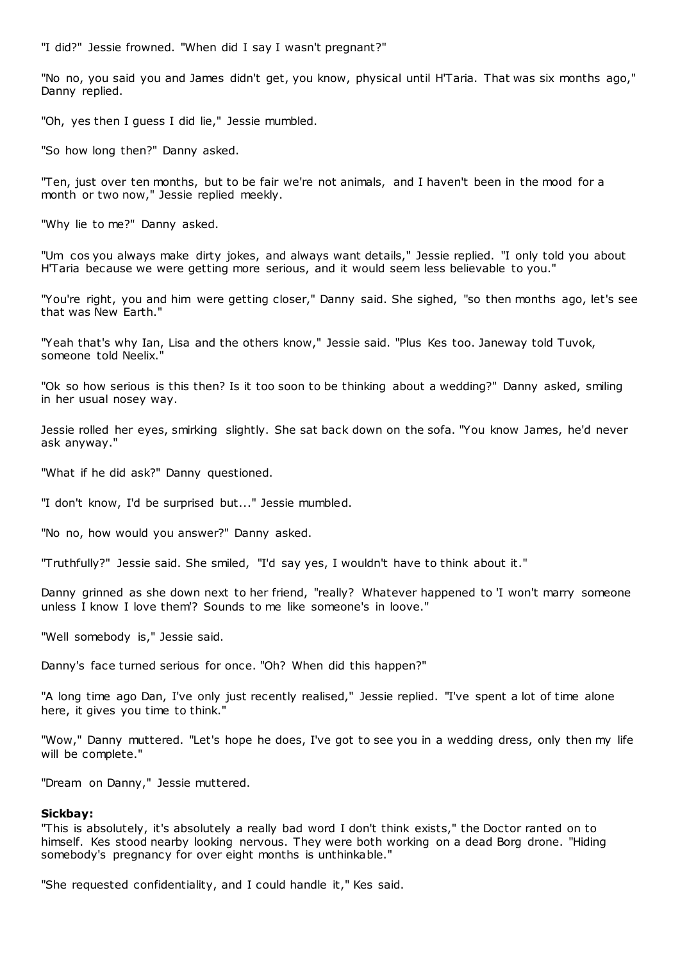"I did?" Jessie frowned. "When did I say I wasn't pregnant?"

"No no, you said you and James didn't get, you know, physical until H'Taria. That was six months ago," Danny replied.

"Oh, yes then I guess I did lie," Jessie mumbled.

"So how long then?" Danny asked.

"Ten, just over ten months, but to be fair we're not animals, and I haven't been in the mood for a month or two now," Jessie replied meekly.

"Why lie to me?" Danny asked.

"Um cos you always make dirty jokes, and always want details," Jessie replied. "I only told you about H'Taria because we were getting more serious, and it would seem less believable to you."

"You're right, you and him were getting closer," Danny said. She sighed, "so then months ago, let's see that was New Earth."

"Yeah that's why Ian, Lisa and the others know," Jessie said. "Plus Kes too. Janeway told Tuvok, someone told Neelix."

"Ok so how serious is this then? Is it too soon to be thinking about a wedding?" Danny asked, smiling in her usual nosey way.

Jessie rolled her eyes, smirking slightly. She sat back down on the sofa. "You know James, he'd never ask anyway."

"What if he did ask?" Danny questioned.

"I don't know, I'd be surprised but..." Jessie mumbled.

"No no, how would you answer?" Danny asked.

"Truthfully?" Jessie said. She smiled, "I'd say yes, I wouldn't have to think about it."

Danny grinned as she down next to her friend, "really? Whatever happened to 'I won't marry someone unless I know I love them'? Sounds to me like someone's in loove."

"Well somebody is," Jessie said.

Danny's face turned serious for once. "Oh? When did this happen?"

"A long time ago Dan, I've only just recently realised," Jessie replied. "I've spent a lot of time alone here, it gives you time to think."

"Wow," Danny muttered. "Let's hope he does, I've got to see you in a wedding dress, only then my life will be complete."

"Dream on Danny," Jessie muttered.

#### **Sickbay:**

"This is absolutely, it's absolutely a really bad word I don't think exists," the Doctor ranted on to himself. Kes stood nearby looking nervous. They were both working on a dead Borg drone. "Hiding somebody's pregnancy for over eight months is unthinkable."

"She requested confidentiality, and I could handle it," Kes said.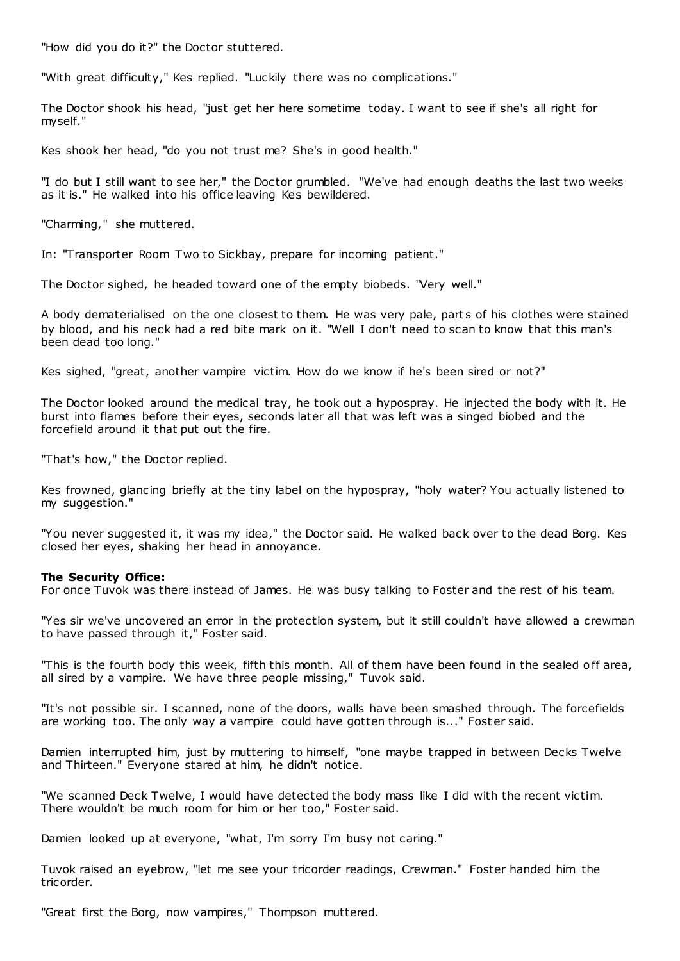"How did you do it?" the Doctor stuttered.

"With great difficulty," Kes replied. "Luckily there was no complications."

The Doctor shook his head, "just get her here sometime today. I want to see if she's all right for myself."

Kes shook her head, "do you not trust me? She's in good health."

"I do but I still want to see her," the Doctor grumbled. "We've had enough deaths the last two weeks as it is." He walked into his office leaving Kes bewildered.

"Charming," she muttered.

In: "Transporter Room Two to Sickbay, prepare for incoming patient."

The Doctor sighed, he headed toward one of the empty biobeds. "Very well."

A body dematerialised on the one closest to them. He was very pale, part s of his clothes were stained by blood, and his neck had a red bite mark on it. "Well I don't need to scan to know that this man's been dead too long."

Kes sighed, "great, another vampire victim. How do we know if he's been sired or not?"

The Doctor looked around the medical tray, he took out a hypospray. He injected the body with it. He burst into flames before their eyes, seconds later all that was left was a singed biobed and the forcefield around it that put out the fire.

"That's how," the Doctor replied.

Kes frowned, glancing briefly at the tiny label on the hypospray, "holy water? You actually listened to my suggestion."

"You never suggested it, it was my idea," the Doctor said. He walked back over to the dead Borg. Kes closed her eyes, shaking her head in annoyance.

### **The Security Office:**

For once Tuvok was there instead of James. He was busy talking to Foster and the rest of his team.

"Yes sir we've uncovered an error in the protection system, but it still couldn't have allowed a crewman to have passed through it," Foster said.

"This is the fourth body this week, fifth this month. All of them have been found in the sealed off area, all sired by a vampire. We have three people missing," Tuvok said.

"It's not possible sir. I scanned, none of the doors, walls have been smashed through. The forcefields are working too. The only way a vampire could have gotten through is..." Foster said.

Damien interrupted him, just by muttering to himself, "one maybe trapped in between Decks Twelve and Thirteen." Everyone stared at him, he didn't notice.

"We scanned Deck Twelve, I would have detected the body mass like I did with the recent victim. There wouldn't be much room for him or her too," Foster said.

Damien looked up at everyone, "what, I'm sorry I'm busy not caring."

Tuvok raised an eyebrow, "let me see your tricorder readings, Crewman." Foster handed him the tricorder.

"Great first the Borg, now vampires," Thompson muttered.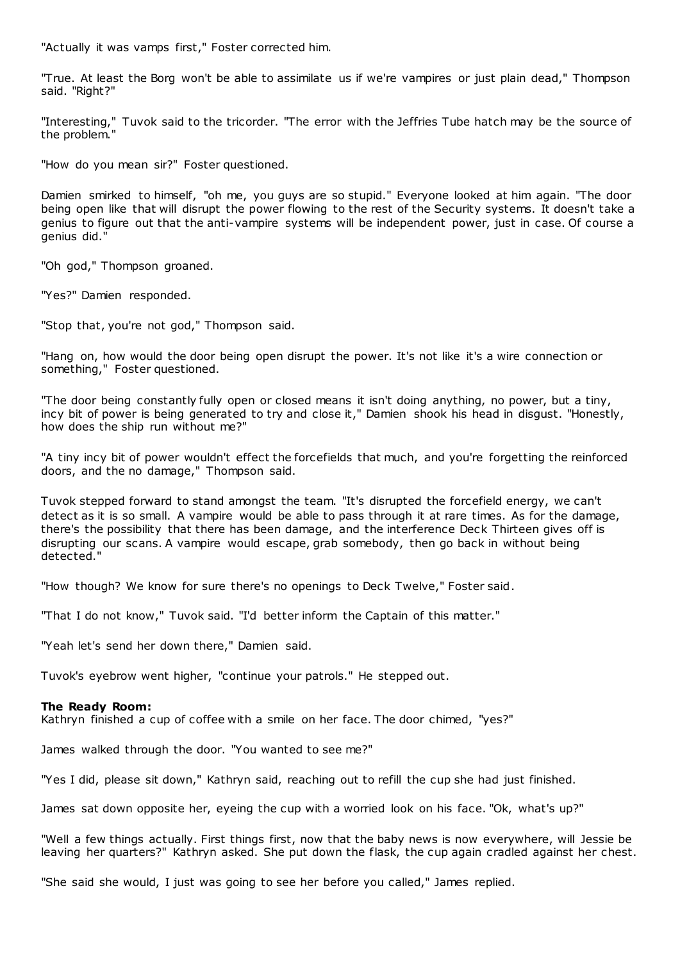"Actually it was vamps first," Foster corrected him.

"True. At least the Borg won't be able to assimilate us if we're vampires or just plain dead," Thompson said. "Right?"

"Interesting," Tuvok said to the tricorder. "The error with the Jeffries Tube hatch may be the source of the problem."

"How do you mean sir?" Foster questioned.

Damien smirked to himself, "oh me, you guys are so stupid." Everyone looked at him again. "The door being open like that will disrupt the power flowing to the rest of the Security systems. It doesn't take a genius to figure out that the anti-vampire systems will be independent power, just in case. Of course a genius did."

"Oh god," Thompson groaned.

"Yes?" Damien responded.

"Stop that, you're not god," Thompson said.

"Hang on, how would the door being open disrupt the power. It's not like it's a wire connection or something," Foster questioned.

"The door being constantly fully open or closed means it isn't doing anything, no power, but a tiny, incy bit of power is being generated to try and close it," Damien shook his head in disgust. "Honestly, how does the ship run without me?"

"A tiny incy bit of power wouldn't effect the forcefields that much, and you're forgetting the reinforced doors, and the no damage," Thompson said.

Tuvok stepped forward to stand amongst the team. "It's disrupted the forcefield energy, we can't detect as it is so small. A vampire would be able to pass through it at rare times. As for the damage, there's the possibility that there has been damage, and the interference Deck Thirteen gives off is disrupting our scans. A vampire would escape, grab somebody, then go back in without being detected."

"How though? We know for sure there's no openings to Deck Twelve," Foster said.

"That I do not know," Tuvok said. "I'd better inform the Captain of this matter."

"Yeah let's send her down there," Damien said.

Tuvok's eyebrow went higher, "continue your patrols." He stepped out.

# **The Ready Room:**

Kathryn finished a cup of coffee with a smile on her face. The door chimed, "yes?"

James walked through the door. "You wanted to see me?"

"Yes I did, please sit down," Kathryn said, reaching out to refill the cup she had just finished.

James sat down opposite her, eyeing the cup with a worried look on his face. "Ok, what's up?"

"Well a few things actually. First things first, now that the baby news is now everywhere, will Jessie be leaving her quarters?" Kathryn asked. She put down the flask, the cup again cradled against her chest.

"She said she would, I just was going to see her before you called," James replied.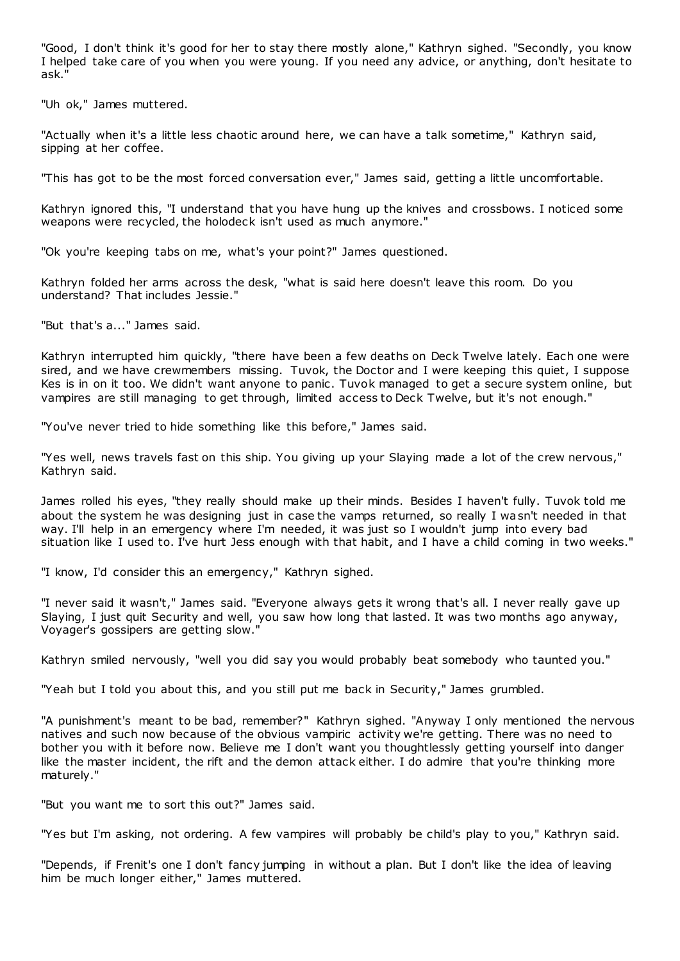"Good, I don't think it's good for her to stay there mostly alone," Kathryn sighed. "Secondly, you know I helped take care of you when you were young. If you need any advice, or anything, don't hesitate to ask."

"Uh ok," James muttered.

"Actually when it's a little less chaotic around here, we can have a talk sometime," Kathryn said, sipping at her coffee.

"This has got to be the most forced conversation ever," James said, getting a little uncomfortable.

Kathryn ignored this, "I understand that you have hung up the knives and crossbows. I noticed some weapons were recycled, the holodeck isn't used as much anymore."

"Ok you're keeping tabs on me, what's your point?" James questioned.

Kathryn folded her arms across the desk, "what is said here doesn't leave this room. Do you understand? That includes Jessie."

"But that's a..." James said.

Kathryn interrupted him quickly, "there have been a few deaths on Deck Twelve lately. Each one were sired, and we have crewmembers missing. Tuvok, the Doctor and I were keeping this quiet, I suppose Kes is in on it too. We didn't want anyone to panic . Tuvok managed to get a secure system online, but vampires are still managing to get through, limited access to Deck Twelve, but it's not enough."

"You've never tried to hide something like this before," James said.

"Yes well, news travels fast on this ship. You giving up your Slaying made a lot of the crew nervous," Kathryn said.

James rolled his eyes, "they really should make up their minds. Besides I haven't fully. Tuvok told me about the system he was designing just in case the vamps returned, so really I wasn't needed in that way. I'll help in an emergency where I'm needed, it was just so I wouldn't jump into every bad situation like I used to. I've hurt Jess enough with that habit, and I have a child coming in two weeks."

"I know, I'd consider this an emergency," Kathryn sighed.

"I never said it wasn't," James said. "Everyone always gets it wrong that's all. I never really gave up Slaying, I just quit Security and well, you saw how long that lasted. It was two months ago anyway, Voyager's gossipers are getting slow."

Kathryn smiled nervously, "well you did say you would probably beat somebody who taunted you."

"Yeah but I told you about this, and you still put me back in Security," James grumbled.

"A punishment's meant to be bad, remember?" Kathryn sighed. "Anyway I only mentioned the nervous natives and such now because of the obvious vampiric activity we're getting. There was no need to bother you with it before now. Believe me I don't want you thoughtlessly getting yourself into danger like the master incident, the rift and the demon attack either. I do admire that you're thinking more maturely."

"But you want me to sort this out?" James said.

"Yes but I'm asking, not ordering. A few vampires will probably be child's play to you," Kathryn said.

"Depends, if Frenit's one I don't fancy jumping in without a plan. But I don't like the idea of leaving him be much longer either," James muttered.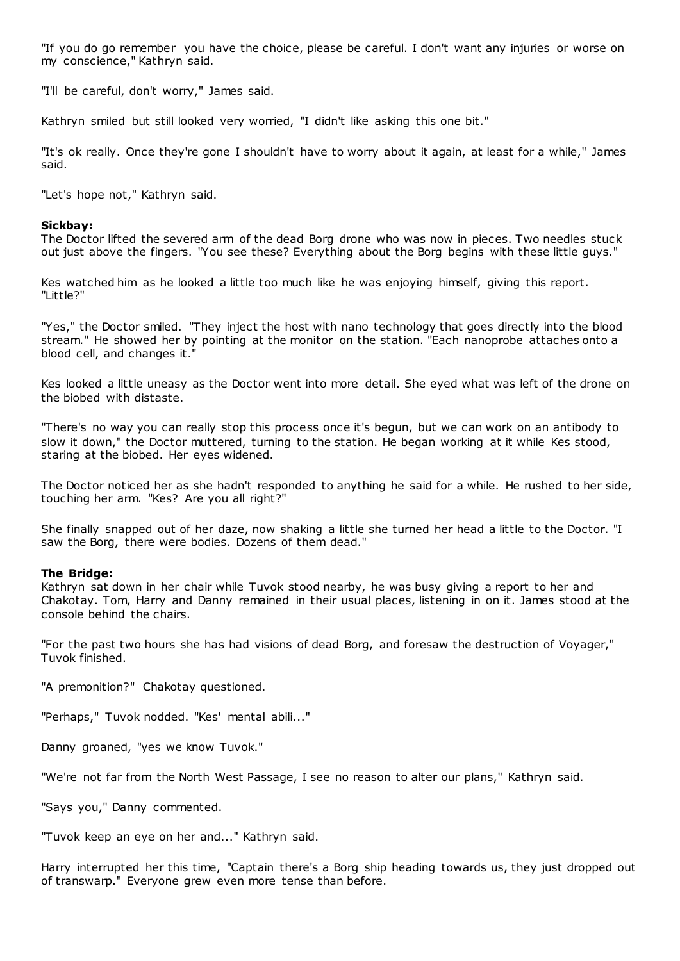"If you do go remember you have the choice, please be careful. I don't want any injuries or worse on my conscience," Kathryn said.

"I'll be careful, don't worry," James said.

Kathryn smiled but still looked very worried, "I didn't like asking this one bit."

"It's ok really. Once they're gone I shouldn't have to worry about it again, at least for a while," James said.

"Let's hope not," Kathryn said.

# **Sickbay:**

The Doctor lifted the severed arm of the dead Borg drone who was now in pieces. Two needles stuck out just above the fingers. "You see these? Everything about the Borg begins with these little guys."

Kes watched him as he looked a little too much like he was enjoying himself, giving this report. "Little?"

"Yes," the Doctor smiled. "They inject the host with nano technology that goes directly into the blood stream." He showed her by pointing at the monitor on the station. "Each nanoprobe attaches onto a blood cell, and changes it."

Kes looked a little uneasy as the Doctor went into more detail. She eyed what was left of the drone on the biobed with distaste.

"There's no way you can really stop this process once it's begun, but we can work on an antibody to slow it down," the Doctor muttered, turning to the station. He began working at it while Kes stood, staring at the biobed. Her eyes widened.

The Doctor noticed her as she hadn't responded to anything he said for a while. He rushed to her side, touching her arm. "Kes? Are you all right?"

She finally snapped out of her daze, now shaking a little she turned her head a little to the Doctor. "I saw the Borg, there were bodies. Dozens of them dead."

# **The Bridge:**

Kathryn sat down in her chair while Tuvok stood nearby, he was busy giving a report to her and Chakotay. Tom, Harry and Danny remained in their usual places, listening in on it. James stood at the console behind the chairs.

"For the past two hours she has had visions of dead Borg, and foresaw the destruction of Voyager," Tuvok finished.

"A premonition?" Chakotay questioned.

"Perhaps," Tuvok nodded. "Kes' mental abili..."

Danny groaned, "yes we know Tuvok."

"We're not far from the North West Passage, I see no reason to alter our plans," Kathryn said.

"Says you," Danny commented.

"Tuvok keep an eye on her and..." Kathryn said.

Harry interrupted her this time, "Captain there's a Borg ship heading towards us, they just dropped out of transwarp." Everyone grew even more tense than before.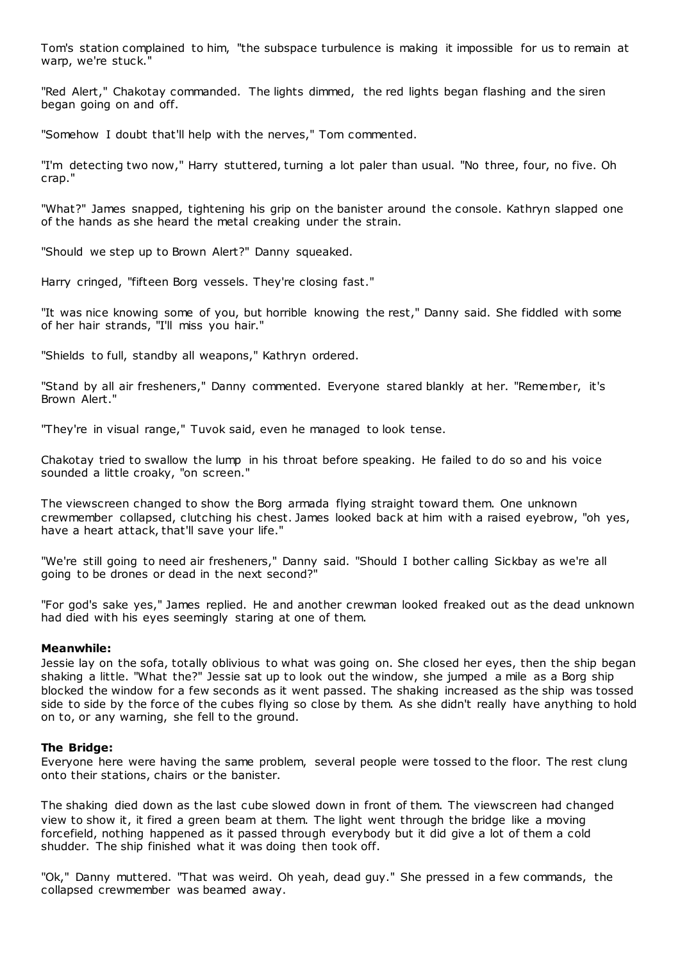Tom's station complained to him, "the subspace turbulence is making it impossible for us to remain at warp, we're stuck."

"Red Alert," Chakotay commanded. The lights dimmed, the red lights began flashing and the siren began going on and off.

"Somehow I doubt that'll help with the nerves," Tom commented.

"I'm detecting two now," Harry stuttered, turning a lot paler than usual. "No three, four, no five. Oh crap."

"What?" James snapped, tightening his grip on the banister around the console. Kathryn slapped one of the hands as she heard the metal creaking under the strain.

"Should we step up to Brown Alert?" Danny squeaked.

Harry cringed, "fifteen Borg vessels. They're closing fast."

"It was nice knowing some of you, but horrible knowing the rest," Danny said. She fiddled with some of her hair strands, "I'll miss you hair."

"Shields to full, standby all weapons," Kathryn ordered.

"Stand by all air fresheners," Danny commented. Everyone stared blankly at her. "Remember, it's Brown Alert."

"They're in visual range," Tuvok said, even he managed to look tense.

Chakotay tried to swallow the lump in his throat before speaking. He failed to do so and his voice sounded a little croaky, "on screen."

The viewscreen changed to show the Borg armada flying straight toward them. One unknown crewmember collapsed, clutching his chest. James looked back at him with a raised eyebrow, "oh yes, have a heart attack, that'll save your life."

"We're still going to need air fresheners," Danny said. "Should I bother calling Sickbay as we're all going to be drones or dead in the next second?"

"For god's sake yes," James replied. He and another crewman looked freaked out as the dead unknown had died with his eyes seemingly staring at one of them.

# **Meanwhile:**

Jessie lay on the sofa, totally oblivious to what was going on. She closed her eyes, then the ship began shaking a little. "What the?" Jessie sat up to look out the window, she jumped a mile as a Borg ship blocked the window for a few seconds as it went passed. The shaking increased as the ship was tossed side to side by the force of the cubes flying so close by them. As she didn't really have anything to hold on to, or any warning, she fell to the ground.

# **The Bridge:**

Everyone here were having the same problem, several people were tossed to the floor. The rest clung onto their stations, chairs or the banister.

The shaking died down as the last cube slowed down in front of them. The viewscreen had changed view to show it, it fired a green beam at them. The light went through the bridge like a moving forcefield, nothing happened as it passed through everybody but it did give a lot of them a cold shudder. The ship finished what it was doing then took off.

"Ok," Danny muttered. "That was weird. Oh yeah, dead guy." She pressed in a few commands, the collapsed crewmember was beamed away.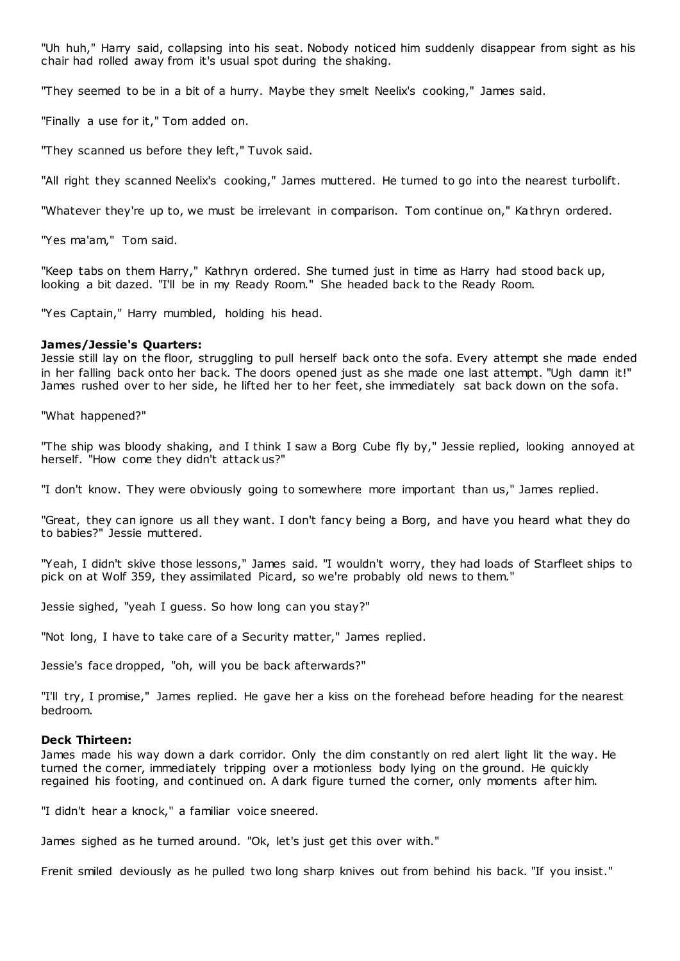"Uh huh," Harry said, collapsing into his seat. Nobody noticed him suddenly disappear from sight as his chair had rolled away from it's usual spot during the shaking.

"They seemed to be in a bit of a hurry. Maybe they smelt Neelix's cooking," James said.

"Finally a use for it," Tom added on.

"They scanned us before they left," Tuvok said.

"All right they scanned Neelix's cooking," James muttered. He turned to go into the nearest turbolift.

"Whatever they're up to, we must be irrelevant in comparison. Tom continue on," Kathryn ordered.

"Yes ma'am," Tom said.

"Keep tabs on them Harry," Kathryn ordered. She turned just in time as Harry had stood back up, looking a bit dazed. "I'll be in my Ready Room." She headed back to the Ready Room.

"Yes Captain," Harry mumbled, holding his head.

#### **James/Jessie's Quarters:**

Jessie still lay on the floor, struggling to pull herself back onto the sofa. Every attempt she made ended in her falling back onto her back. The doors opened just as she made one last attempt. "Ugh damn it!" James rushed over to her side, he lifted her to her feet, she immediately sat back down on the sofa.

"What happened?"

"The ship was bloody shaking, and I think I saw a Borg Cube fly by," Jessie replied, looking annoyed at herself. "How come they didn't attack us?"

"I don't know. They were obviously going to somewhere more important than us," James replied.

"Great, they can ignore us all they want. I don't fancy being a Borg, and have you heard what they do to babies?" Jessie muttered.

"Yeah, I didn't skive those lessons," James said. "I wouldn't worry, they had loads of Starfleet ships to pick on at Wolf 359, they assimilated Picard, so we're probably old news to them."

Jessie sighed, "yeah I guess. So how long can you stay?"

"Not long, I have to take care of a Security matter," James replied.

Jessie's face dropped, "oh, will you be back afterwards?"

"I'll try, I promise," James replied. He gave her a kiss on the forehead before heading for the nearest bedroom.

#### **Deck Thirteen:**

James made his way down a dark corridor. Only the dim constantly on red alert light lit the way. He turned the corner, immediately tripping over a motionless body lying on the ground. He quickly regained his footing, and continued on. A dark figure turned the corner, only moments after him.

"I didn't hear a knock," a familiar voice sneered.

James sighed as he turned around. "Ok, let's just get this over with."

Frenit smiled deviously as he pulled two long sharp knives out from behind his back. "If you insist."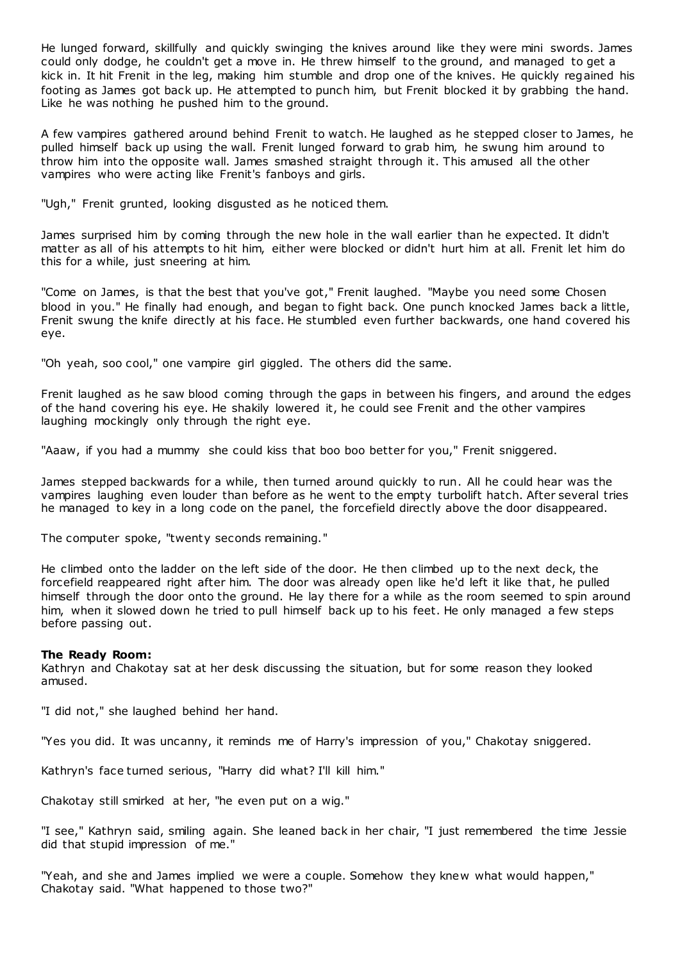He lunged forward, skillfully and quickly swinging the knives around like they were mini swords. James could only dodge, he couldn't get a move in. He threw himself to the ground, and managed to get a kick in. It hit Frenit in the leg, making him stumble and drop one of the knives. He quickly regained his footing as James got back up. He attempted to punch him, but Frenit blocked it by grabbing the hand. Like he was nothing he pushed him to the ground.

A few vampires gathered around behind Frenit to watch. He laughed as he stepped closer to James, he pulled himself back up using the wall. Frenit lunged forward to grab him, he swung him around to throw him into the opposite wall. James smashed straight through it. This amused all the other vampires who were acting like Frenit's fanboys and girls.

"Ugh," Frenit grunted, looking disgusted as he noticed them.

James surprised him by coming through the new hole in the wall earlier than he expected. It didn't matter as all of his attempts to hit him, either were blocked or didn't hurt him at all. Frenit let him do this for a while, just sneering at him.

"Come on James, is that the best that you've got," Frenit laughed. "Maybe you need some Chosen blood in you." He finally had enough, and began to fight back. One punch knocked James back a little, Frenit swung the knife directly at his face. He stumbled even further backwards, one hand covered his eye.

"Oh yeah, soo cool," one vampire girl giggled. The others did the same.

Frenit laughed as he saw blood coming through the gaps in between his fingers, and around the edges of the hand covering his eye. He shakily lowered it, he could see Frenit and the other vampires laughing mockingly only through the right eye.

"Aaaw, if you had a mummy she could kiss that boo boo better for you," Frenit sniggered.

James stepped backwards for a while, then turned around quickly to run. All he could hear was the vampires laughing even louder than before as he went to the empty turbolift hatch. After several tries he managed to key in a long code on the panel, the forcefield directly above the door disappeared.

The computer spoke, "twenty seconds remaining."

He climbed onto the ladder on the left side of the door. He then climbed up to the next deck, the forcefield reappeared right after him. The door was already open like he'd left it like that, he pulled himself through the door onto the ground. He lay there for a while as the room seemed to spin around him, when it slowed down he tried to pull himself back up to his feet. He only managed a few steps before passing out.

# **The Ready Room:**

Kathryn and Chakotay sat at her desk discussing the situation, but for some reason they looked amused.

"I did not," she laughed behind her hand.

"Yes you did. It was uncanny, it reminds me of Harry's impression of you," Chakotay sniggered.

Kathryn's face turned serious, "Harry did what? I'll kill him."

Chakotay still smirked at her, "he even put on a wig."

"I see," Kathryn said, smiling again. She leaned back in her chair, "I just remembered the time Jessie did that stupid impression of me."

"Yeah, and she and James implied we were a couple. Somehow they knew what would happen," Chakotay said. "What happened to those two?"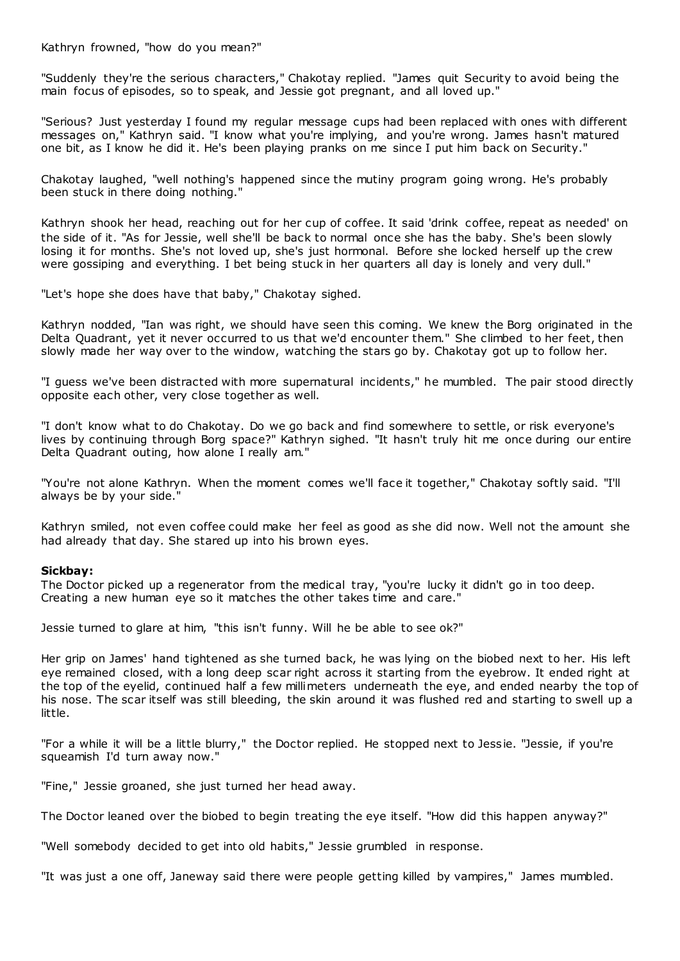Kathryn frowned, "how do you mean?"

"Suddenly they're the serious characters," Chakotay replied. "James quit Security to avoid being the main focus of episodes, so to speak, and Jessie got pregnant, and all loved up."

"Serious? Just yesterday I found my regular message cups had been replaced with ones with different messages on," Kathryn said. "I know what you're implying, and you're wrong. James hasn't matured one bit, as I know he did it. He's been playing pranks on me since I put him back on Security."

Chakotay laughed, "well nothing's happened since the mutiny program going wrong. He's probably been stuck in there doing nothing."

Kathryn shook her head, reaching out for her cup of coffee. It said 'drink coffee, repeat as needed' on the side of it. "As for Jessie, well she'll be back to normal once she has the baby. She's been slowly losing it for months. She's not loved up, she's just hormonal. Before she locked herself up the crew were gossiping and everything. I bet being stuck in her quarters all day is lonely and very dull."

"Let's hope she does have that baby," Chakotay sighed.

Kathryn nodded, "Ian was right, we should have seen this coming. We knew the Borg originated in the Delta Quadrant, yet it never occurred to us that we'd encounter them." She climbed to her feet, then slowly made her way over to the window, watching the stars go by. Chakotay got up to follow her.

"I guess we've been distracted with more supernatural incidents," he mumbled. The pair stood directly opposite each other, very close together as well.

"I don't know what to do Chakotay. Do we go back and find somewhere to settle, or risk everyone's lives by continuing through Borg space?" Kathryn sighed. "It hasn't truly hit me once during our entire Delta Quadrant outing, how alone I really am."

"You're not alone Kathryn. When the moment comes we'll face it together," Chakotay softly said. "I'll always be by your side."

Kathryn smiled, not even coffee could make her feel as good as she did now. Well not the amount she had already that day. She stared up into his brown eyes.

# **Sickbay:**

The Doctor picked up a regenerator from the medical tray, "you're lucky it didn't go in too deep. Creating a new human eye so it matches the other takes time and care."

Jessie turned to glare at him, "this isn't funny. Will he be able to see ok?"

Her grip on James' hand tightened as she turned back, he was lying on the biobed next to her. His left eye remained closed, with a long deep scar right across it starting from the eyebrow. It ended right at the top of the eyelid, continued half a few millimeters underneath the eye, and ended nearby the top of his nose. The scar itself was still bleeding, the skin around it was flushed red and starting to swell up a little.

"For a while it will be a little blurry," the Doctor replied. He stopped next to Jessie. "Jessie, if you're squeamish I'd turn away now."

"Fine," Jessie groaned, she just turned her head away.

The Doctor leaned over the biobed to begin treating the eye itself. "How did this happen anyway?"

"Well somebody decided to get into old habits," Jessie grumbled in response.

"It was just a one off, Janeway said there were people getting killed by vampires," James mumbled.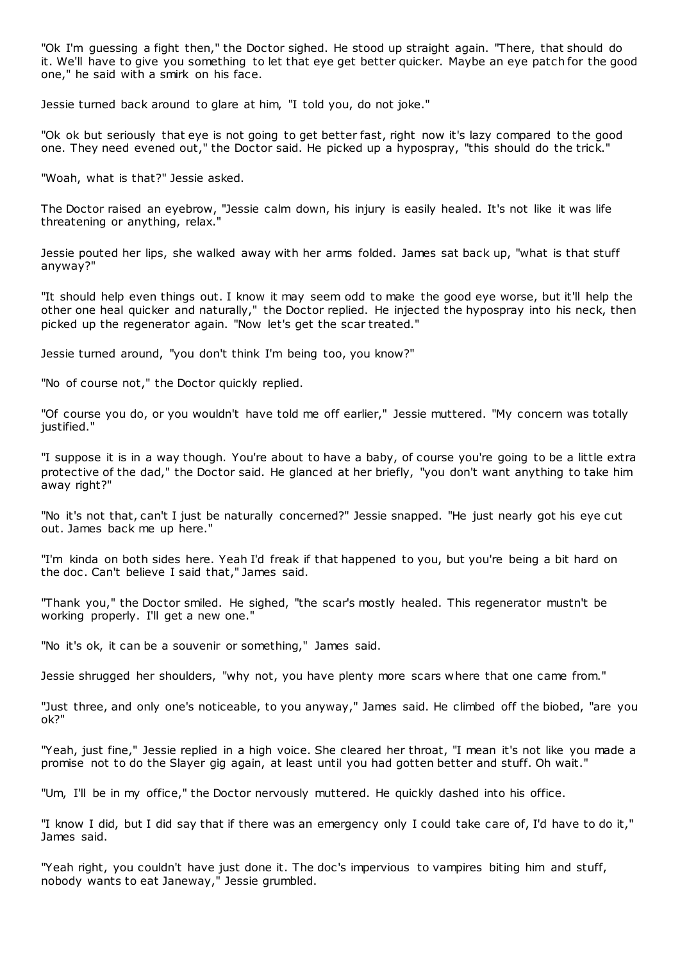"Ok I'm guessing a fight then," the Doctor sighed. He stood up straight again. "There, that should do it. We'll have to give you something to let that eye get better quicker. Maybe an eye patch for the good one," he said with a smirk on his face.

Jessie turned back around to glare at him, "I told you, do not joke."

"Ok ok but seriously that eye is not going to get better fast, right now it's lazy compared to the good one. They need evened out," the Doctor said. He picked up a hypospray, "this should do the trick."

"Woah, what is that?" Jessie asked.

The Doctor raised an eyebrow, "Jessie calm down, his injury is easily healed. It's not like it was life threatening or anything, relax."

Jessie pouted her lips, she walked away with her arms folded. James sat back up, "what is that stuff anyway?"

"It should help even things out. I know it may seem odd to make the good eye worse, but it'll help the other one heal quicker and naturally," the Doctor replied. He injected the hypospray into his neck, then picked up the regenerator again. "Now let's get the scar treated."

Jessie turned around, "you don't think I'm being too, you know?"

"No of course not," the Doctor quickly replied.

"Of course you do, or you wouldn't have told me off earlier," Jessie muttered. "My concern was totally justified."

"I suppose it is in a way though. You're about to have a baby, of course you're going to be a little extra protective of the dad," the Doctor said. He glanced at her briefly, "you don't want anything to take him away right?"

"No it's not that, can't I just be naturally concerned?" Jessie snapped. "He just nearly got his eye cut out. James back me up here."

"I'm kinda on both sides here. Yeah I'd freak if that happened to you, but you're being a bit hard on the doc . Can't believe I said that," James said.

"Thank you," the Doctor smiled. He sighed, "the scar's mostly healed. This regenerator mustn't be working properly. I'll get a new one."

"No it's ok, it can be a souvenir or something," James said.

Jessie shrugged her shoulders, "why not, you have plenty more scars where that one came from."

"Just three, and only one's noticeable, to you anyway," James said. He climbed off the biobed, "are you ok?"

"Yeah, just fine," Jessie replied in a high voice. She cleared her throat, "I mean it's not like you made a promise not to do the Slayer gig again, at least until you had gotten better and stuff. Oh wait."

"Um, I'll be in my office," the Doctor nervously muttered. He quickly dashed into his office.

"I know I did, but I did say that if there was an emergency only I could take care of, I'd have to do it," James said.

"Yeah right, you couldn't have just done it. The doc's impervious to vampires biting him and stuff, nobody wants to eat Janeway," Jessie grumbled.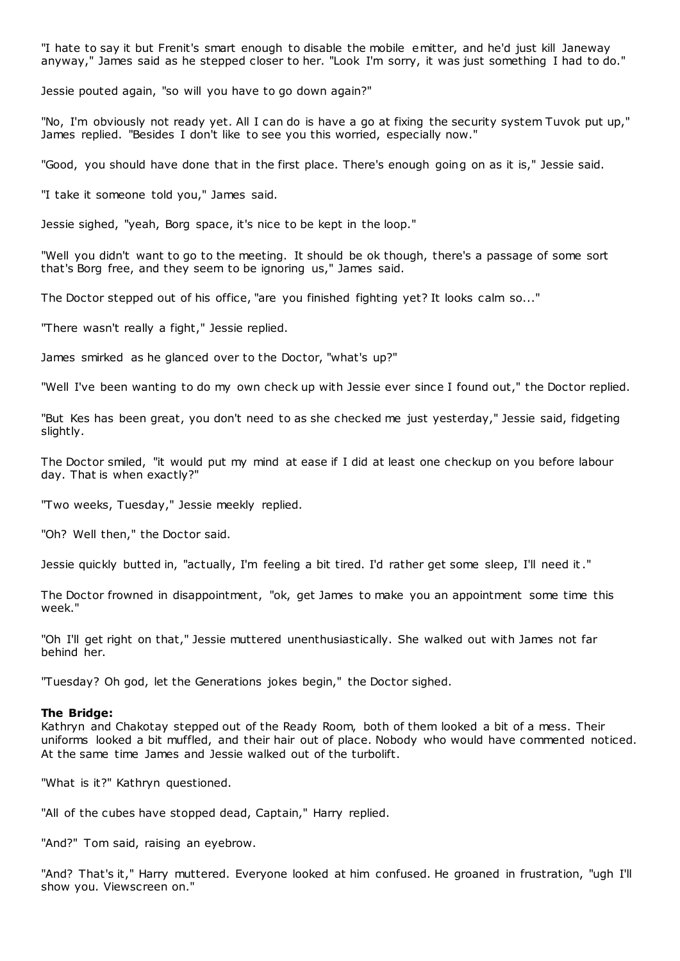"I hate to say it but Frenit's smart enough to disable the mobile emitter, and he'd just kill Janeway anyway," James said as he stepped closer to her. "Look I'm sorry, it was just something I had to do."

Jessie pouted again, "so will you have to go down again?"

"No, I'm obviously not ready yet. All I can do is have a go at fixing the security system Tuvok put up," James replied. "Besides I don't like to see you this worried, especially now."

"Good, you should have done that in the first place. There's enough going on as it is," Jessie said.

"I take it someone told you," James said.

Jessie sighed, "yeah, Borg space, it's nice to be kept in the loop."

"Well you didn't want to go to the meeting. It should be ok though, there's a passage of some sort that's Borg free, and they seem to be ignoring us," James said.

The Doctor stepped out of his office, "are you finished fighting yet? It looks calm so..."

"There wasn't really a fight," Jessie replied.

James smirked as he glanced over to the Doctor, "what's up?"

"Well I've been wanting to do my own check up with Jessie ever since I found out," the Doctor replied.

"But Kes has been great, you don't need to as she checked me just yesterday," Jessie said, fidgeting slightly.

The Doctor smiled, "it would put my mind at ease if I did at least one checkup on you before labour day. That is when exactly?"

"Two weeks, Tuesday," Jessie meekly replied.

"Oh? Well then," the Doctor said.

Jessie quickly butted in, "actually, I'm feeling a bit tired. I'd rather get some sleep, I'll need it."

The Doctor frowned in disappointment, "ok, get James to make you an appointment some time this week."

"Oh I'll get right on that," Jessie muttered unenthusiastically. She walked out with James not far behind her.

"Tuesday? Oh god, let the Generations jokes begin," the Doctor sighed.

#### **The Bridge:**

Kathryn and Chakotay stepped out of the Ready Room, both of them looked a bit of a mess. Their uniforms looked a bit muffled, and their hair out of place. Nobody who would have commented noticed. At the same time James and Jessie walked out of the turbolift.

"What is it?" Kathryn questioned.

"All of the cubes have stopped dead, Captain," Harry replied.

"And?" Tom said, raising an eyebrow.

"And? That's it," Harry muttered. Everyone looked at him confused. He groaned in frustration, "ugh I'll show you. Viewscreen on."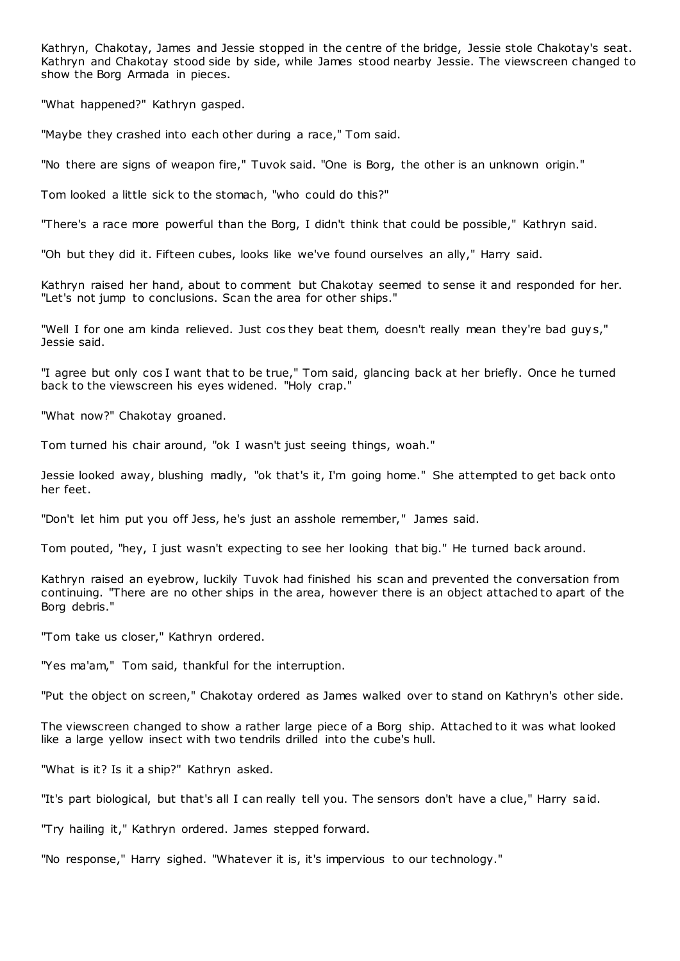Kathryn, Chakotay, James and Jessie stopped in the centre of the bridge, Jessie stole Chakotay's seat. Kathryn and Chakotay stood side by side, while James stood nearby Jessie. The viewscreen changed to show the Borg Armada in pieces.

"What happened?" Kathryn gasped.

"Maybe they crashed into each other during a race," Tom said.

"No there are signs of weapon fire," Tuvok said. "One is Borg, the other is an unknown origin."

Tom looked a little sick to the stomach, "who could do this?"

"There's a race more powerful than the Borg, I didn't think that could be possible," Kathryn said.

"Oh but they did it. Fifteen cubes, looks like we've found ourselves an ally," Harry said.

Kathryn raised her hand, about to comment but Chakotay seemed to sense it and responded for her. "Let's not jump to conclusions. Scan the area for other ships."

"Well I for one am kinda relieved. Just cos they beat them, doesn't really mean they're bad guy s," Jessie said.

"I agree but only cos I want that to be true," Tom said, glancing back at her briefly. Once he turned back to the viewscreen his eyes widened. "Holy crap."

"What now?" Chakotay groaned.

Tom turned his chair around, "ok I wasn't just seeing things, woah."

Jessie looked away, blushing madly, "ok that's it, I'm going home." She attempted to get back onto her feet.

"Don't let him put you off Jess, he's just an asshole remember," James said.

Tom pouted, "hey, I just wasn't expecting to see her looking that big." He turned back around.

Kathryn raised an eyebrow, luckily Tuvok had finished his scan and prevented the conversation from continuing. "There are no other ships in the area, however there is an object attached to apart of the Borg debris."

"Tom take us closer," Kathryn ordered.

"Yes ma'am," Tom said, thankful for the interruption.

"Put the object on screen," Chakotay ordered as James walked over to stand on Kathryn's other side.

The viewscreen changed to show a rather large piece of a Borg ship. Attached to it was what looked like a large yellow insect with two tendrils drilled into the cube's hull.

"What is it? Is it a ship?" Kathryn asked.

"It's part biological, but that's all I can really tell you. The sensors don't have a clue," Harry said.

"Try hailing it," Kathryn ordered. James stepped forward.

"No response," Harry sighed. "Whatever it is, it's impervious to our technology."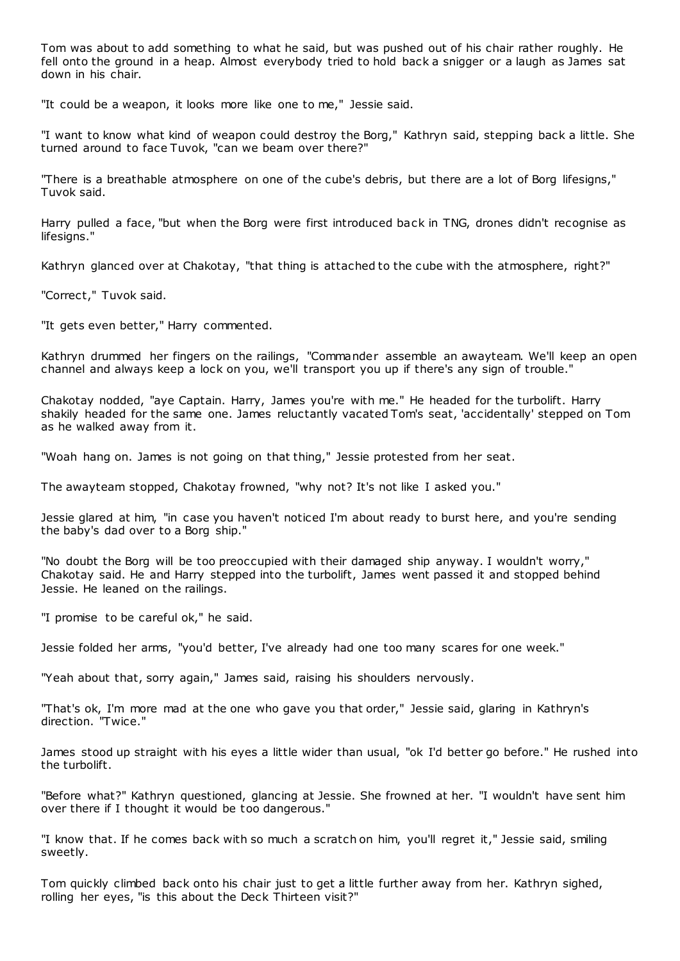Tom was about to add something to what he said, but was pushed out of his chair rather roughly. He fell onto the ground in a heap. Almost everybody tried to hold back a snigger or a laugh as James sat down in his chair.

"It could be a weapon, it looks more like one to me," Jessie said.

"I want to know what kind of weapon could destroy the Borg," Kathryn said, stepping back a little. She turned around to face Tuvok, "can we beam over there?"

"There is a breathable atmosphere on one of the cube's debris, but there are a lot of Borg lifesigns," Tuvok said.

Harry pulled a face, "but when the Borg were first introduced back in TNG, drones didn't recognise as lifesigns."

Kathryn glanced over at Chakotay, "that thing is attached to the cube with the atmosphere, right?"

"Correct," Tuvok said.

"It gets even better," Harry commented.

Kathryn drummed her fingers on the railings, "Commander assemble an awayteam. We'll keep an open channel and always keep a lock on you, we'll transport you up if there's any sign of trouble."

Chakotay nodded, "aye Captain. Harry, James you're with me." He headed for the turbolift. Harry shakily headed for the same one. James reluctantly vacated Tom's seat, 'accidentally' stepped on Tom as he walked away from it.

"Woah hang on. James is not going on that thing," Jessie protested from her seat.

The awayteam stopped, Chakotay frowned, "why not? It's not like I asked you."

Jessie glared at him, "in case you haven't noticed I'm about ready to burst here, and you're sending the baby's dad over to a Borg ship."

"No doubt the Borg will be too preoccupied with their damaged ship anyway. I wouldn't worry," Chakotay said. He and Harry stepped into the turbolift, James went passed it and stopped behind Jessie. He leaned on the railings.

"I promise to be careful ok," he said.

Jessie folded her arms, "you'd better, I've already had one too many scares for one week."

"Yeah about that, sorry again," James said, raising his shoulders nervously.

"That's ok, I'm more mad at the one who gave you that order," Jessie said, glaring in Kathryn's direction. "Twice."

James stood up straight with his eyes a little wider than usual, "ok I'd better go before." He rushed into the turbolift.

"Before what?" Kathryn questioned, glancing at Jessie. She frowned at her. "I wouldn't have sent him over there if I thought it would be too dangerous."

"I know that. If he comes back with so much a scratch on him, you'll regret it," Jessie said, smiling sweetly.

Tom quickly climbed back onto his chair just to get a little further away from her. Kathryn sighed, rolling her eyes, "is this about the Deck Thirteen visit?"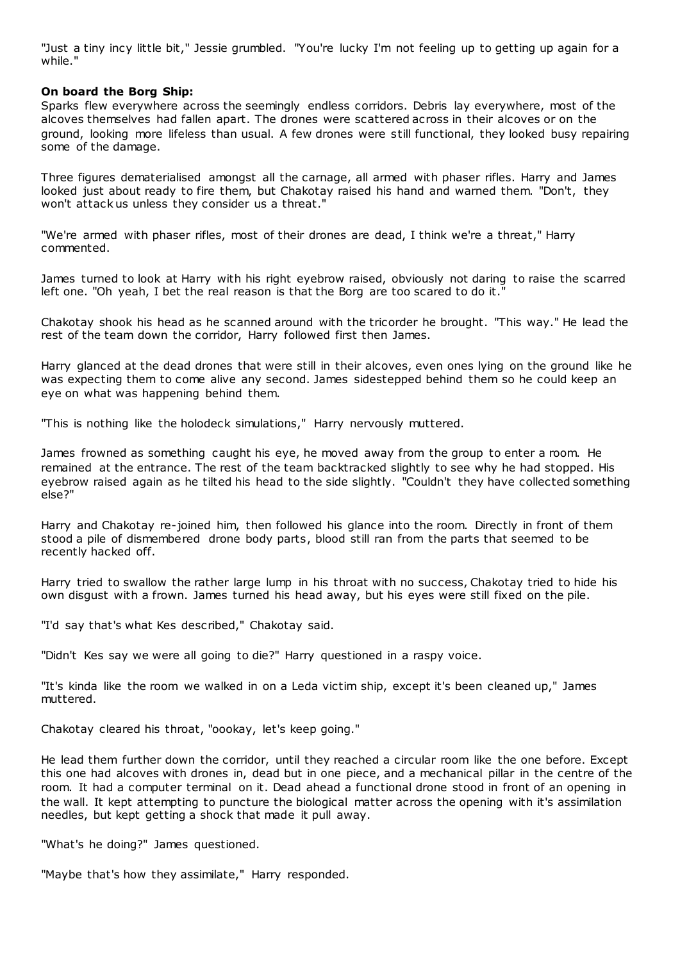"Just a tiny incy little bit," Jessie grumbled. "You're lucky I'm not feeling up to getting up again for a while."

# **On board the Borg Ship:**

Sparks flew everywhere across the seemingly endless corridors. Debris lay everywhere, most of the alcoves themselves had fallen apart. The drones were scattered across in their alcoves or on the ground, looking more lifeless than usual. A few drones were still functional, they looked busy repairing some of the damage.

Three figures dematerialised amongst all the carnage, all armed with phaser rifles. Harry and James looked just about ready to fire them, but Chakotay raised his hand and warned them. "Don't, they won't attack us unless they consider us a threat."

"We're armed with phaser rifles, most of their drones are dead, I think we're a threat," Harry commented.

James turned to look at Harry with his right eyebrow raised, obviously not daring to raise the scarred left one. "Oh yeah, I bet the real reason is that the Borg are too scared to do it."

Chakotay shook his head as he scanned around with the tricorder he brought. "This way." He lead the rest of the team down the corridor, Harry followed first then James.

Harry glanced at the dead drones that were still in their alcoves, even ones lying on the ground like he was expecting them to come alive any second. James sidestepped behind them so he could keep an eye on what was happening behind them.

"This is nothing like the holodeck simulations," Harry nervously muttered.

James frowned as something caught his eye, he moved away from the group to enter a room. He remained at the entrance. The rest of the team backtracked slightly to see why he had stopped. His eyebrow raised again as he tilted his head to the side slightly. "Couldn't they have collected something else?"

Harry and Chakotay re-joined him, then followed his glance into the room. Directly in front of them stood a pile of dismembered drone body parts, blood still ran from the parts that seemed to be recently hacked off.

Harry tried to swallow the rather large lump in his throat with no success, Chakotay tried to hide his own disgust with a frown. James turned his head away, but his eyes were still fixed on the pile.

"I'd say that's what Kes described," Chakotay said.

"Didn't Kes say we were all going to die?" Harry questioned in a raspy voice.

"It's kinda like the room we walked in on a Leda victim ship, except it's been cleaned up," James muttered.

Chakotay cleared his throat, "oookay, let's keep going."

He lead them further down the corridor, until they reached a circular room like the one before. Except this one had alcoves with drones in, dead but in one piece, and a mechanical pillar in the centre of the room. It had a computer terminal on it. Dead ahead a functional drone stood in front of an opening in the wall. It kept attempting to puncture the biological matter across the opening with it's assimilation needles, but kept getting a shock that made it pull away.

"What's he doing?" James questioned.

"Maybe that's how they assimilate," Harry responded.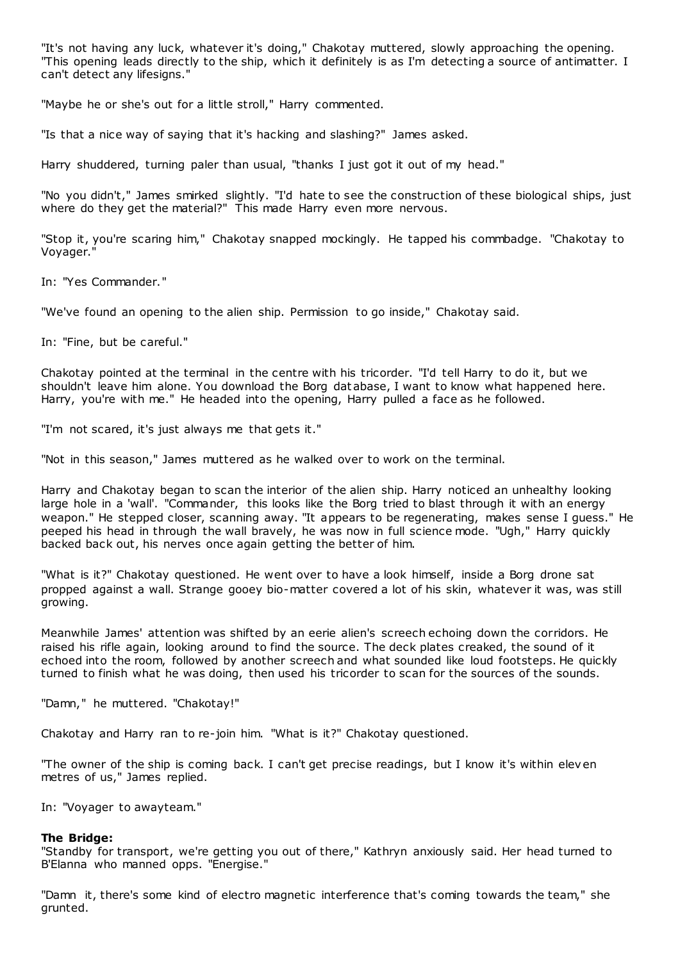"It's not having any luck, whatever it's doing," Chakotay muttered, slowly approaching the opening. "This opening leads directly to the ship, which it definitely is as I'm detecting a source of antimatter. I can't detect any lifesigns."

"Maybe he or she's out for a little stroll," Harry commented.

"Is that a nice way of saying that it's hacking and slashing?" James asked.

Harry shuddered, turning paler than usual, "thanks I just got it out of my head."

"No you didn't," James smirked slightly. "I'd hate to see the construction of these biological ships, just where do they get the material?" This made Harry even more nervous.

"Stop it, you're scaring him," Chakotay snapped mockingly. He tapped his commbadge. "Chakotay to Voyager.

In: "Yes Commander."

"We've found an opening to the alien ship. Permission to go inside," Chakotay said.

In: "Fine, but be careful."

Chakotay pointed at the terminal in the centre with his tricorder. "I'd tell Harry to do it, but we shouldn't leave him alone. You download the Borg database, I want to know what happened here. Harry, you're with me." He headed into the opening, Harry pulled a face as he followed.

"I'm not scared, it's just always me that gets it."

"Not in this season," James muttered as he walked over to work on the terminal.

Harry and Chakotay began to scan the interior of the alien ship. Harry noticed an unhealthy looking large hole in a 'wall'. "Commander, this looks like the Borg tried to blast through it with an energy weapon." He stepped closer, scanning away. "It appears to be regenerating, makes sense I guess." He peeped his head in through the wall bravely, he was now in full science mode. "Ugh," Harry quickly backed back out, his nerves once again getting the better of him.

"What is it?" Chakotay questioned. He went over to have a look himself, inside a Borg drone sat propped against a wall. Strange gooey bio-matter covered a lot of his skin, whatever it was, was still growing.

Meanwhile James' attention was shifted by an eerie alien's screech echoing down the corridors. He raised his rifle again, looking around to find the source. The deck plates creaked, the sound of it echoed into the room, followed by another screech and what sounded like loud footsteps. He quickly turned to finish what he was doing, then used his tricorder to scan for the sources of the sounds.

"Damn," he muttered. "Chakotay!"

Chakotay and Harry ran to re-join him. "What is it?" Chakotay questioned.

"The owner of the ship is coming back. I can't get precise readings, but I know it's within eleven metres of us," James replied.

In: "Voyager to awayteam."

# **The Bridge:**

"Standby for transport, we're getting you out of there," Kathryn anxiously said. Her head turned to B'Elanna who manned opps. "Energise."

"Damn it, there's some kind of electro magnetic interference that's coming towards the team," she grunted.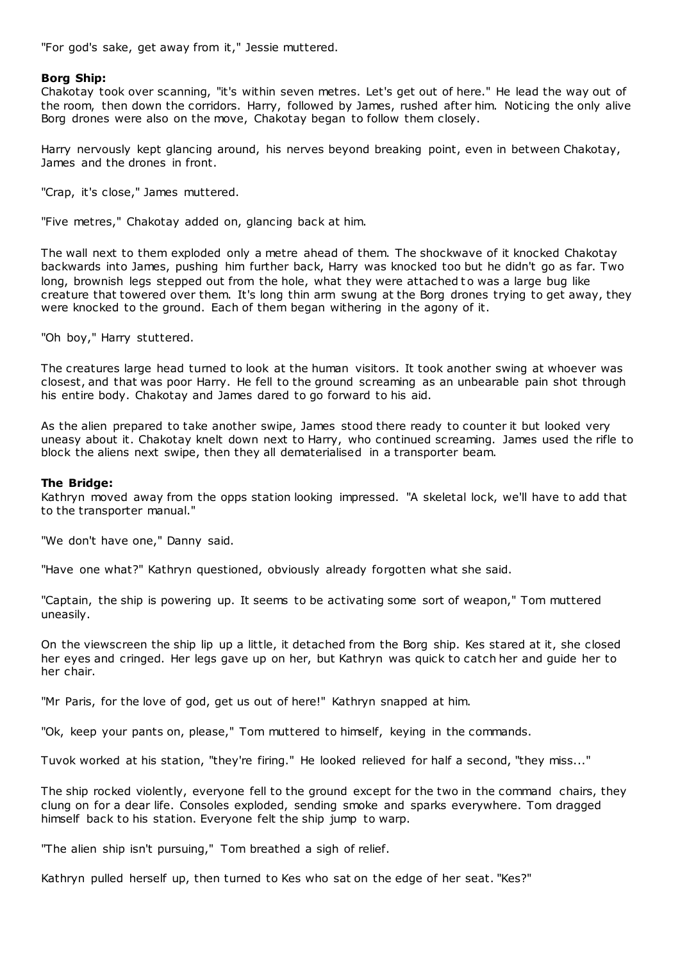"For god's sake, get away from it," Jessie muttered.

# **Borg Ship:**

Chakotay took over scanning, "it's within seven metres. Let's get out of here." He lead the way out of the room, then down the corridors. Harry, followed by James, rushed after him. Noticing the only alive Borg drones were also on the move, Chakotay began to follow them closely.

Harry nervously kept glancing around, his nerves beyond breaking point, even in between Chakotay, James and the drones in front.

"Crap, it's close," James muttered.

"Five metres," Chakotay added on, glancing back at him.

The wall next to them exploded only a metre ahead of them. The shockwave of it knocked Chakotay backwards into James, pushing him further back, Harry was knocked too but he didn't go as far. Two long, brownish legs stepped out from the hole, what they were attached to was a large bug like creature that towered over them. It's long thin arm swung at the Borg drones trying to get away, they were knocked to the ground. Each of them began withering in the agony of it.

"Oh boy," Harry stuttered.

The creatures large head turned to look at the human visitors. It took another swing at whoever was closest, and that was poor Harry. He fell to the ground screaming as an unbearable pain shot through his entire body. Chakotay and James dared to go forward to his aid.

As the alien prepared to take another swipe, James stood there ready to counter it but looked very uneasy about it. Chakotay knelt down next to Harry, who continued screaming. James used the rifle to block the aliens next swipe, then they all dematerialised in a transporter beam.

# **The Bridge:**

Kathryn moved away from the opps station looking impressed. "A skeletal lock, we'll have to add that to the transporter manual."

"We don't have one," Danny said.

"Have one what?" Kathryn questioned, obviously already forgotten what she said.

"Captain, the ship is powering up. It seems to be activating some sort of weapon," Tom muttered uneasily.

On the viewscreen the ship lip up a little, it detached from the Borg ship. Kes stared at it, she closed her eyes and cringed. Her legs gave up on her, but Kathryn was quick to catch her and guide her to her chair.

"Mr Paris, for the love of god, get us out of here!" Kathryn snapped at him.

"Ok, keep your pants on, please," Tom muttered to himself, keying in the commands.

Tuvok worked at his station, "they're firing." He looked relieved for half a second, "they miss..."

The ship rocked violently, everyone fell to the ground except for the two in the command chairs, they clung on for a dear life. Consoles exploded, sending smoke and sparks everywhere. Tom dragged himself back to his station. Everyone felt the ship jump to warp.

"The alien ship isn't pursuing," Tom breathed a sigh of relief.

Kathryn pulled herself up, then turned to Kes who sat on the edge of her seat. "Kes?"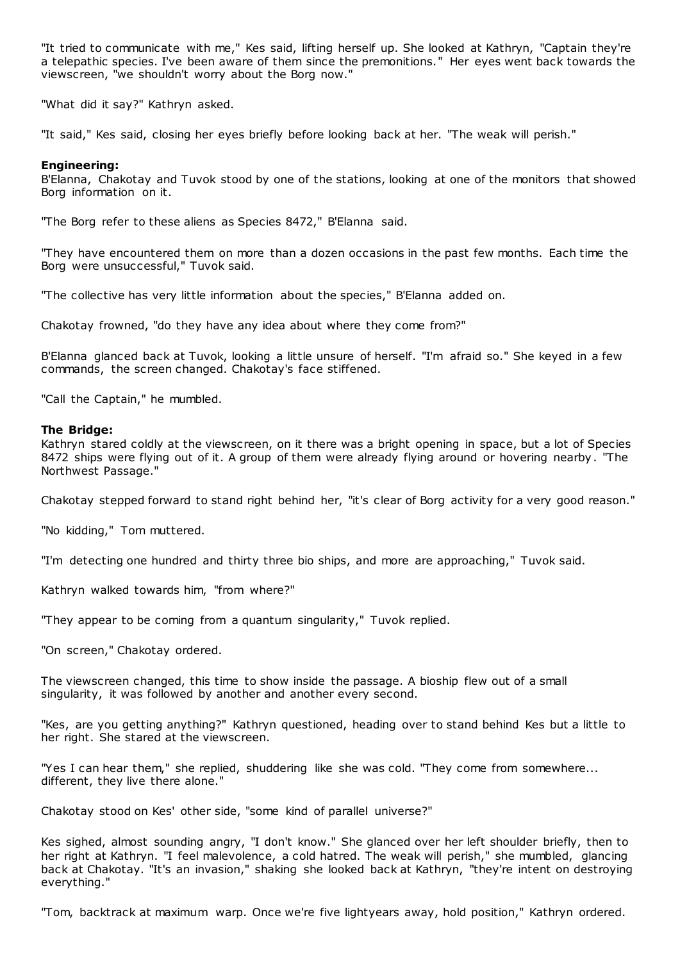"It tried to communicate with me," Kes said, lifting herself up. She looked at Kathryn, "Captain they're a telepathic species. I've been aware of them since the premonitions." Her eyes went back towards the viewscreen, "we shouldn't worry about the Borg now."

"What did it say?" Kathryn asked.

"It said," Kes said, closing her eyes briefly before looking back at her. "The weak will perish."

# **Engineering:**

B'Elanna, Chakotay and Tuvok stood by one of the stations, looking at one of the monitors that showed Borg information on it.

"The Borg refer to these aliens as Species 8472," B'Elanna said.

"They have encountered them on more than a dozen occasions in the past few months. Each time the Borg were unsuccessful," Tuvok said.

"The collective has very little information about the species," B'Elanna added on.

Chakotay frowned, "do they have any idea about where they come from?"

B'Elanna glanced back at Tuvok, looking a little unsure of herself. "I'm afraid so." She keyed in a few commands, the screen changed. Chakotay's face stiffened.

"Call the Captain," he mumbled.

# **The Bridge:**

Kathryn stared coldly at the viewscreen, on it there was a bright opening in space, but a lot of Species 8472 ships were flying out of it. A group of them were already flying around or hovering nearby. "The Northwest Passage."

Chakotay stepped forward to stand right behind her, "it's clear of Borg activity for a very good reason."

"No kidding," Tom muttered.

"I'm detecting one hundred and thirty three bio ships, and more are approaching," Tuvok said.

Kathryn walked towards him, "from where?"

"They appear to be coming from a quantum singularity," Tuvok replied.

"On screen," Chakotay ordered.

The viewscreen changed, this time to show inside the passage. A bioship flew out of a small singularity, it was followed by another and another every second.

"Kes, are you getting anything?" Kathryn questioned, heading over to stand behind Kes but a little to her right. She stared at the viewscreen.

"Yes I can hear them," she replied, shuddering like she was cold. "They come from somewhere... different, they live there alone."

Chakotay stood on Kes' other side, "some kind of parallel universe?"

Kes sighed, almost sounding angry, "I don't know." She glanced over her left shoulder briefly, then to her right at Kathryn. "I feel malevolence, a cold hatred. The weak will perish," she mumbled, glancing back at Chakotay. "It's an invasion," shaking she looked back at Kathryn, "they're intent on destroying everything."

"Tom, backtrack at maximum warp. Once we're five lightyears away, hold position," Kathryn ordered.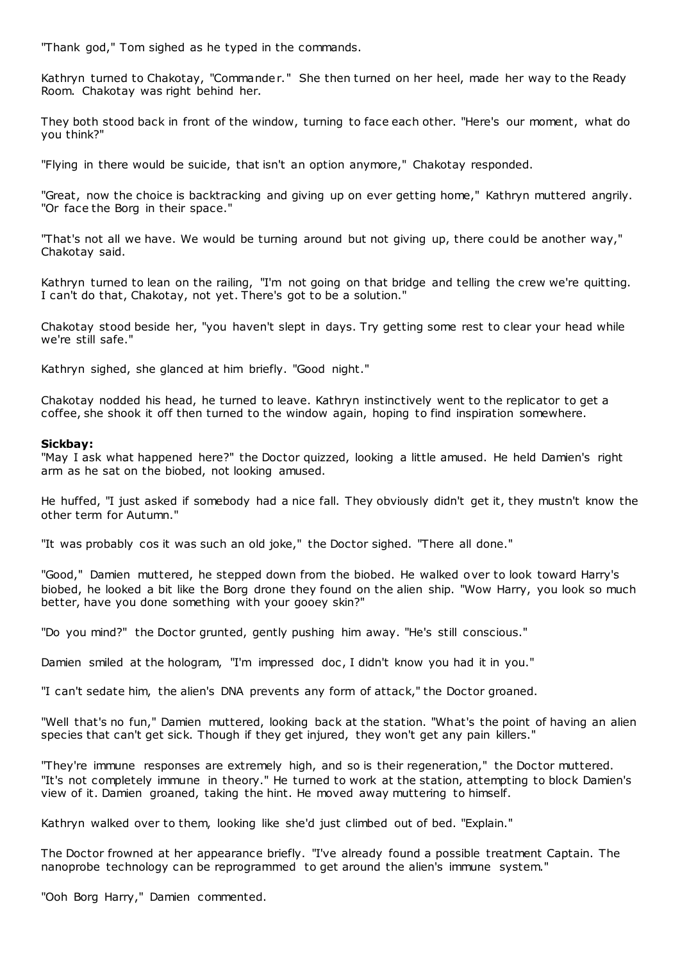"Thank god," Tom sighed as he typed in the commands.

Kathryn turned to Chakotay, "Commander." She then turned on her heel, made her way to the Ready Room. Chakotay was right behind her.

They both stood back in front of the window, turning to face each other. "Here's our moment, what do you think?"

"Flying in there would be suicide, that isn't an option anymore," Chakotay responded.

"Great, now the choice is backtracking and giving up on ever getting home," Kathryn muttered angrily. "Or face the Borg in their space."

"That's not all we have. We would be turning around but not giving up, there could be another way," Chakotay said.

Kathryn turned to lean on the railing, "I'm not going on that bridge and telling the crew we're quitting. I can't do that, Chakotay, not yet. There's got to be a solution."

Chakotay stood beside her, "you haven't slept in days. Try getting some rest to clear your head while we're still safe."

Kathryn sighed, she glanced at him briefly. "Good night."

Chakotay nodded his head, he turned to leave. Kathryn instinctively went to the replicator to get a coffee, she shook it off then turned to the window again, hoping to find inspiration somewhere.

# **Sickbay:**

"May I ask what happened here?" the Doctor quizzed, looking a little amused. He held Damien's right arm as he sat on the biobed, not looking amused.

He huffed, "I just asked if somebody had a nice fall. They obviously didn't get it, they mustn't know the other term for Autumn."

"It was probably cos it was such an old joke," the Doctor sighed. "There all done."

"Good," Damien muttered, he stepped down from the biobed. He walked over to look toward Harry's biobed, he looked a bit like the Borg drone they found on the alien ship. "Wow Harry, you look so much better, have you done something with your gooey skin?"

"Do you mind?" the Doctor grunted, gently pushing him away. "He's still conscious."

Damien smiled at the hologram, "I'm impressed doc , I didn't know you had it in you."

"I can't sedate him, the alien's DNA prevents any form of attack," the Doctor groaned.

"Well that's no fun," Damien muttered, looking back at the station. "What's the point of having an alien species that can't get sick. Though if they get injured, they won't get any pain killers."

"They're immune responses are extremely high, and so is their regeneration," the Doctor muttered. "It's not completely immune in theory." He turned to work at the station, attempting to block Damien's view of it. Damien groaned, taking the hint. He moved away muttering to himself.

Kathryn walked over to them, looking like she'd just climbed out of bed. "Explain."

The Doctor frowned at her appearance briefly. "I've already found a possible treatment Captain. The nanoprobe technology can be reprogrammed to get around the alien's immune system."

"Ooh Borg Harry," Damien commented.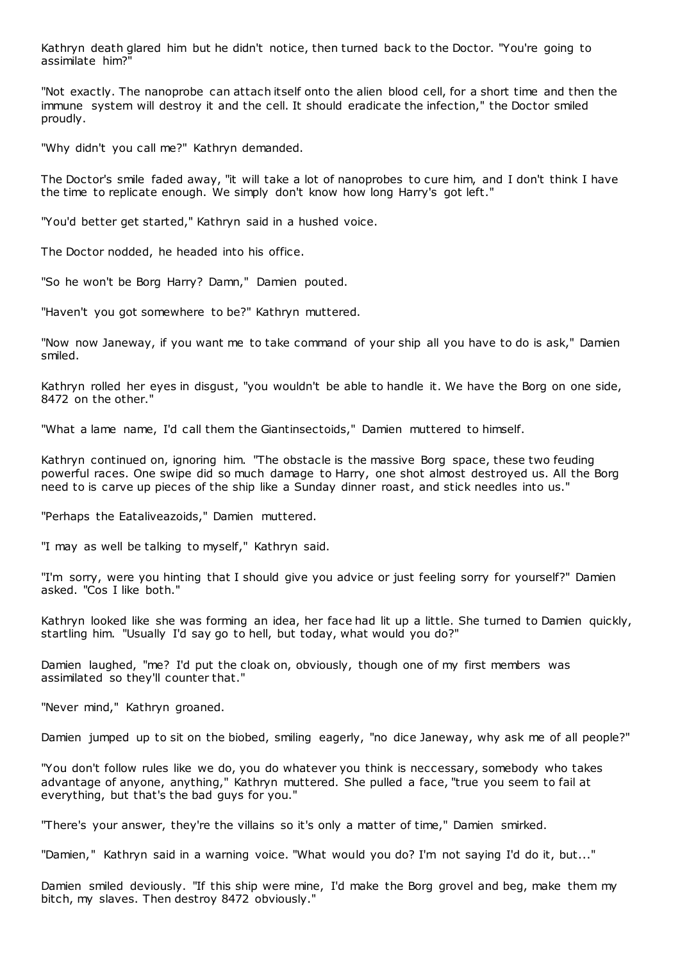Kathryn death glared him but he didn't notice, then turned back to the Doctor. "You're going to assimilate him?"

"Not exactly. The nanoprobe can attach itself onto the alien blood cell, for a short time and then the immune system will destroy it and the cell. It should eradicate the infection," the Doctor smiled proudly.

"Why didn't you call me?" Kathryn demanded.

The Doctor's smile faded away, "it will take a lot of nanoprobes to cure him, and I don't think I have the time to replicate enough. We simply don't know how long Harry's got left."

"You'd better get started," Kathryn said in a hushed voice.

The Doctor nodded, he headed into his office.

"So he won't be Borg Harry? Damn," Damien pouted.

"Haven't you got somewhere to be?" Kathryn muttered.

"Now now Janeway, if you want me to take command of your ship all you have to do is ask," Damien smiled.

Kathryn rolled her eyes in disgust, "you wouldn't be able to handle it. We have the Borg on one side, 8472 on the other."

"What a lame name, I'd call them the Giantinsectoids," Damien muttered to himself.

Kathryn continued on, ignoring him. "The obstacle is the massive Borg space, these two feuding powerful races. One swipe did so much damage to Harry, one shot almost destroyed us. All the Borg need to is carve up pieces of the ship like a Sunday dinner roast, and stick needles into us."

"Perhaps the Eataliveazoids," Damien muttered.

"I may as well be talking to myself," Kathryn said.

"I'm sorry, were you hinting that I should give you advice or just feeling sorry for yourself?" Damien asked. "Cos I like both."

Kathryn looked like she was forming an idea, her face had lit up a little. She turned to Damien quickly, startling him. "Usually I'd say go to hell, but today, what would you do?"

Damien laughed, "me? I'd put the cloak on, obviously, though one of my first members was assimilated so they'll counter that."

"Never mind," Kathryn groaned.

Damien jumped up to sit on the biobed, smiling eagerly, "no dice Janeway, why ask me of all people?"

"You don't follow rules like we do, you do whatever you think is neccessary, somebody who takes advantage of anyone, anything," Kathryn muttered. She pulled a face, "true you seem to fail at everything, but that's the bad guys for you."

"There's your answer, they're the villains so it's only a matter of time," Damien smirked.

"Damien," Kathryn said in a warning voice. "What would you do? I'm not saying I'd do it, but..."

Damien smiled deviously. "If this ship were mine, I'd make the Borg grovel and beg, make them my bitch, my slaves. Then destroy 8472 obviously."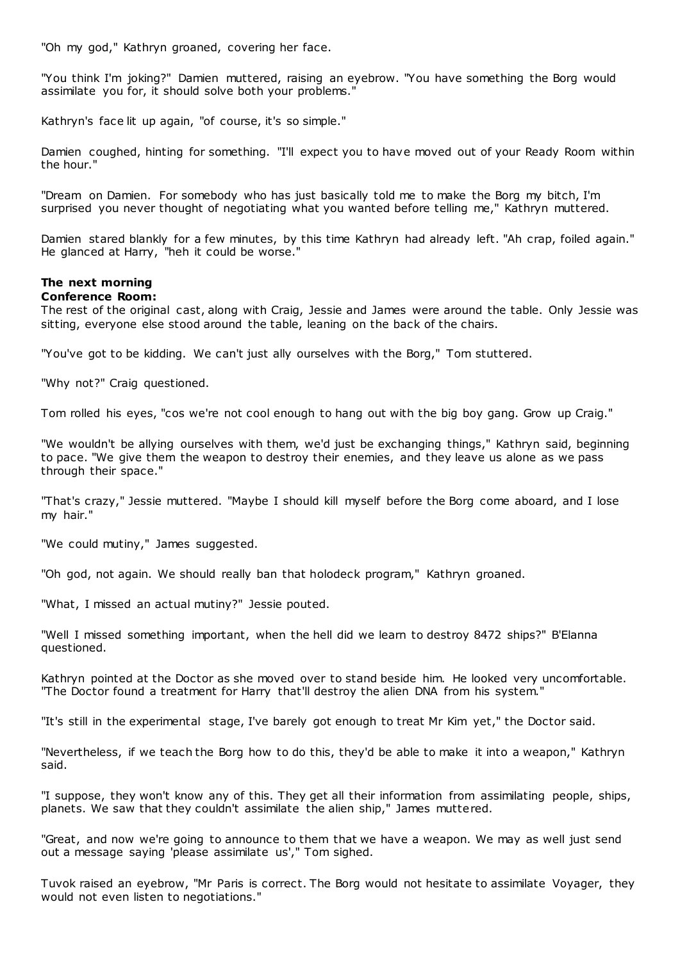"Oh my god," Kathryn groaned, covering her face.

"You think I'm joking?" Damien muttered, raising an eyebrow. "You have something the Borg would assimilate you for, it should solve both your problems."

Kathryn's face lit up again, "of course, it's so simple."

Damien coughed, hinting for something. "I'll expect you to have moved out of your Ready Room within the hour."

"Dream on Damien. For somebody who has just basically told me to make the Borg my bitch, I'm surprised you never thought of negotiating what you wanted before telling me," Kathryn muttered.

Damien stared blankly for a few minutes, by this time Kathryn had already left. "Ah crap, foiled again." He glanced at Harry, "heh it could be worse."

#### **The next morning Conference Room:**

The rest of the original cast, along with Craig, Jessie and James were around the table. Only Jessie was sitting, everyone else stood around the table, leaning on the back of the chairs.

"You've got to be kidding. We can't just ally ourselves with the Borg," Tom stuttered.

"Why not?" Craig questioned.

Tom rolled his eyes, "cos we're not cool enough to hang out with the big boy gang. Grow up Craig."

"We wouldn't be allying ourselves with them, we'd just be exchanging things," Kathryn said, beginning to pace. "We give them the weapon to destroy their enemies, and they leave us alone as we pass through their space."

"That's crazy," Jessie muttered. "Maybe I should kill myself before the Borg come aboard, and I lose my hair."

"We could mutiny," James suggested.

"Oh god, not again. We should really ban that holodeck program," Kathryn groaned.

"What, I missed an actual mutiny?" Jessie pouted.

"Well I missed something important, when the hell did we learn to destroy 8472 ships?" B'Elanna questioned.

Kathryn pointed at the Doctor as she moved over to stand beside him. He looked very uncomfortable. "The Doctor found a treatment for Harry that'll destroy the alien DNA from his system."

"It's still in the experimental stage, I've barely got enough to treat Mr Kim yet," the Doctor said.

"Nevertheless, if we teach the Borg how to do this, they'd be able to make it into a weapon," Kathryn said.

"I suppose, they won't know any of this. They get all their information from assimilating people, ships, planets. We saw that they couldn't assimilate the alien ship," James muttered.

"Great, and now we're going to announce to them that we have a weapon. We may as well just send out a message saying 'please assimilate us'," Tom sighed.

Tuvok raised an eyebrow, "Mr Paris is correct. The Borg would not hesitate to assimilate Voyager, they would not even listen to negotiations."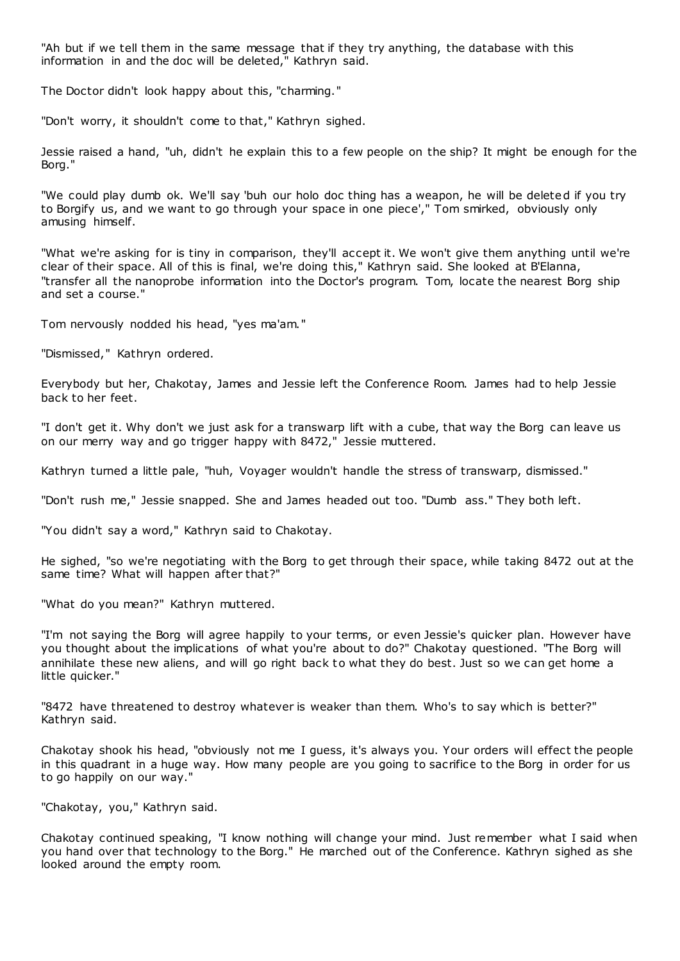"Ah but if we tell them in the same message that if they try anything, the database with this information in and the doc will be deleted," Kathryn said.

The Doctor didn't look happy about this, "charming."

"Don't worry, it shouldn't come to that," Kathryn sighed.

Jessie raised a hand, "uh, didn't he explain this to a few people on the ship? It might be enough for the Borg."

"We could play dumb ok. We'll say 'buh our holo doc thing has a weapon, he will be deleted if you try to Borgify us, and we want to go through your space in one piece'," Tom smirked, obviously only amusing himself.

"What we're asking for is tiny in comparison, they'll accept it. We won't give them anything until we're clear of their space. All of this is final, we're doing this," Kathryn said. She looked at B'Elanna, "transfer all the nanoprobe information into the Doctor's program. Tom, locate the nearest Borg ship and set a course."

Tom nervously nodded his head, "yes ma'am."

"Dismissed," Kathryn ordered.

Everybody but her, Chakotay, James and Jessie left the Conference Room. James had to help Jessie back to her feet.

"I don't get it. Why don't we just ask for a transwarp lift with a cube, that way the Borg can leave us on our merry way and go trigger happy with 8472," Jessie muttered.

Kathryn turned a little pale, "huh, Voyager wouldn't handle the stress of transwarp, dismissed."

"Don't rush me," Jessie snapped. She and James headed out too. "Dumb ass." They both left.

"You didn't say a word," Kathryn said to Chakotay.

He sighed, "so we're negotiating with the Borg to get through their space, while taking 8472 out at the same time? What will happen after that?"

"What do you mean?" Kathryn muttered.

"I'm not saying the Borg will agree happily to your terms, or even Jessie's quicker plan. However have you thought about the implications of what you're about to do?" Chakotay questioned. "The Borg will annihilate these new aliens, and will go right back to what they do best. Just so we can get home a little quicker."

"8472 have threatened to destroy whatever is weaker than them. Who's to say which is better?" Kathryn said.

Chakotay shook his head, "obviously not me I guess, it's always you. Your orders will effect the people in this quadrant in a huge way. How many people are you going to sacrifice to the Borg in order for us to go happily on our way."

"Chakotay, you," Kathryn said.

Chakotay continued speaking, "I know nothing will change your mind. Just remember what I said when you hand over that technology to the Borg." He marched out of the Conference. Kathryn sighed as she looked around the empty room.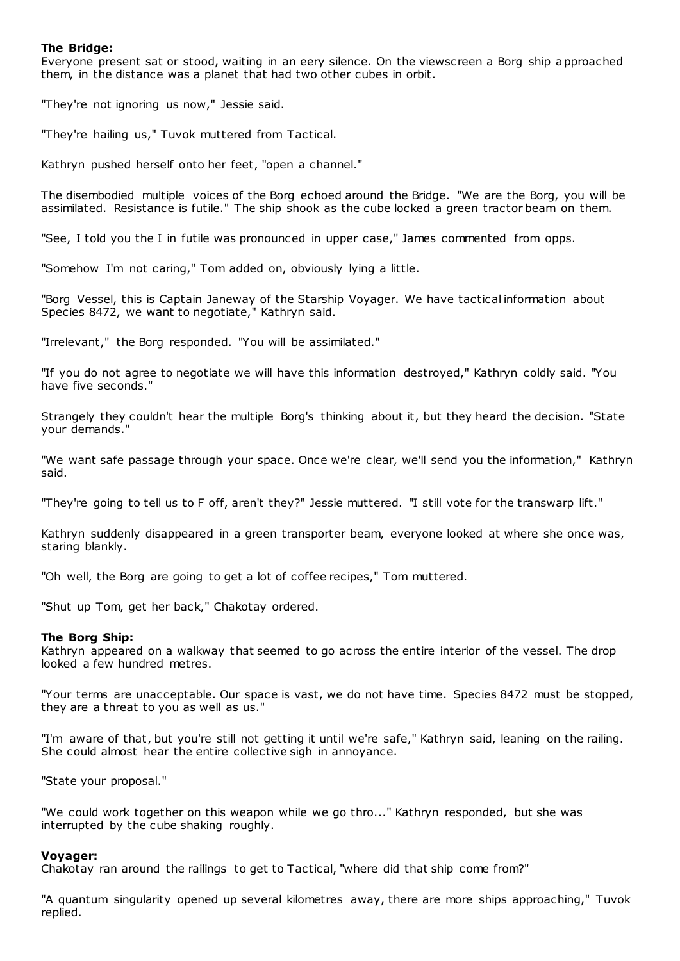# **The Bridge:**

Everyone present sat or stood, waiting in an eery silence. On the viewscreen a Borg ship approached them, in the distance was a planet that had two other cubes in orbit.

"They're not ignoring us now," Jessie said.

"They're hailing us," Tuvok muttered from Tactical.

Kathryn pushed herself onto her feet, "open a channel."

The disembodied multiple voices of the Borg echoed around the Bridge. "We are the Borg, you will be assimilated. Resistance is futile." The ship shook as the cube locked a green tractor beam on them.

"See, I told you the I in futile was pronounced in upper case," James commented from opps.

"Somehow I'm not caring," Tom added on, obviously lying a little.

"Borg Vessel, this is Captain Janeway of the Starship Voyager. We have tactical information about Species 8472, we want to negotiate," Kathryn said.

"Irrelevant," the Borg responded. "You will be assimilated."

"If you do not agree to negotiate we will have this information destroyed," Kathryn coldly said. "You have five seconds."

Strangely they couldn't hear the multiple Borg's thinking about it, but they heard the decision. "State your demands."

"We want safe passage through your space. Once we're clear, we'll send you the information," Kathryn said.

"They're going to tell us to F off, aren't they?" Jessie muttered. "I still vote for the transwarp lift."

Kathryn suddenly disappeared in a green transporter beam, everyone looked at where she once was, staring blankly.

"Oh well, the Borg are going to get a lot of coffee recipes," Tom muttered.

"Shut up Tom, get her back," Chakotay ordered.

#### **The Borg Ship:**

Kathryn appeared on a walkway that seemed to go across the entire interior of the vessel. The drop looked a few hundred metres.

"Your terms are unacceptable. Our space is vast, we do not have time. Species 8472 must be stopped, they are a threat to you as well as us."

"I'm aware of that, but you're still not getting it until we're safe," Kathryn said, leaning on the railing. She could almost hear the entire collective sigh in annoyance.

"State your proposal."

"We could work together on this weapon while we go thro..." Kathryn responded, but she was interrupted by the cube shaking roughly.

#### **Voyager:**

Chakotay ran around the railings to get to Tactical, "where did that ship come from?"

"A quantum singularity opened up several kilometres away, there are more ships approaching," Tuvok replied.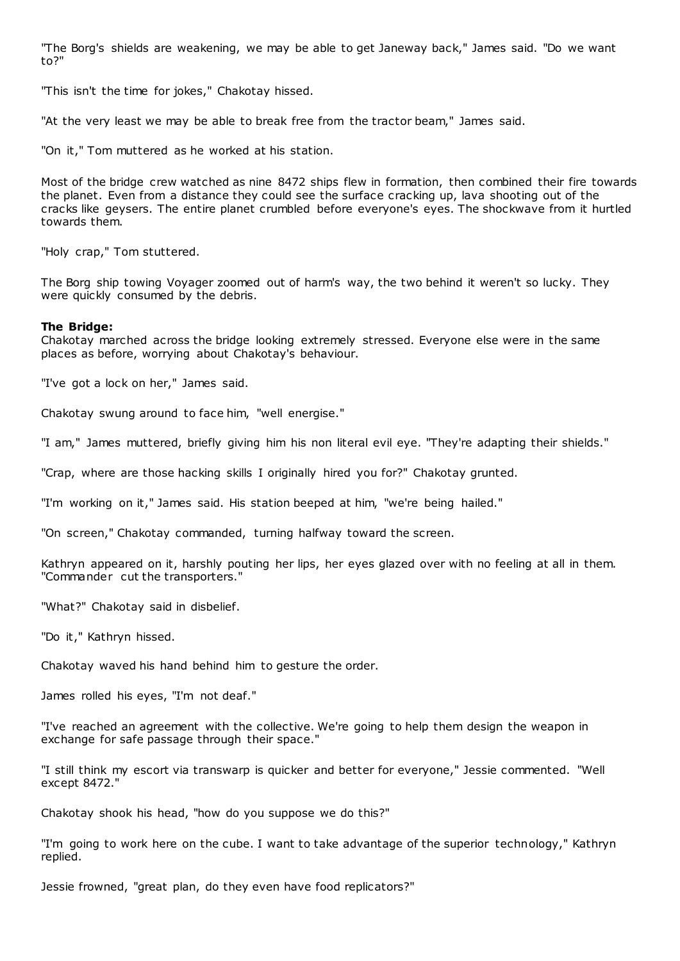"The Borg's shields are weakening, we may be able to get Janeway back," James said. "Do we want to?"

"This isn't the time for jokes," Chakotay hissed.

"At the very least we may be able to break free from the tractor beam," James said.

"On it," Tom muttered as he worked at his station.

Most of the bridge crew watched as nine 8472 ships flew in formation, then combined their fire towards the planet. Even from a distance they could see the surface cracking up, lava shooting out of the cracks like geysers. The entire planet crumbled before everyone's eyes. The shockwave from it hurtled towards them.

"Holy crap," Tom stuttered.

The Borg ship towing Voyager zoomed out of harm's way, the two behind it weren't so lucky. They were quickly consumed by the debris.

#### **The Bridge:**

Chakotay marched across the bridge looking extremely stressed. Everyone else were in the same places as before, worrying about Chakotay's behaviour.

"I've got a lock on her," James said.

Chakotay swung around to face him, "well energise."

"I am," James muttered, briefly giving him his non literal evil eye. "They're adapting their shields."

"Crap, where are those hacking skills I originally hired you for?" Chakotay grunted.

"I'm working on it," James said. His station beeped at him, "we're being hailed."

"On screen," Chakotay commanded, turning halfway toward the screen.

Kathryn appeared on it, harshly pouting her lips, her eyes glazed over with no feeling at all in them. "Commander cut the transporters."

"What?" Chakotay said in disbelief.

"Do it," Kathryn hissed.

Chakotay waved his hand behind him to gesture the order.

James rolled his eyes, "I'm not deaf."

"I've reached an agreement with the collective. We're going to help them design the weapon in exchange for safe passage through their space."

"I still think my escort via transwarp is quicker and better for everyone," Jessie commented. "Well except 8472."

Chakotay shook his head, "how do you suppose we do this?"

"I'm going to work here on the cube. I want to take advantage of the superior technology," Kathryn replied.

Jessie frowned, "great plan, do they even have food replicators?"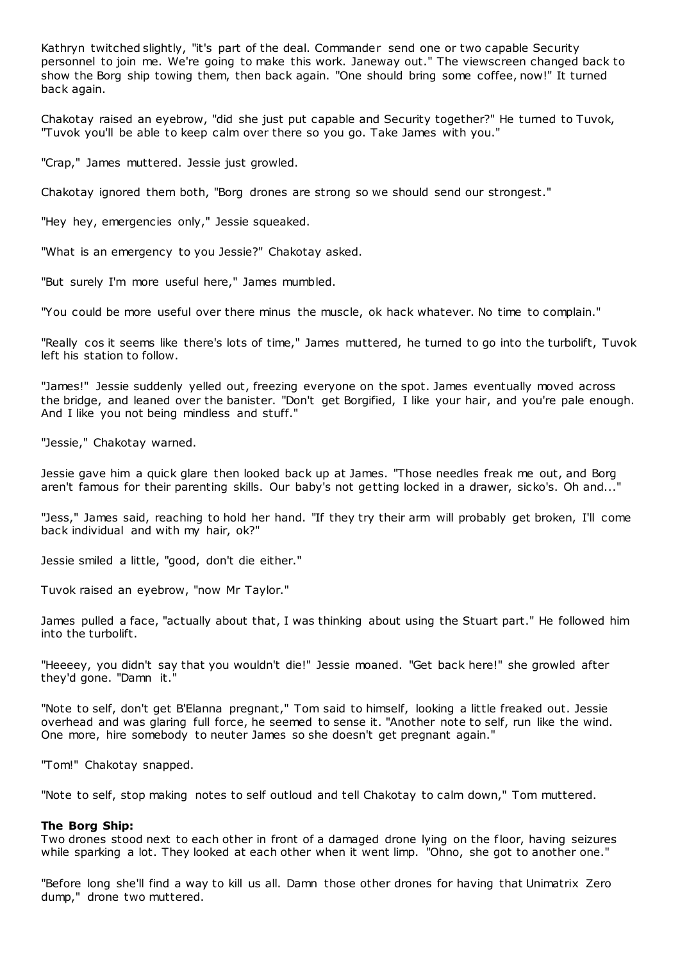Kathryn twitched slightly, "it's part of the deal. Commander send one or two capable Security personnel to join me. We're going to make this work. Janeway out." The viewscreen changed back to show the Borg ship towing them, then back again. "One should bring some coffee, now!" It turned back again.

Chakotay raised an eyebrow, "did she just put capable and Security together?" He turned to Tuvok, "Tuvok you'll be able to keep calm over there so you go. Take James with you."

"Crap," James muttered. Jessie just growled.

Chakotay ignored them both, "Borg drones are strong so we should send our strongest."

"Hey hey, emergencies only," Jessie squeaked.

"What is an emergency to you Jessie?" Chakotay asked.

"But surely I'm more useful here," James mumbled.

"You could be more useful over there minus the muscle, ok hack whatever. No time to complain."

"Really cos it seems like there's lots of time," James muttered, he turned to go into the turbolift, Tuvok left his station to follow.

"James!" Jessie suddenly yelled out, freezing everyone on the spot. James eventually moved across the bridge, and leaned over the banister. "Don't get Borgified, I like your hair, and you're pale enough. And I like you not being mindless and stuff."

"Jessie," Chakotay warned.

Jessie gave him a quick glare then looked back up at James. "Those needles freak me out, and Borg aren't famous for their parenting skills. Our baby's not getting locked in a drawer, sicko's. Oh and..."

"Jess," James said, reaching to hold her hand. "If they try their arm will probably get broken, I'll come back individual and with my hair, ok?"

Jessie smiled a little, "good, don't die either."

Tuvok raised an eyebrow, "now Mr Taylor."

James pulled a face, "actually about that, I was thinking about using the Stuart part." He followed him into the turbolift.

"Heeeey, you didn't say that you wouldn't die!" Jessie moaned. "Get back here!" she growled after they'd gone. "Damn it."

"Note to self, don't get B'Elanna pregnant," Tom said to himself, looking a little freaked out. Jessie overhead and was glaring full force, he seemed to sense it. "Another note to self, run like the wind. One more, hire somebody to neuter James so she doesn't get pregnant again."

"Tom!" Chakotay snapped.

"Note to self, stop making notes to self outloud and tell Chakotay to calm down," Tom muttered.

#### **The Borg Ship:**

Two drones stood next to each other in front of a damaged drone lying on the floor, having seizures while sparking a lot. They looked at each other when it went limp. "Ohno, she got to another one."

"Before long she'll find a way to kill us all. Damn those other drones for having that Unimatrix Zero dump," drone two muttered.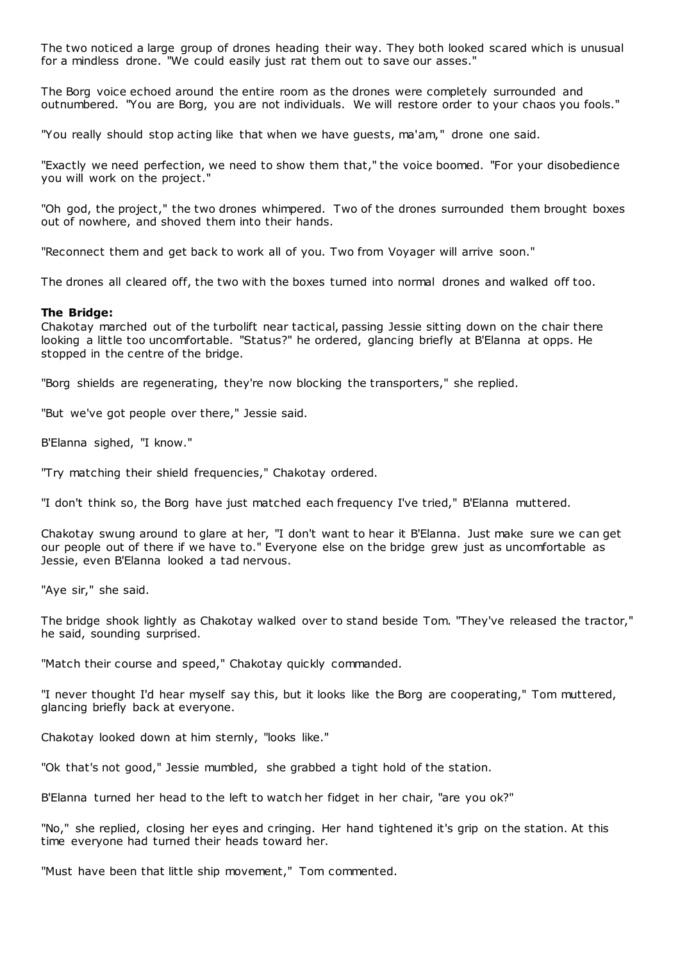The two noticed a large group of drones heading their way. They both looked scared which is unusual for a mindless drone. "We could easily just rat them out to save our asses."

The Borg voice echoed around the entire room as the drones were completely surrounded and outnumbered. "You are Borg, you are not individuals. We will restore order to your chaos you fools."

"You really should stop acting like that when we have guests, ma'am," drone one said.

"Exactly we need perfection, we need to show them that," the voice boomed. "For your disobedience you will work on the project."

"Oh god, the project," the two drones whimpered. Two of the drones surrounded them brought boxes out of nowhere, and shoved them into their hands.

"Reconnect them and get back to work all of you. Two from Voyager will arrive soon."

The drones all cleared off, the two with the boxes turned into normal drones and walked off too.

### **The Bridge:**

Chakotay marched out of the turbolift near tactical, passing Jessie sitting down on the chair there looking a little too uncomfortable. "Status?" he ordered, glancing briefly at B'Elanna at opps. He stopped in the centre of the bridge.

"Borg shields are regenerating, they're now blocking the transporters," she replied.

"But we've got people over there," Jessie said.

B'Elanna sighed, "I know."

"Try matching their shield frequencies," Chakotay ordered.

"I don't think so, the Borg have just matched each frequency I've tried," B'Elanna muttered.

Chakotay swung around to glare at her, "I don't want to hear it B'Elanna. Just make sure we can get our people out of there if we have to." Everyone else on the bridge grew just as uncomfortable as Jessie, even B'Elanna looked a tad nervous.

"Aye sir," she said.

The bridge shook lightly as Chakotay walked over to stand beside Tom. "They've released the tractor," he said, sounding surprised.

"Match their course and speed," Chakotay quickly commanded.

"I never thought I'd hear myself say this, but it looks like the Borg are cooperating," Tom muttered, glancing briefly back at everyone.

Chakotay looked down at him sternly, "looks like."

"Ok that's not good," Jessie mumbled, she grabbed a tight hold of the station.

B'Elanna turned her head to the left to watch her fidget in her chair, "are you ok?"

"No," she replied, closing her eyes and cringing. Her hand tightened it's grip on the station. At this time everyone had turned their heads toward her.

"Must have been that little ship movement," Tom commented.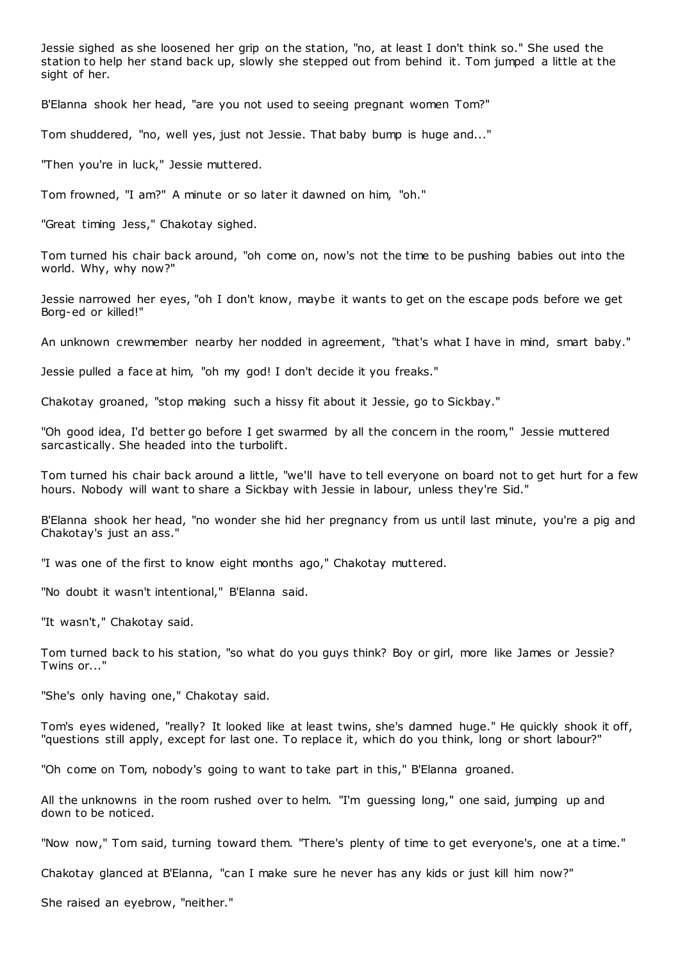Jessie sighed as she loosened her grip on the station, "no, at least I don't think so." She used the station to help her stand back up, slowly she stepped out from behind it. Tom jumped a little at the sight of her.

B'Elanna shook her head, "are you not used to seeing pregnant women Tom?"

Tom shuddered, "no, well yes, just not Jessie. That baby bump is huge and..."

"Then you're in luck," Jessie muttered.

Tom frowned, "I am?" A minute or so later it dawned on him, "oh."

"Great timing Jess," Chakotay sighed.

Tom turned his chair back around, "oh come on, now's not the time to be pushing babies out into the world. Why, why now?"

Jessie narrowed her eyes, "oh I don't know, maybe it wants to get on the escape pods before we get Borg-ed or killed!"

An unknown crewmember nearby her nodded in agreement, "that's what I have in mind, smart baby."

Jessie pulled a face at him, "oh my god! I don't decide it you freaks."

Chakotay groaned, "stop making such a hissy fit about it Jessie, go to Sickbay."

"Oh good idea, I'd better go before I get swarmed by all the concern in the room," Jessie muttered sarcastically. She headed into the turbolift.

Tom turned his chair back around a little, "we'll have to tell everyone on board not to get hurt for a few hours. Nobody will want to share a Sickbay with Jessie in labour, unless they're Sid."

B'Elanna shook her head, "no wonder she hid her pregnancy from us until last minute, you're a pig and Chakotay's just an ass."

"I was one of the first to know eight months ago," Chakotay muttered.

"No doubt it wasn't intentional," B'Elanna said.

"It wasn't," Chakotay said.

Tom turned back to his station, "so what do you guys think? Boy or girl, more like James or Jessie? Twins or..."

"She's only having one," Chakotay said.

Tom's eyes widened, "really? It looked like at least twins, she's damned huge." He quickly shook it off, "questions still apply, except for last one. To replace it, which do you think, long or short labour?"

"Oh come on Tom, nobody's going to want to take part in this," B'Elanna groaned.

All the unknowns in the room rushed over to helm. "I'm guessing long," one said, jumping up and down to be noticed.

"Now now," Tom said, turning toward them. "There's plenty of time to get everyone's, one at a time."

Chakotay glanced at B'Elanna, "can I make sure he never has any kids or just kill him now?"

She raised an eyebrow, "neither."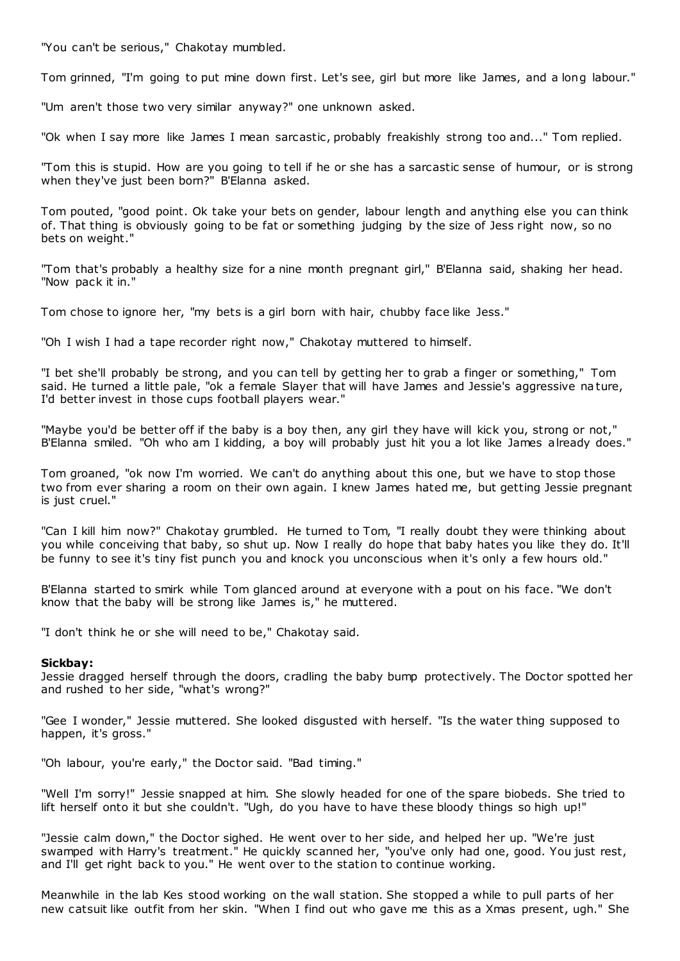"You can't be serious," Chakotay mumbled.

Tom grinned, "I'm going to put mine down first. Let's see, girl but more like James, and a long labour."

"Um aren't those two very similar anyway?" one unknown asked.

"Ok when I say more like James I mean sarcastic, probably freakishly strong too and..." Tom replied.

"Tom this is stupid. How are you going to tell if he or she has a sarcastic sense of humour, or is strong when they've just been born?" B'Elanna asked.

Tom pouted, "good point. Ok take your bets on gender, labour length and anything else you can think of. That thing is obviously going to be fat or something judging by the size of Jess right now, so no bets on weight."

"Tom that's probably a healthy size for a nine month pregnant girl," B'Elanna said, shaking her head. "Now pack it in."

Tom chose to ignore her, "my bets is a girl born with hair, chubby face like Jess."

"Oh I wish I had a tape recorder right now," Chakotay muttered to himself.

"I bet she'll probably be strong, and you can tell by getting her to grab a finger or something," Tom said. He turned a little pale, "ok a female Slayer that will have James and Jessie's aggressive nature, I'd better invest in those cups football players wear."

"Maybe you'd be better off if the baby is a boy then, any girl they have will kick you, strong or not," B'Elanna smiled. "Oh who am I kidding, a boy will probably just hit you a lot like James already does."

Tom groaned, "ok now I'm worried. We can't do anything about this one, but we have to stop those two from ever sharing a room on their own again. I knew James hated me, but getting Jessie pregnant is just cruel."

"Can I kill him now?" Chakotay grumbled. He turned to Tom, "I really doubt they were thinking about you while conceiving that baby, so shut up. Now I really do hope that baby hates you like they do. It'll be funny to see it's tiny fist punch you and knock you unconscious when it's only a few hours old."

B'Elanna started to smirk while Tom glanced around at everyone with a pout on his face. "We don't know that the baby will be strong like James is," he muttered.

"I don't think he or she will need to be," Chakotay said.

# **Sickbay:**

Jessie dragged herself through the doors, cradling the baby bump protectively. The Doctor spotted her and rushed to her side, "what's wrong?"

"Gee I wonder," Jessie muttered. She looked disgusted with herself. "Is the water thing supposed to happen, it's gross."

"Oh labour, you're early," the Doctor said. "Bad timing."

"Well I'm sorry!" Jessie snapped at him. She slowly headed for one of the spare biobeds. She tried to lift herself onto it but she couldn't. "Ugh, do you have to have these bloody things so high up!"

"Jessie calm down," the Doctor sighed. He went over to her side, and helped her up. "We're just swamped with Harry's treatment." He quickly scanned her, "you've only had one, good. You just rest, and I'll get right back to you." He went over to the station to continue working.

Meanwhile in the lab Kes stood working on the wall station. She stopped a while to pull parts of her new catsuit like outfit from her skin. "When I find out who gave me this as a Xmas present, ugh." She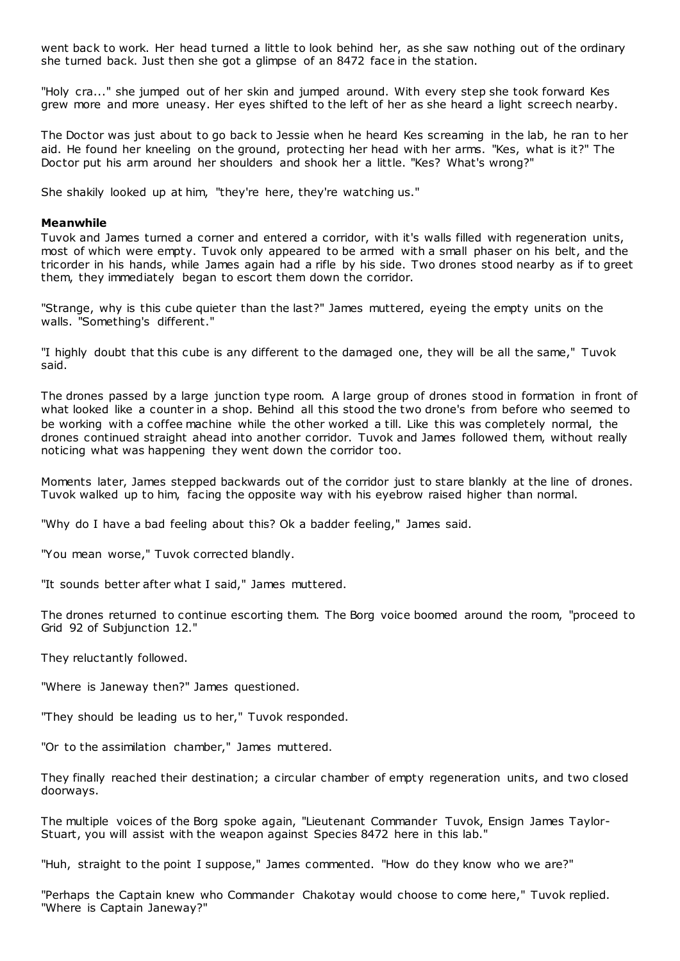went back to work. Her head turned a little to look behind her, as she saw nothing out of the ordinary she turned back. Just then she got a glimpse of an 8472 face in the station.

"Holy cra..." she jumped out of her skin and jumped around. With every step she took forward Kes grew more and more uneasy. Her eyes shifted to the left of her as she heard a light screech nearby.

The Doctor was just about to go back to Jessie when he heard Kes screaming in the lab, he ran to her aid. He found her kneeling on the ground, protecting her head with her arms. "Kes, what is it?" The Doctor put his arm around her shoulders and shook her a little. "Kes? What's wrong?"

She shakily looked up at him, "they're here, they're watching us."

## **Meanwhile**

Tuvok and James turned a corner and entered a corridor, with it's walls filled with regeneration units, most of which were empty. Tuvok only appeared to be armed with a small phaser on his belt, and the tricorder in his hands, while James again had a rifle by his side. Two drones stood nearby as if to greet them, they immediately began to escort them down the corridor.

"Strange, why is this cube quieter than the last?" James muttered, eyeing the empty units on the walls. "Something's different."

"I highly doubt that this cube is any different to the damaged one, they will be all the same," Tuvok said.

The drones passed by a large junction type room. A large group of drones stood in formation in front of what looked like a counter in a shop. Behind all this stood the two drone's from before who seemed to be working with a coffee machine while the other worked a till. Like this was completely normal, the drones continued straight ahead into another corridor. Tuvok and James followed them, without really noticing what was happening they went down the corridor too.

Moments later, James stepped backwards out of the corridor just to stare blankly at the line of drones. Tuvok walked up to him, facing the opposite way with his eyebrow raised higher than normal.

"Why do I have a bad feeling about this? Ok a badder feeling," James said.

"You mean worse," Tuvok corrected blandly.

"It sounds better after what I said," James muttered.

The drones returned to continue escorting them. The Borg voice boomed around the room, "proceed to Grid 92 of Subjunction 12."

They reluctantly followed.

"Where is Janeway then?" James questioned.

"They should be leading us to her," Tuvok responded.

"Or to the assimilation chamber," James muttered.

They finally reached their destination; a circular chamber of empty regeneration units, and two closed doorways.

The multiple voices of the Borg spoke again, "Lieutenant Commander Tuvok, Ensign James Taylor-Stuart, you will assist with the weapon against Species 8472 here in this lab."

"Huh, straight to the point I suppose," James commented. "How do they know who we are?"

"Perhaps the Captain knew who Commander Chakotay would choose to come here," Tuvok replied. "Where is Captain Janeway?"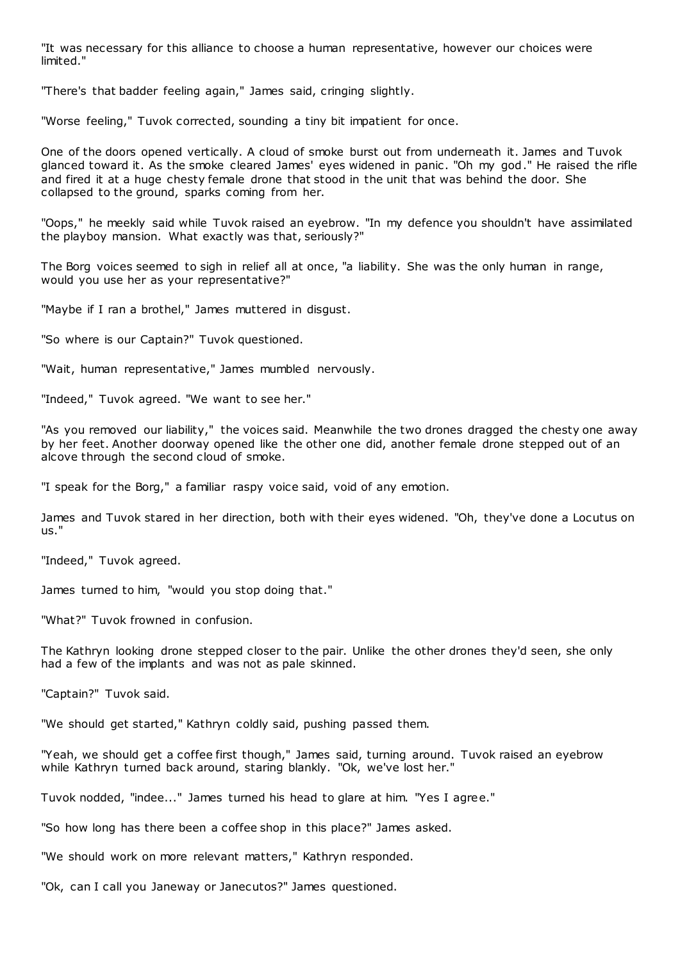"It was necessary for this alliance to choose a human representative, however our choices were limited."

"There's that badder feeling again," James said, cringing slightly.

"Worse feeling," Tuvok corrected, sounding a tiny bit impatient for once.

One of the doors opened vertically. A cloud of smoke burst out from underneath it. James and Tuvok glanced toward it. As the smoke cleared James' eyes widened in panic . "Oh my god." He raised the rifle and fired it at a huge chesty female drone that stood in the unit that was behind the door. She collapsed to the ground, sparks coming from her.

"Oops," he meekly said while Tuvok raised an eyebrow. "In my defence you shouldn't have assimilated the playboy mansion. What exactly was that, seriously?"

The Borg voices seemed to sigh in relief all at once, "a liability. She was the only human in range, would you use her as your representative?"

"Maybe if I ran a brothel," James muttered in disgust.

"So where is our Captain?" Tuvok questioned.

"Wait, human representative," James mumbled nervously.

"Indeed," Tuvok agreed. "We want to see her."

"As you removed our liability," the voices said. Meanwhile the two drones dragged the chesty one away by her feet. Another doorway opened like the other one did, another female drone stepped out of an alcove through the second cloud of smoke.

"I speak for the Borg," a familiar raspy voice said, void of any emotion.

James and Tuvok stared in her direction, both with their eyes widened. "Oh, they've done a Locutus on us."

"Indeed," Tuvok agreed.

James turned to him, "would you stop doing that."

"What?" Tuvok frowned in confusion.

The Kathryn looking drone stepped closer to the pair. Unlike the other drones they'd seen, she only had a few of the implants and was not as pale skinned.

"Captain?" Tuvok said.

"We should get started," Kathryn coldly said, pushing passed them.

"Yeah, we should get a coffee first though," James said, turning around. Tuvok raised an eyebrow while Kathryn turned back around, staring blankly. "Ok, we've lost her."

Tuvok nodded, "indee..." James turned his head to glare at him. "Yes I agree."

"So how long has there been a coffee shop in this place?" James asked.

"We should work on more relevant matters," Kathryn responded.

"Ok, can I call you Janeway or Janecutos?" James questioned.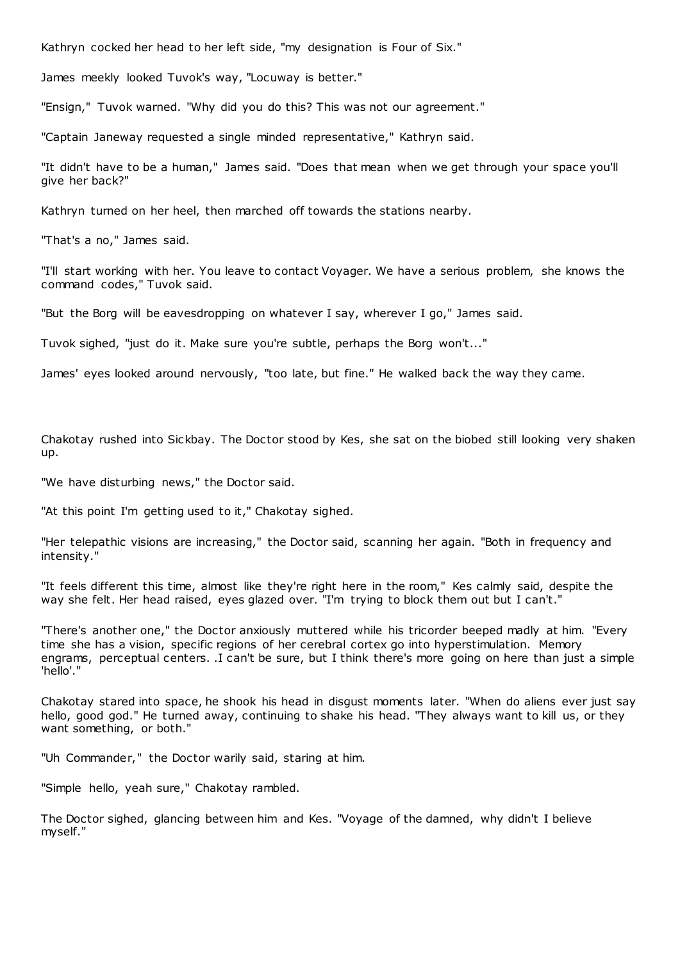Kathryn cocked her head to her left side, "my designation is Four of Six."

James meekly looked Tuvok's way, "Locuway is better."

"Ensign," Tuvok warned. "Why did you do this? This was not our agreement."

"Captain Janeway requested a single minded representative," Kathryn said.

"It didn't have to be a human," James said. "Does that mean when we get through your space you'll give her back?"

Kathryn turned on her heel, then marched off towards the stations nearby.

"That's a no," James said.

"I'll start working with her. You leave to contact Voyager. We have a serious problem, she knows the command codes," Tuvok said.

"But the Borg will be eavesdropping on whatever I say, wherever I go," James said.

Tuvok sighed, "just do it. Make sure you're subtle, perhaps the Borg won't..."

James' eyes looked around nervously, "too late, but fine." He walked back the way they came.

Chakotay rushed into Sickbay. The Doctor stood by Kes, she sat on the biobed still looking very shaken up.

"We have disturbing news," the Doctor said.

"At this point I'm getting used to it," Chakotay sighed.

"Her telepathic visions are increasing," the Doctor said, scanning her again. "Both in frequency and intensity."

"It feels different this time, almost like they're right here in the room," Kes calmly said, despite the way she felt. Her head raised, eyes glazed over. "I'm trying to block them out but I can't."

"There's another one," the Doctor anxiously muttered while his tricorder beeped madly at him. "Every time she has a vision, specific regions of her cerebral cortex go into hyperstimulation. Memory engrams, perceptual centers. .I can't be sure, but I think there's more going on here than just a simple 'hello'."

Chakotay stared into space, he shook his head in disgust moments later. "When do aliens ever just say hello, good god." He turned away, continuing to shake his head. "They always want to kill us, or they want something, or both."

"Uh Commander," the Doctor warily said, staring at him.

"Simple hello, yeah sure," Chakotay rambled.

The Doctor sighed, glancing between him and Kes. "Voyage of the damned, why didn't I believe myself."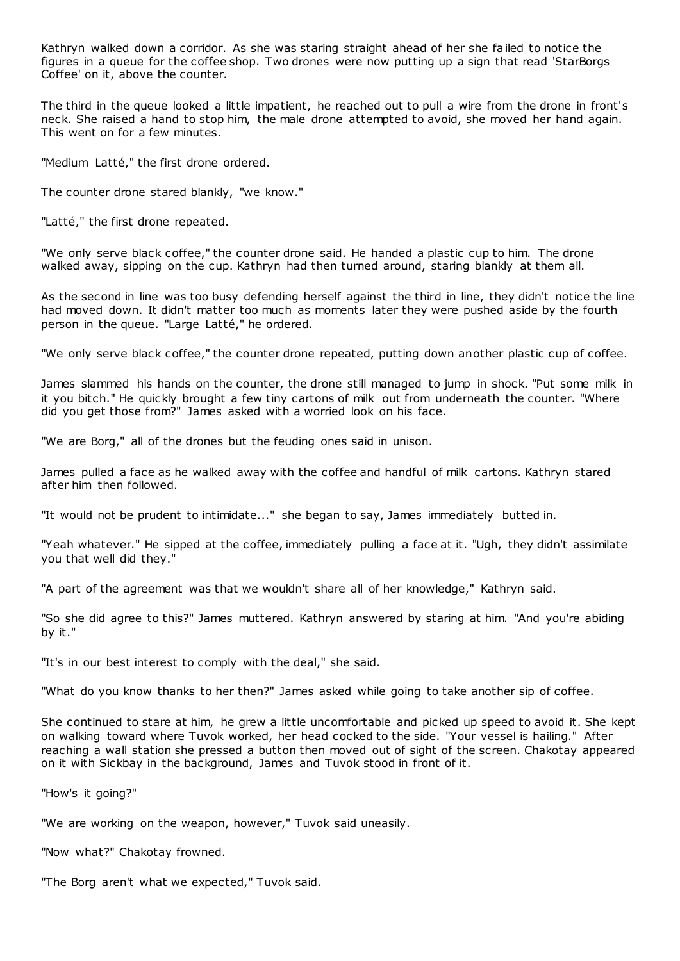Kathryn walked down a corridor. As she was staring straight ahead of her she failed to notice the figures in a queue for the coffee shop. Two drones were now putting up a sign that read 'StarBorgs Coffee' on it, above the counter.

The third in the queue looked a little impatient, he reached out to pull a wire from the drone in front's neck. She raised a hand to stop him, the male drone attempted to avoid, she moved her hand again. This went on for a few minutes.

"Medium Latté," the first drone ordered.

The counter drone stared blankly, "we know."

"Latté," the first drone repeated.

"We only serve black coffee," the counter drone said. He handed a plastic cup to him. The drone walked away, sipping on the cup. Kathryn had then turned around, staring blankly at them all.

As the second in line was too busy defending herself against the third in line, they didn't notice the line had moved down. It didn't matter too much as moments later they were pushed aside by the fourth person in the queue. "Large Latté," he ordered.

"We only serve black coffee," the counter drone repeated, putting down another plastic cup of coffee.

James slammed his hands on the counter, the drone still managed to jump in shock. "Put some milk in it you bitch." He quickly brought a few tiny cartons of milk out from underneath the counter. "Where did you get those from?" James asked with a worried look on his face.

"We are Borg," all of the drones but the feuding ones said in unison.

James pulled a face as he walked away with the coffee and handful of milk cartons. Kathryn stared after him then followed.

"It would not be prudent to intimidate..." she began to say, James immediately butted in.

"Yeah whatever." He sipped at the coffee, immediately pulling a face at it. "Ugh, they didn't assimilate you that well did they."

"A part of the agreement was that we wouldn't share all of her knowledge," Kathryn said.

"So she did agree to this?" James muttered. Kathryn answered by staring at him. "And you're abiding by it."

"It's in our best interest to comply with the deal," she said.

"What do you know thanks to her then?" James asked while going to take another sip of coffee.

She continued to stare at him, he grew a little uncomfortable and picked up speed to avoid it. She kept on walking toward where Tuvok worked, her head cocked to the side. "Your vessel is hailing." After reaching a wall station she pressed a button then moved out of sight of the screen. Chakotay appeared on it with Sickbay in the background, James and Tuvok stood in front of it.

"How's it going?"

"We are working on the weapon, however," Tuvok said uneasily.

"Now what?" Chakotay frowned.

"The Borg aren't what we expected," Tuvok said.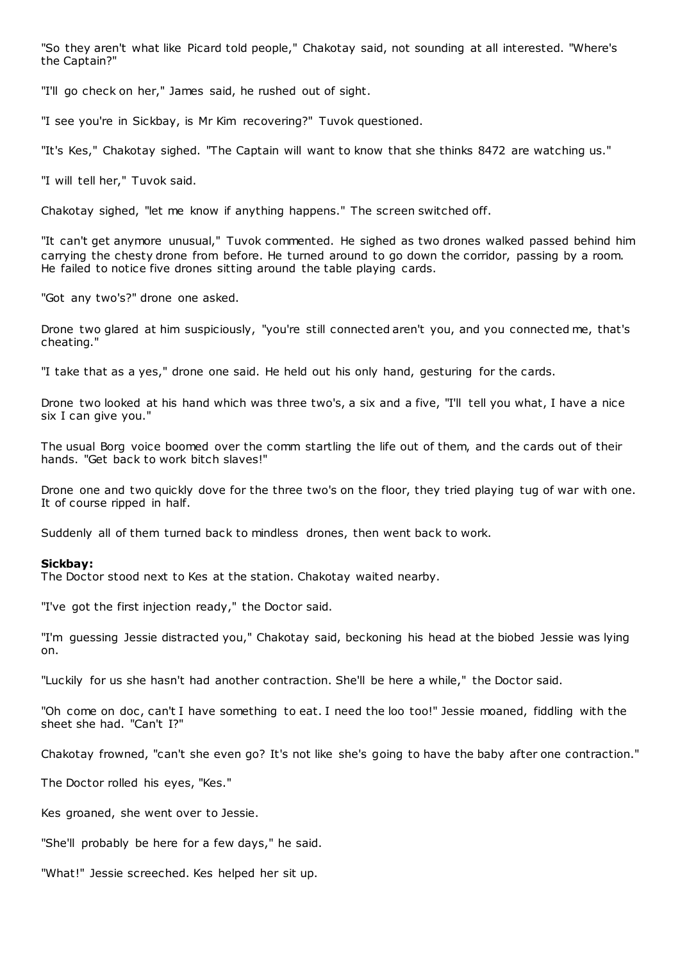"So they aren't what like Picard told people," Chakotay said, not sounding at all interested. "Where's the Captain?"

"I'll go check on her," James said, he rushed out of sight.

"I see you're in Sickbay, is Mr Kim recovering?" Tuvok questioned.

"It's Kes," Chakotay sighed. "The Captain will want to know that she thinks 8472 are watching us."

"I will tell her," Tuvok said.

Chakotay sighed, "let me know if anything happens." The screen switched off.

"It can't get anymore unusual," Tuvok commented. He sighed as two drones walked passed behind him carrying the chesty drone from before. He turned around to go down the corridor, passing by a room. He failed to notice five drones sitting around the table playing cards.

"Got any two's?" drone one asked.

Drone two glared at him suspiciously, "you're still connected aren't you, and you connected me, that's cheating."

"I take that as a yes," drone one said. He held out his only hand, gesturing for the cards.

Drone two looked at his hand which was three two's, a six and a five, "I'll tell you what, I have a nice six I can give you."

The usual Borg voice boomed over the comm startling the life out of them, and the cards out of their hands. "Get back to work bitch slaves!"

Drone one and two quickly dove for the three two's on the floor, they tried playing tug of war with one. It of course ripped in half.

Suddenly all of them turned back to mindless drones, then went back to work.

### **Sickbay:**

The Doctor stood next to Kes at the station. Chakotay waited nearby.

"I've got the first injection ready," the Doctor said.

"I'm guessing Jessie distracted you," Chakotay said, beckoning his head at the biobed Jessie was lying on.

"Luckily for us she hasn't had another contraction. She'll be here a while," the Doctor said.

"Oh come on doc, can't I have something to eat. I need the loo too!" Jessie moaned, fiddling with the sheet she had. "Can't I?"

Chakotay frowned, "can't she even go? It's not like she's going to have the baby after one contraction."

The Doctor rolled his eyes, "Kes."

Kes groaned, she went over to Jessie.

"She'll probably be here for a few days," he said.

"What!" Jessie screeched. Kes helped her sit up.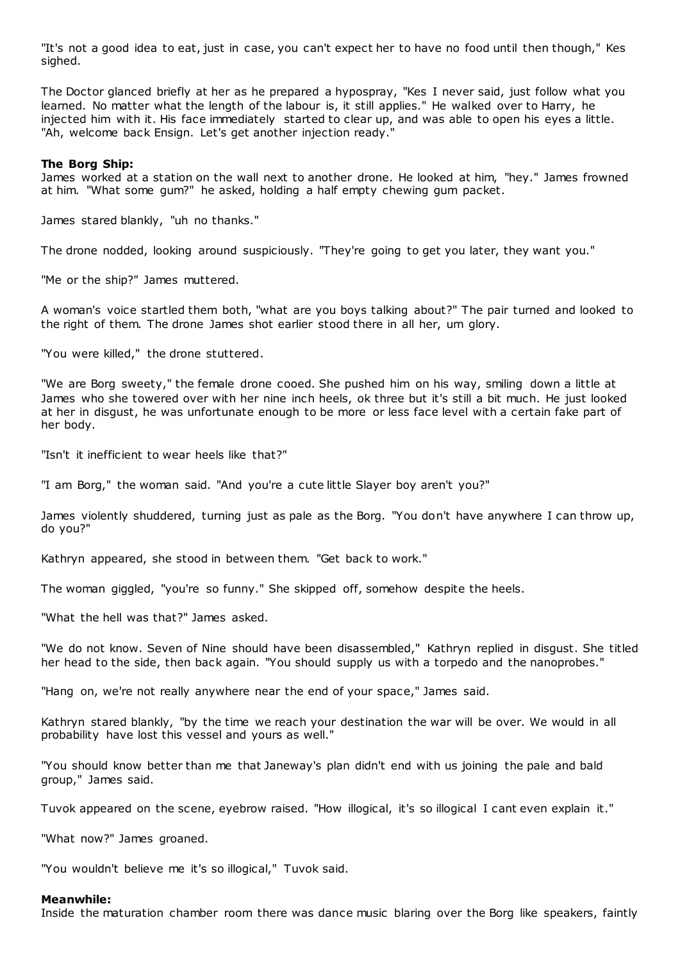"It's not a good idea to eat, just in case, you can't expect her to have no food until then though," Kes sighed.

The Doctor glanced briefly at her as he prepared a hypospray, "Kes I never said, just follow what you learned. No matter what the length of the labour is, it still applies." He walked over to Harry, he injected him with it. His face immediately started to clear up, and was able to open his eyes a little. "Ah, welcome back Ensign. Let's get another injection ready."

### **The Borg Ship:**

James worked at a station on the wall next to another drone. He looked at him, "hey." James frowned at him. "What some gum?" he asked, holding a half empty chewing gum packet.

James stared blankly, "uh no thanks."

The drone nodded, looking around suspiciously. "They're going to get you later, they want you."

"Me or the ship?" James muttered.

A woman's voice startled them both, "what are you boys talking about?" The pair turned and looked to the right of them. The drone James shot earlier stood there in all her, um glory.

"You were killed," the drone stuttered.

"We are Borg sweety," the female drone cooed. She pushed him on his way, smiling down a little at James who she towered over with her nine inch heels, ok three but it's still a bit much. He just looked at her in disgust, he was unfortunate enough to be more or less face level with a certain fake part of her body.

"Isn't it inefficient to wear heels like that?"

"I am Borg," the woman said. "And you're a cute little Slayer boy aren't you?"

James violently shuddered, turning just as pale as the Borg. "You don't have anywhere I can throw up, do you?"

Kathryn appeared, she stood in between them. "Get back to work."

The woman giggled, "you're so funny." She skipped off, somehow despite the heels.

"What the hell was that?" James asked.

"We do not know. Seven of Nine should have been disassembled," Kathryn replied in disgust. She titled her head to the side, then back again. "You should supply us with a torpedo and the nanoprobes."

"Hang on, we're not really anywhere near the end of your space," James said.

Kathryn stared blankly, "by the time we reach your destination the war will be over. We would in all probability have lost this vessel and yours as well."

"You should know better than me that Janeway's plan didn't end with us joining the pale and bald group," James said.

Tuvok appeared on the scene, eyebrow raised. "How illogical, it's so illogical I cant even explain it."

"What now?" James groaned.

"You wouldn't believe me it's so illogical," Tuvok said.

### **Meanwhile:**

Inside the maturation chamber room there was dance music blaring over the Borg like speakers, faintly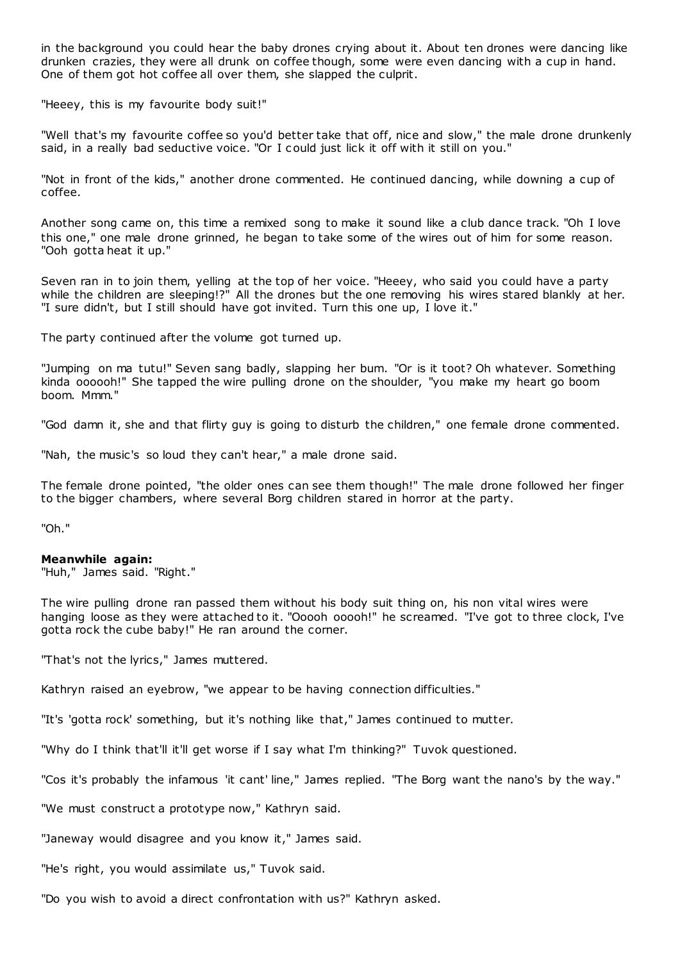in the background you could hear the baby drones crying about it. About ten drones were dancing like drunken crazies, they were all drunk on coffee though, some were even dancing with a cup in hand. One of them got hot coffee all over them, she slapped the culprit.

"Heeey, this is my favourite body suit!"

"Well that's my favourite coffee so you'd better take that off, nice and slow," the male drone drunkenly said, in a really bad seductive voice. "Or I could just lick it off with it still on you."

"Not in front of the kids," another drone commented. He continued dancing, while downing a cup of coffee.

Another song came on, this time a remixed song to make it sound like a club dance track. "Oh I love this one," one male drone grinned, he began to take some of the wires out of him for some reason. "Ooh gotta heat it up."

Seven ran in to join them, yelling at the top of her voice. "Heeey, who said you could have a party while the children are sleeping!?" All the drones but the one removing his wires stared blankly at her. "I sure didn't, but I still should have got invited. Turn this one up, I love it."

The party continued after the volume got turned up.

"Jumping on ma tutu!" Seven sang badly, slapping her bum. "Or is it toot? Oh whatever. Something kinda oooooh!" She tapped the wire pulling drone on the shoulder, "you make my heart go boom boom. Mmm."

"God damn it, she and that flirty guy is going to disturb the children," one female drone commented.

"Nah, the music's so loud they can't hear," a male drone said.

The female drone pointed, "the older ones can see them though!" The male drone followed her finger to the bigger chambers, where several Borg children stared in horror at the party.

"Oh."

# **Meanwhile again:**

"Huh," James said. "Right."

The wire pulling drone ran passed them without his body suit thing on, his non vital wires were hanging loose as they were attached to it. "Ooooh ooooh!" he screamed. "I've got to three clock, I've gotta rock the cube baby!" He ran around the corner.

"That's not the lyrics," James muttered.

Kathryn raised an eyebrow, "we appear to be having connection difficulties."

"It's 'gotta rock' something, but it's nothing like that," James continued to mutter.

"Why do I think that'll it'll get worse if I say what I'm thinking?" Tuvok questioned.

"Cos it's probably the infamous 'it cant' line," James replied. "The Borg want the nano's by the way."

"We must construct a prototype now," Kathryn said.

"Janeway would disagree and you know it," James said.

"He's right, you would assimilate us," Tuvok said.

"Do you wish to avoid a direct confrontation with us?" Kathryn asked.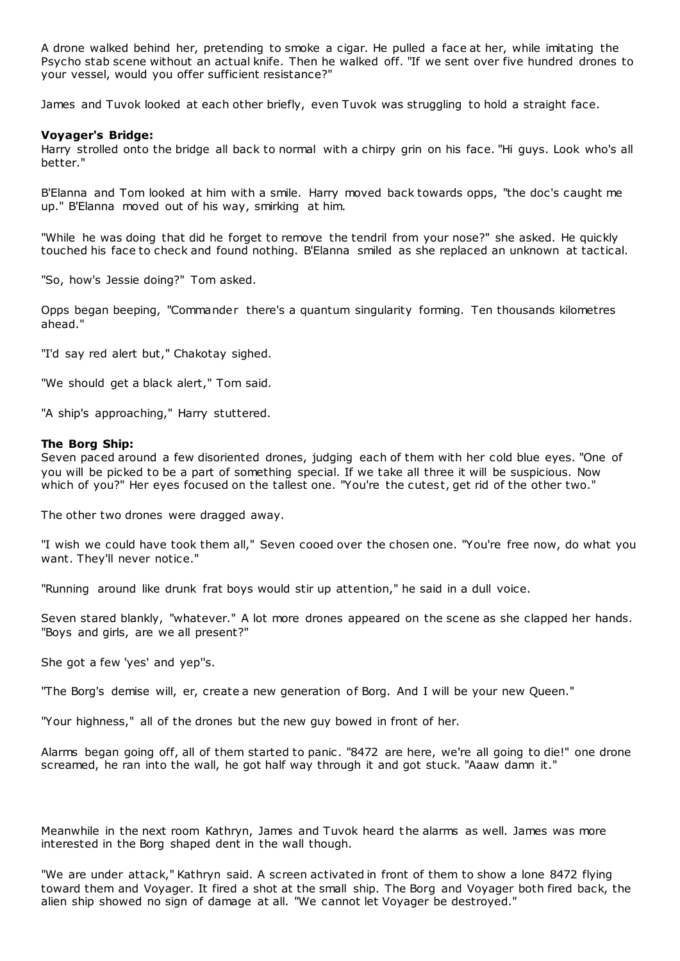A drone walked behind her, pretending to smoke a cigar. He pulled a face at her, while imitating the Psycho stab scene without an actual knife. Then he walked off. "If we sent over five hundred drones to your vessel, would you offer sufficient resistance?"

James and Tuvok looked at each other briefly, even Tuvok was struggling to hold a straight face.

# **Voyager's Bridge:**

Harry strolled onto the bridge all back to normal with a chirpy grin on his face. "Hi guys. Look who's all better."

B'Elanna and Tom looked at him with a smile. Harry moved back towards opps, "the doc's caught me up." B'Elanna moved out of his way, smirking at him.

"While he was doing that did he forget to remove the tendril from your nose?" she asked. He quickly touched his face to check and found nothing. B'Elanna smiled as she replaced an unknown at tactical.

"So, how's Jessie doing?" Tom asked.

Opps began beeping, "Commander there's a quantum singularity forming. Ten thousands kilometres ahead."

"I'd say red alert but," Chakotay sighed.

"We should get a black alert," Tom said.

"A ship's approaching," Harry stuttered.

# **The Borg Ship:**

Seven paced around a few disoriented drones, judging each of them with her cold blue eyes. "One of you will be picked to be a part of something special. If we take all three it will be suspicious. Now which of you?" Her eyes focused on the tallest one. "You're the cutest, get rid of the other two."

The other two drones were dragged away.

"I wish we could have took them all," Seven cooed over the chosen one. "You're free now, do what you want. They'll never notice."

"Running around like drunk frat boys would stir up attention," he said in a dull voice.

Seven stared blankly, "whatever." A lot more drones appeared on the scene as she clapped her hands. "Boys and girls, are we all present?"

She got a few 'yes' and yep''s.

"The Borg's demise will, er, create a new generation of Borg. And I will be your new Queen."

"Your highness," all of the drones but the new guy bowed in front of her.

Alarms began going off, all of them started to panic. "8472 are here, we're all going to die!" one drone screamed, he ran into the wall, he got half way through it and got stuck. "Aaaw damn it."

Meanwhile in the next room Kathryn, James and Tuvok heard the alarms as well. James was more interested in the Borg shaped dent in the wall though.

"We are under attack," Kathryn said. A screen activated in front of them to show a lone 8472 flying toward them and Voyager. It fired a shot at the small ship. The Borg and Voyager both fired back, the alien ship showed no sign of damage at all. "We cannot let Voyager be destroyed."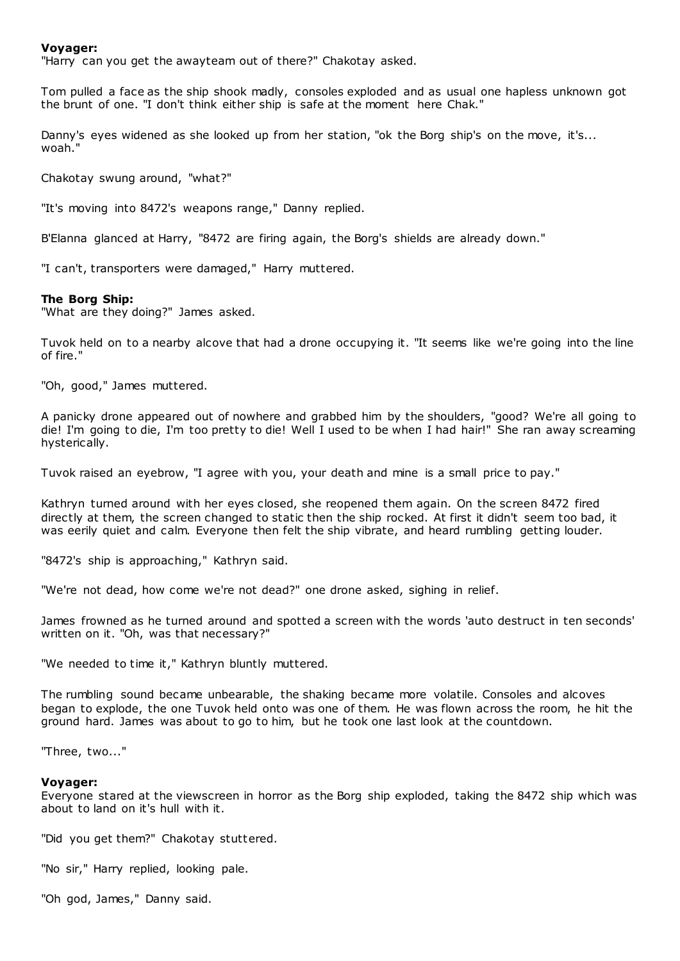## **Voyager:**

"Harry can you get the awayteam out of there?" Chakotay asked.

Tom pulled a face as the ship shook madly, consoles exploded and as usual one hapless unknown got the brunt of one. "I don't think either ship is safe at the moment here Chak."

Danny's eyes widened as she looked up from her station, "ok the Borg ship's on the move, it's... woah."

Chakotay swung around, "what?"

"It's moving into 8472's weapons range," Danny replied.

B'Elanna glanced at Harry, "8472 are firing again, the Borg's shields are already down."

"I can't, transporters were damaged," Harry muttered.

#### **The Borg Ship:**

"What are they doing?" James asked.

Tuvok held on to a nearby alcove that had a drone occupying it. "It seems like we're going into the line of fire."

"Oh, good," James muttered.

A panicky drone appeared out of nowhere and grabbed him by the shoulders, "good? We're all going to die! I'm going to die, I'm too pretty to die! Well I used to be when I had hair!" She ran away screaming hysterically.

Tuvok raised an eyebrow, "I agree with you, your death and mine is a small price to pay."

Kathryn turned around with her eyes closed, she reopened them again. On the screen 8472 fired directly at them, the screen changed to static then the ship rocked. At first it didn't seem too bad, it was eerily quiet and calm. Everyone then felt the ship vibrate, and heard rumbling getting louder.

"8472's ship is approaching," Kathryn said.

"We're not dead, how come we're not dead?" one drone asked, sighing in relief.

James frowned as he turned around and spotted a screen with the words 'auto destruct in ten seconds' written on it. "Oh, was that necessary?"

"We needed to time it," Kathryn bluntly muttered.

The rumbling sound became unbearable, the shaking became more volatile. Consoles and alcoves began to explode, the one Tuvok held onto was one of them. He was flown across the room, he hit the ground hard. James was about to go to him, but he took one last look at the countdown.

"Three, two..."

#### **Voyager:**

Everyone stared at the viewscreen in horror as the Borg ship exploded, taking the 8472 ship which was about to land on it's hull with it.

"Did you get them?" Chakotay stuttered.

"No sir," Harry replied, looking pale.

"Oh god, James," Danny said.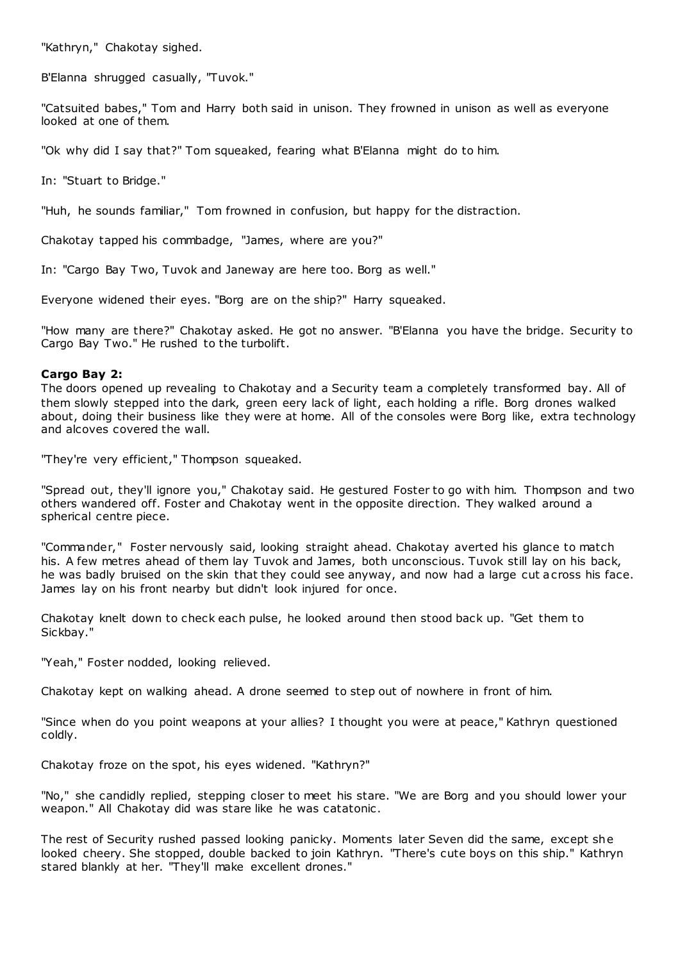"Kathryn," Chakotay sighed.

B'Elanna shrugged casually, "Tuvok."

"Catsuited babes," Tom and Harry both said in unison. They frowned in unison as well as everyone looked at one of them.

"Ok why did I say that?" Tom squeaked, fearing what B'Elanna might do to him.

In: "Stuart to Bridge."

"Huh, he sounds familiar," Tom frowned in confusion, but happy for the distraction.

Chakotay tapped his commbadge, "James, where are you?"

In: "Cargo Bay Two, Tuvok and Janeway are here too. Borg as well."

Everyone widened their eyes. "Borg are on the ship?" Harry squeaked.

"How many are there?" Chakotay asked. He got no answer. "B'Elanna you have the bridge. Security to Cargo Bay Two." He rushed to the turbolift.

# **Cargo Bay 2:**

The doors opened up revealing to Chakotay and a Security team a completely transformed bay. All of them slowly stepped into the dark, green eery lack of light, each holding a rifle. Borg drones walked about, doing their business like they were at home. All of the consoles were Borg like, extra technology and alcoves covered the wall.

"They're very efficient," Thompson squeaked.

"Spread out, they'll ignore you," Chakotay said. He gestured Foster to go with him. Thompson and two others wandered off. Foster and Chakotay went in the opposite direction. They walked around a spherical centre piece.

"Commander," Foster nervously said, looking straight ahead. Chakotay averted his glance to match his. A few metres ahead of them lay Tuvok and James, both unconscious. Tuvok still lay on his back, he was badly bruised on the skin that they could see anyway, and now had a large cut across his face. James lay on his front nearby but didn't look injured for once.

Chakotay knelt down to check each pulse, he looked around then stood back up. "Get them to Sickbay."

"Yeah," Foster nodded, looking relieved.

Chakotay kept on walking ahead. A drone seemed to step out of nowhere in front of him.

"Since when do you point weapons at your allies? I thought you were at peace," Kathryn questioned coldly.

Chakotay froze on the spot, his eyes widened. "Kathryn?"

"No," she candidly replied, stepping closer to meet his stare. "We are Borg and you should lower your weapon." All Chakotay did was stare like he was catatonic .

The rest of Security rushed passed looking panicky. Moments later Seven did the same, except she looked cheery. She stopped, double backed to join Kathryn. "There's cute boys on this ship." Kathryn stared blankly at her. "They'll make excellent drones."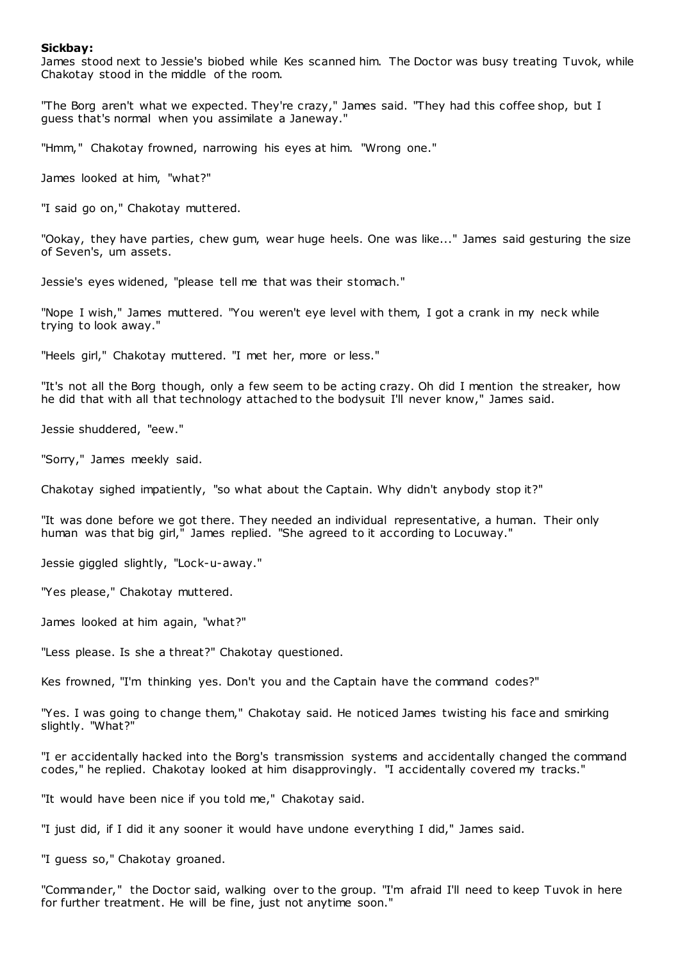### **Sickbay:**

James stood next to Jessie's biobed while Kes scanned him. The Doctor was busy treating Tuvok, while Chakotay stood in the middle of the room.

"The Borg aren't what we expected. They're crazy," James said. "They had this coffee shop, but I guess that's normal when you assimilate a Janeway."

"Hmm," Chakotay frowned, narrowing his eyes at him. "Wrong one."

James looked at him, "what?"

"I said go on," Chakotay muttered.

"Ookay, they have parties, chew gum, wear huge heels. One was like..." James said gesturing the size of Seven's, um assets.

Jessie's eyes widened, "please tell me that was their stomach."

"Nope I wish," James muttered. "You weren't eye level with them, I got a crank in my neck while trying to look away."

"Heels girl," Chakotay muttered. "I met her, more or less."

"It's not all the Borg though, only a few seem to be acting crazy. Oh did I mention the streaker, how he did that with all that technology attached to the bodysuit I'll never know," James said.

Jessie shuddered, "eew."

"Sorry," James meekly said.

Chakotay sighed impatiently, "so what about the Captain. Why didn't anybody stop it?"

"It was done before we got there. They needed an individual representative, a human. Their only human was that big girl," James replied. "She agreed to it according to Locuway."

Jessie giggled slightly, "Lock-u-away."

"Yes please," Chakotay muttered.

James looked at him again, "what?"

"Less please. Is she a threat?" Chakotay questioned.

Kes frowned, "I'm thinking yes. Don't you and the Captain have the command codes?"

"Yes. I was going to change them," Chakotay said. He noticed James twisting his face and smirking slightly. "What?"

"I er accidentally hacked into the Borg's transmission systems and accidentally changed the command codes," he replied. Chakotay looked at him disapprovingly. "I accidentally covered my tracks."

"It would have been nice if you told me," Chakotay said.

"I just did, if I did it any sooner it would have undone everything I did," James said.

"I guess so," Chakotay groaned.

"Commander," the Doctor said, walking over to the group. "I'm afraid I'll need to keep Tuvok in here for further treatment. He will be fine, just not anytime soon."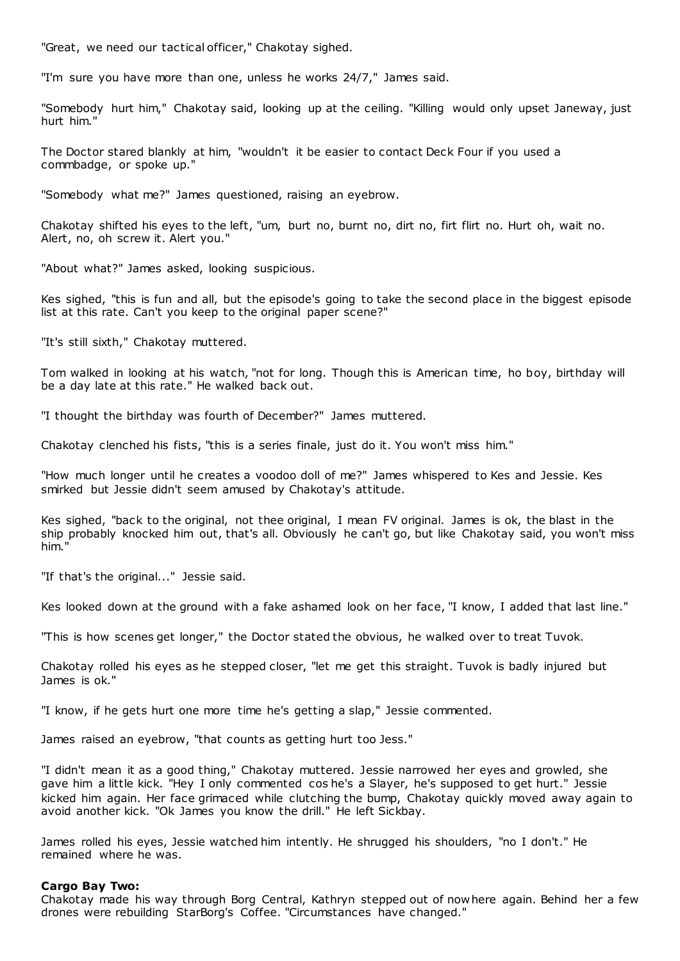"Great, we need our tactical officer," Chakotay sighed.

"I'm sure you have more than one, unless he works 24/7," James said.

"Somebody hurt him," Chakotay said, looking up at the ceiling. "Killing would only upset Janeway, just hurt him."

The Doctor stared blankly at him, "wouldn't it be easier to contact Deck Four if you used a commbadge, or spoke up."

"Somebody what me?" James questioned, raising an eyebrow.

Chakotay shifted his eyes to the left, "um, burt no, burnt no, dirt no, firt flirt no. Hurt oh, wait no. Alert, no, oh screw it. Alert you."

"About what?" James asked, looking suspicious.

Kes sighed, "this is fun and all, but the episode's going to take the second place in the biggest episode list at this rate. Can't you keep to the original paper scene?"

"It's still sixth," Chakotay muttered.

Tom walked in looking at his watch, "not for long. Though this is American time, ho boy, birthday will be a day late at this rate." He walked back out.

"I thought the birthday was fourth of December?" James muttered.

Chakotay clenched his fists, "this is a series finale, just do it. You won't miss him."

"How much longer until he creates a voodoo doll of me?" James whispered to Kes and Jessie. Kes smirked but Jessie didn't seem amused by Chakotay's attitude.

Kes sighed, "back to the original, not thee original, I mean FV original. James is ok, the blast in the ship probably knocked him out, that's all. Obviously he can't go, but like Chakotay said, you won't miss him."

"If that's the original..." Jessie said.

Kes looked down at the ground with a fake ashamed look on her face, "I know, I added that last line."

"This is how scenes get longer," the Doctor stated the obvious, he walked over to treat Tuvok.

Chakotay rolled his eyes as he stepped closer, "let me get this straight. Tuvok is badly injured but James is ok."

"I know, if he gets hurt one more time he's getting a slap," Jessie commented.

James raised an eyebrow, "that counts as getting hurt too Jess."

"I didn't mean it as a good thing," Chakotay muttered. Jessie narrowed her eyes and growled, she gave him a little kick. "Hey I only commented cos he's a Slayer, he's supposed to get hurt." Jessie kicked him again. Her face grimaced while clutching the bump, Chakotay quickly moved away again to avoid another kick. "Ok James you know the drill." He left Sickbay.

James rolled his eyes, Jessie watched him intently. He shrugged his shoulders, "no I don't." He remained where he was.

### **Cargo Bay Two:**

Chakotay made his way through Borg Central, Kathryn stepped out of nowhere again. Behind her a few drones were rebuilding StarBorg's Coffee. "Circumstances have changed."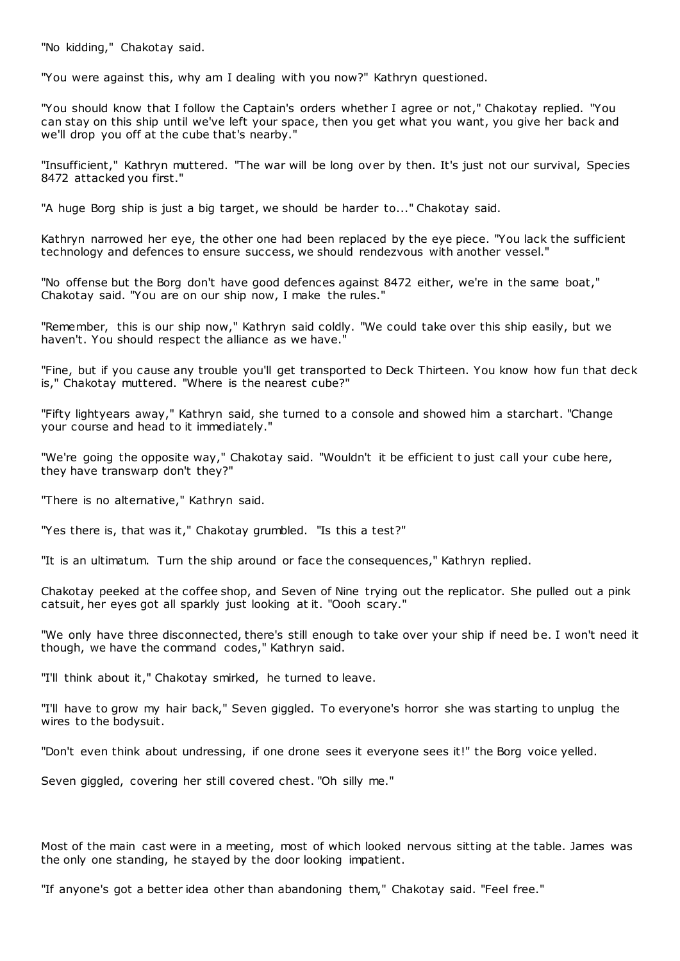"No kidding," Chakotay said.

"You were against this, why am I dealing with you now?" Kathryn questioned.

"You should know that I follow the Captain's orders whether I agree or not," Chakotay replied. "You can stay on this ship until we've left your space, then you get what you want, you give her back and we'll drop you off at the cube that's nearby."

"Insufficient," Kathryn muttered. "The war will be long over by then. It's just not our survival, Species 8472 attacked you first."

"A huge Borg ship is just a big target, we should be harder to..." Chakotay said.

Kathryn narrowed her eye, the other one had been replaced by the eye piece. "You lack the sufficient technology and defences to ensure success, we should rendezvous with another vessel."

"No offense but the Borg don't have good defences against 8472 either, we're in the same boat," Chakotay said. "You are on our ship now, I make the rules."

"Remember, this is our ship now," Kathryn said coldly. "We could take over this ship easily, but we haven't. You should respect the alliance as we have."

"Fine, but if you cause any trouble you'll get transported to Deck Thirteen. You know how fun that deck is," Chakotay muttered. "Where is the nearest cube?"

"Fifty lightyears away," Kathryn said, she turned to a console and showed him a starchart. "Change your course and head to it immediately."

"We're going the opposite way," Chakotay said. "Wouldn't it be efficient to just call your cube here, they have transwarp don't they?"

"There is no alternative," Kathryn said.

"Yes there is, that was it," Chakotay grumbled. "Is this a test?"

"It is an ultimatum. Turn the ship around or face the consequences," Kathryn replied.

Chakotay peeked at the coffee shop, and Seven of Nine trying out the replicator. She pulled out a pink catsuit, her eyes got all sparkly just looking at it. "Oooh scary."

"We only have three disconnected, there's still enough to take over your ship if need be. I won't need it though, we have the command codes," Kathryn said.

"I'll think about it," Chakotay smirked, he turned to leave.

"I'll have to grow my hair back," Seven giggled. To everyone's horror she was starting to unplug the wires to the bodysuit.

"Don't even think about undressing, if one drone sees it everyone sees it!" the Borg voice yelled.

Seven giggled, covering her still covered chest. "Oh silly me."

Most of the main cast were in a meeting, most of which looked nervous sitting at the table. James was the only one standing, he stayed by the door looking impatient.

"If anyone's got a better idea other than abandoning them," Chakotay said. "Feel free."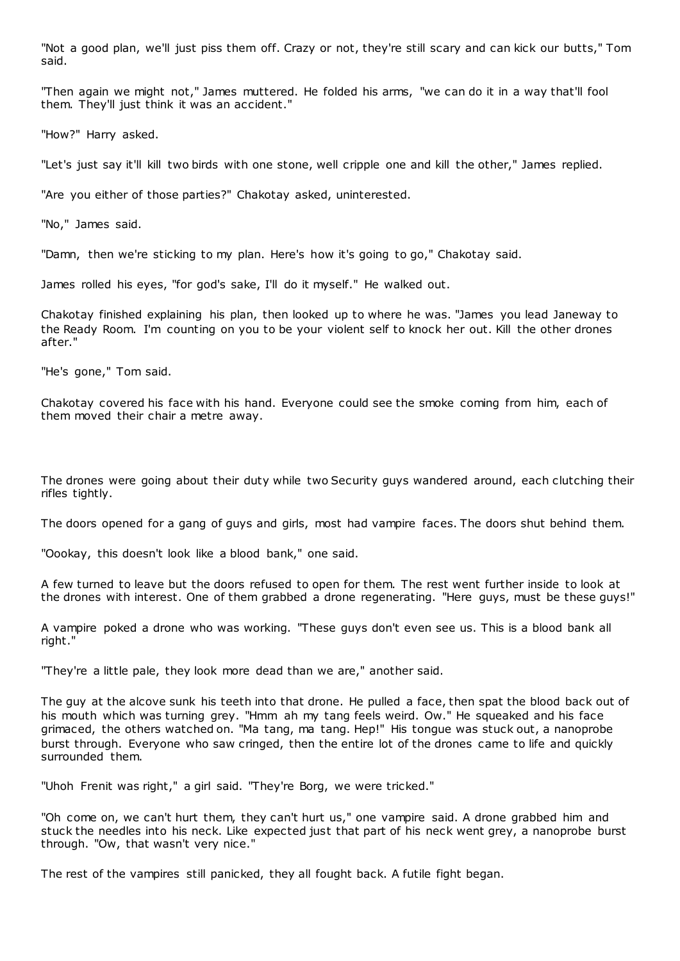"Not a good plan, we'll just piss them off. Crazy or not, they're still scary and can kick our butts," Tom said.

"Then again we might not," James muttered. He folded his arms, "we can do it in a way that'll fool them. They'll just think it was an accident."

"How?" Harry asked.

"Let's just say it'll kill two birds with one stone, well cripple one and kill the other," James replied.

"Are you either of those parties?" Chakotay asked, uninterested.

"No," James said.

"Damn, then we're sticking to my plan. Here's how it's going to go," Chakotay said.

James rolled his eyes, "for god's sake, I'll do it myself." He walked out.

Chakotay finished explaining his plan, then looked up to where he was. "James you lead Janeway to the Ready Room. I'm counting on you to be your violent self to knock her out. Kill the other drones after."

"He's gone," Tom said.

Chakotay covered his face with his hand. Everyone could see the smoke coming from him, each of them moved their chair a metre away.

The drones were going about their duty while two Security guys wandered around, each clutching their rifles tightly.

The doors opened for a gang of guys and girls, most had vampire faces. The doors shut behind them.

"Oookay, this doesn't look like a blood bank," one said.

A few turned to leave but the doors refused to open for them. The rest went further inside to look at the drones with interest. One of them grabbed a drone regenerating. "Here guys, must be these guys!"

A vampire poked a drone who was working. "These guys don't even see us. This is a blood bank all right."

"They're a little pale, they look more dead than we are," another said.

The guy at the alcove sunk his teeth into that drone. He pulled a face, then spat the blood back out of his mouth which was turning grey. "Hmm ah my tang feels weird. Ow." He squeaked and his face grimaced, the others watched on. "Ma tang, ma tang. Hep!" His tongue was stuck out, a nanoprobe burst through. Everyone who saw cringed, then the entire lot of the drones came to life and quickly surrounded them.

"Uhoh Frenit was right," a girl said. "They're Borg, we were tricked."

"Oh come on, we can't hurt them, they can't hurt us," one vampire said. A drone grabbed him and stuck the needles into his neck. Like expected just that part of his neck went grey, a nanoprobe burst through. "Ow, that wasn't very nice."

The rest of the vampires still panicked, they all fought back. A futile fight began.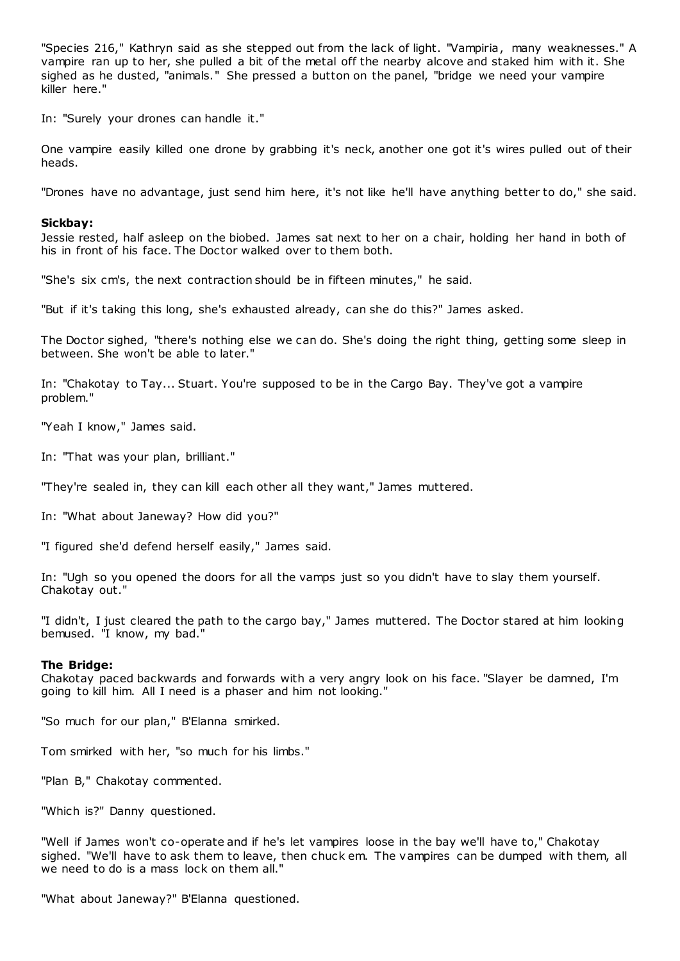"Species 216," Kathryn said as she stepped out from the lack of light. "Vampiria, many weaknesses." A vampire ran up to her, she pulled a bit of the metal off the nearby alcove and staked him with it. She sighed as he dusted, "animals." She pressed a button on the panel, "bridge we need your vampire killer here."

In: "Surely your drones can handle it."

One vampire easily killed one drone by grabbing it's neck, another one got it's wires pulled out of their heads.

"Drones have no advantage, just send him here, it's not like he'll have anything better to do," she said.

### **Sickbay:**

Jessie rested, half asleep on the biobed. James sat next to her on a chair, holding her hand in both of his in front of his face. The Doctor walked over to them both.

"She's six cm's, the next contraction should be in fifteen minutes," he said.

"But if it's taking this long, she's exhausted already, can she do this?" James asked.

The Doctor sighed, "there's nothing else we can do. She's doing the right thing, getting some sleep in between. She won't be able to later."

In: "Chakotay to Tay... Stuart. You're supposed to be in the Cargo Bay. They've got a vampire problem."

"Yeah I know," James said.

In: "That was your plan, brilliant."

"They're sealed in, they can kill each other all they want," James muttered.

In: "What about Janeway? How did you?"

"I figured she'd defend herself easily," James said.

In: "Ugh so you opened the doors for all the vamps just so you didn't have to slay them yourself. Chakotay out."

"I didn't, I just cleared the path to the cargo bay," James muttered. The Doctor stared at him looking bemused. "I know, my bad."

### **The Bridge:**

Chakotay paced backwards and forwards with a very angry look on his face. "Slayer be damned, I'm going to kill him. All I need is a phaser and him not looking."

"So much for our plan," B'Elanna smirked.

Tom smirked with her, "so much for his limbs."

"Plan B," Chakotay commented.

"Which is?" Danny questioned.

"Well if James won't co-operate and if he's let vampires loose in the bay we'll have to," Chakotay sighed. "We'll have to ask them to leave, then chuck em. The vampires can be dumped with them, all we need to do is a mass lock on them all."

"What about Janeway?" B'Elanna questioned.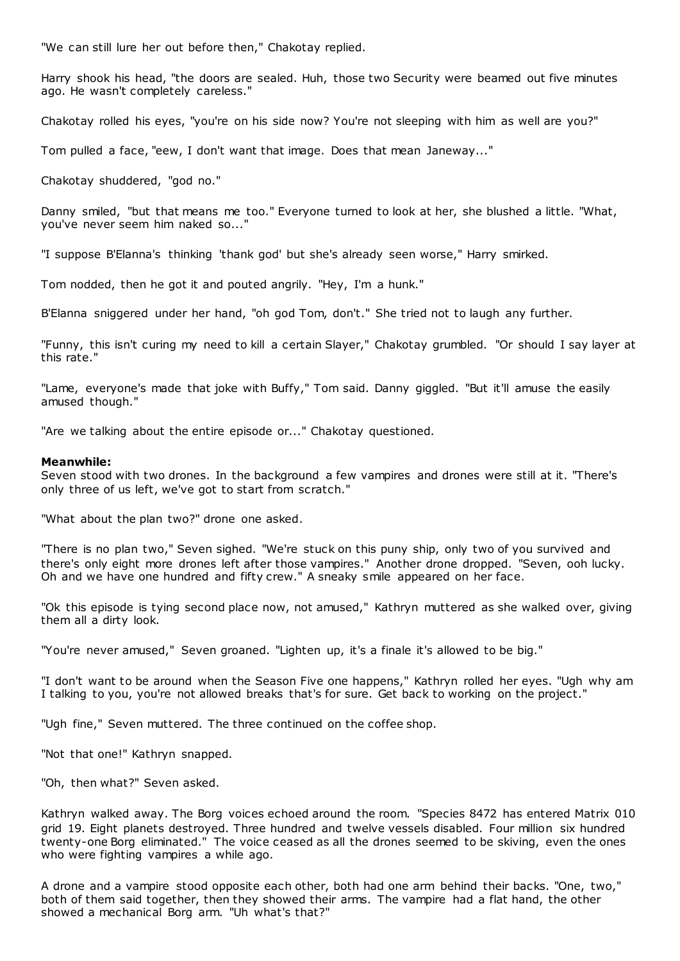"We can still lure her out before then," Chakotay replied.

Harry shook his head, "the doors are sealed. Huh, those two Security were beamed out five minutes ago. He wasn't completely careless."

Chakotay rolled his eyes, "you're on his side now? You're not sleeping with him as well are you?"

Tom pulled a face, "eew, I don't want that image. Does that mean Janeway..."

Chakotay shuddered, "god no."

Danny smiled, "but that means me too." Everyone turned to look at her, she blushed a little. "What, you've never seem him naked so...'

"I suppose B'Elanna's thinking 'thank god' but she's already seen worse," Harry smirked.

Tom nodded, then he got it and pouted angrily. "Hey, I'm a hunk."

B'Elanna sniggered under her hand, "oh god Tom, don't." She tried not to laugh any further.

"Funny, this isn't curing my need to kill a certain Slayer," Chakotay grumbled. "Or should I say layer at this rate."

"Lame, everyone's made that joke with Buffy," Tom said. Danny giggled. "But it'll amuse the easily amused though."

"Are we talking about the entire episode or..." Chakotay questioned.

### **Meanwhile:**

Seven stood with two drones. In the background a few vampires and drones were still at it. "There's only three of us left, we've got to start from scratch."

"What about the plan two?" drone one asked.

"There is no plan two," Seven sighed. "We're stuck on this puny ship, only two of you survived and there's only eight more drones left after those vampires." Another drone dropped. "Seven, ooh lucky. Oh and we have one hundred and fifty crew." A sneaky smile appeared on her face.

"Ok this episode is tying second place now, not amused," Kathryn muttered as she walked over, giving them all a dirty look.

"You're never amused," Seven groaned. "Lighten up, it's a finale it's allowed to be big."

"I don't want to be around when the Season Five one happens," Kathryn rolled her eyes. "Ugh why am I talking to you, you're not allowed breaks that's for sure. Get back to working on the project."

"Ugh fine," Seven muttered. The three continued on the coffee shop.

"Not that one!" Kathryn snapped.

"Oh, then what?" Seven asked.

Kathryn walked away. The Borg voices echoed around the room. "Species 8472 has entered Matrix 010 grid 19. Eight planets destroyed. Three hundred and twelve vessels disabled. Four million six hundred twenty-one Borg eliminated." The voice ceased as all the drones seemed to be skiving, even the ones who were fighting vampires a while ago.

A drone and a vampire stood opposite each other, both had one arm behind their backs. "One, two," both of them said together, then they showed their arms. The vampire had a flat hand, the other showed a mechanical Borg arm. "Uh what's that?"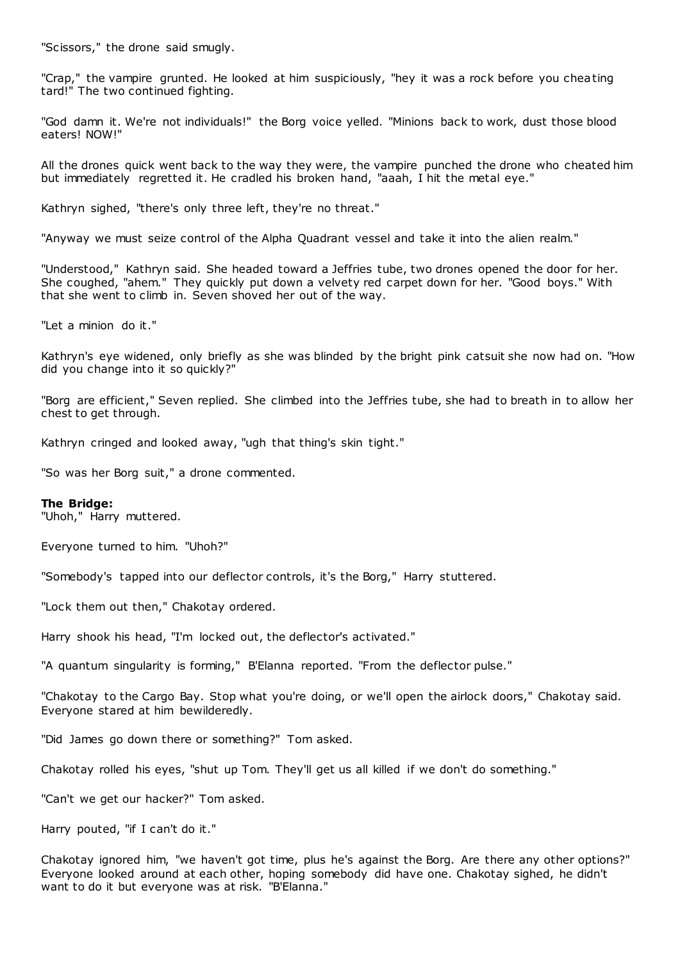"Scissors," the drone said smugly.

"Crap," the vampire grunted. He looked at him suspiciously, "hey it was a rock before you cheating tard!" The two continued fighting.

"God damn it. We're not individuals!" the Borg voice yelled. "Minions back to work, dust those blood eaters! NOW!"

All the drones quick went back to the way they were, the vampire punched the drone who cheated him but immediately regretted it. He cradled his broken hand, "aaah, I hit the metal eye."

Kathryn sighed, "there's only three left, they're no threat."

"Anyway we must seize control of the Alpha Quadrant vessel and take it into the alien realm."

"Understood," Kathryn said. She headed toward a Jeffries tube, two drones opened the door for her. She coughed, "ahem." They quickly put down a velvety red carpet down for her. "Good boys." With that she went to climb in. Seven shoved her out of the way.

"Let a minion do it."

Kathryn's eye widened, only briefly as she was blinded by the bright pink catsuit she now had on. "How did you change into it so quickly?"

"Borg are efficient," Seven replied. She climbed into the Jeffries tube, she had to breath in to allow her chest to get through.

Kathryn cringed and looked away, "ugh that thing's skin tight."

"So was her Borg suit," a drone commented.

### **The Bridge:**

"Uhoh," Harry muttered.

Everyone turned to him. "Uhoh?"

"Somebody's tapped into our deflector controls, it's the Borg," Harry stuttered.

"Lock them out then," Chakotay ordered.

Harry shook his head, "I'm locked out, the deflector's activated."

"A quantum singularity is forming," B'Elanna reported. "From the deflector pulse."

"Chakotay to the Cargo Bay. Stop what you're doing, or we'll open the airlock doors," Chakotay said. Everyone stared at him bewilderedly.

"Did James go down there or something?" Tom asked.

Chakotay rolled his eyes, "shut up Tom. They'll get us all killed if we don't do something."

"Can't we get our hacker?" Tom asked.

Harry pouted, "if I can't do it."

Chakotay ignored him, "we haven't got time, plus he's against the Borg. Are there any other options?" Everyone looked around at each other, hoping somebody did have one. Chakotay sighed, he didn't want to do it but everyone was at risk. "B'Elanna."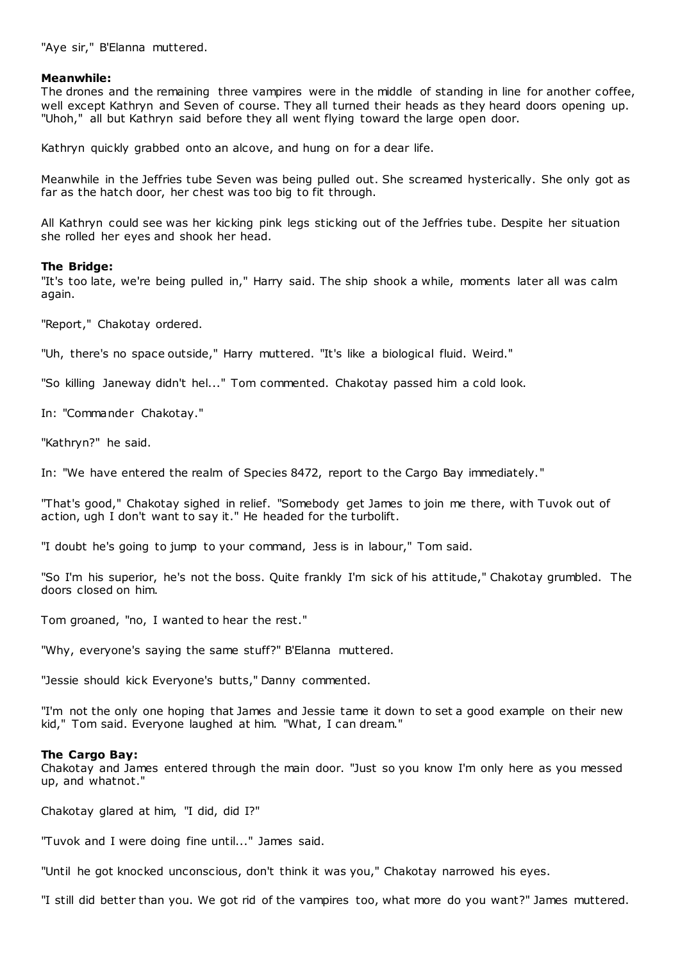"Aye sir," B'Elanna muttered.

## **Meanwhile:**

The drones and the remaining three vampires were in the middle of standing in line for another coffee, well except Kathryn and Seven of course. They all turned their heads as they heard doors opening up. "Uhoh," all but Kathryn said before they all went flying toward the large open door.

Kathryn quickly grabbed onto an alcove, and hung on for a dear life.

Meanwhile in the Jeffries tube Seven was being pulled out. She screamed hysterically. She only got as far as the hatch door, her chest was too big to fit through.

All Kathryn could see was her kicking pink legs sticking out of the Jeffries tube. Despite her situation she rolled her eyes and shook her head.

### **The Bridge:**

"It's too late, we're being pulled in," Harry said. The ship shook a while, moments later all was calm again.

"Report," Chakotay ordered.

"Uh, there's no space outside," Harry muttered. "It's like a biological fluid. Weird."

"So killing Janeway didn't hel..." Tom commented. Chakotay passed him a cold look.

In: "Commander Chakotay."

"Kathryn?" he said.

In: "We have entered the realm of Species 8472, report to the Cargo Bay immediately."

"That's good," Chakotay sighed in relief. "Somebody get James to join me there, with Tuvok out of action, ugh I don't want to say it." He headed for the turbolift.

"I doubt he's going to jump to your command, Jess is in labour," Tom said.

"So I'm his superior, he's not the boss. Quite frankly I'm sick of his attitude," Chakotay grumbled. The doors closed on him.

Tom groaned, "no, I wanted to hear the rest."

"Why, everyone's saying the same stuff?" B'Elanna muttered.

"Jessie should kick Everyone's butts," Danny commented.

"I'm not the only one hoping that James and Jessie tame it down to set a good example on their new kid," Tom said. Everyone laughed at him. "What, I can dream."

### **The Cargo Bay:**

Chakotay and James entered through the main door. "Just so you know I'm only here as you messed up, and whatnot."

Chakotay glared at him, "I did, did I?"

"Tuvok and I were doing fine until..." James said.

"Until he got knocked unconscious, don't think it was you," Chakotay narrowed his eyes.

"I still did better than you. We got rid of the vampires too, what more do you want?" James muttered.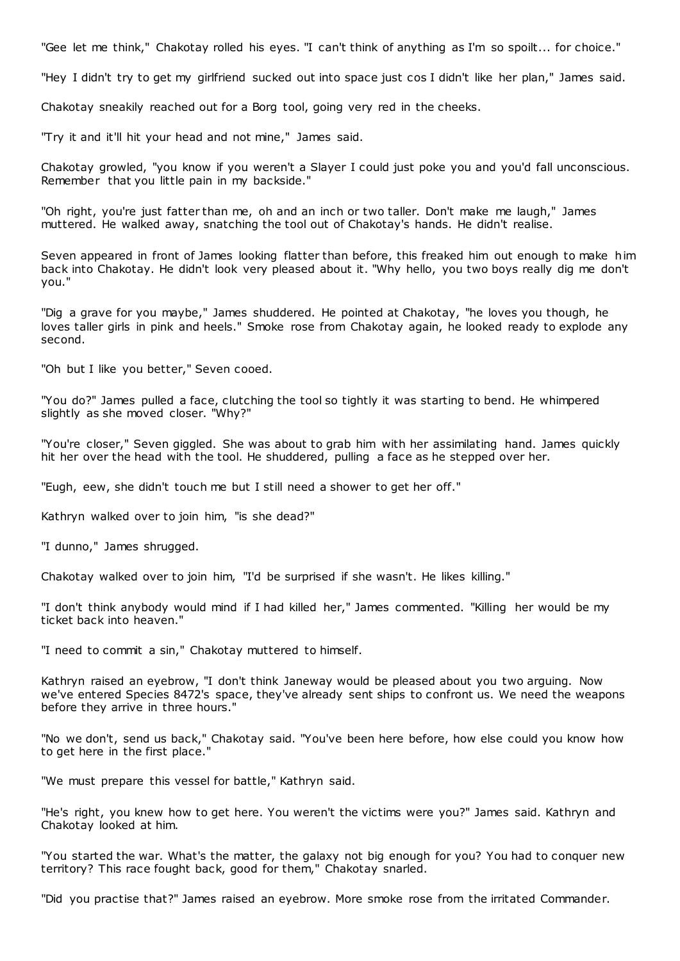"Gee let me think," Chakotay rolled his eyes. "I can't think of anything as I'm so spoilt... for choice."

"Hey I didn't try to get my girlfriend sucked out into space just cos I didn't like her plan," James said.

Chakotay sneakily reached out for a Borg tool, going very red in the cheeks.

"Try it and it'll hit your head and not mine," James said.

Chakotay growled, "you know if you weren't a Slayer I could just poke you and you'd fall unconscious. Remember that you little pain in my backside."

"Oh right, you're just fatter than me, oh and an inch or two taller. Don't make me laugh," James muttered. He walked away, snatching the tool out of Chakotay's hands. He didn't realise.

Seven appeared in front of James looking flatter than before, this freaked him out enough to make him back into Chakotay. He didn't look very pleased about it. "Why hello, you two boys really dig me don't you."

"Dig a grave for you maybe," James shuddered. He pointed at Chakotay, "he loves you though, he loves taller girls in pink and heels." Smoke rose from Chakotay again, he looked ready to explode any second.

"Oh but I like you better," Seven cooed.

"You do?" James pulled a face, clutching the tool so tightly it was starting to bend. He whimpered slightly as she moved closer. "Why?"

"You're closer," Seven giggled. She was about to grab him with her assimilating hand. James quickly hit her over the head with the tool. He shuddered, pulling a face as he stepped over her.

"Eugh, eew, she didn't touch me but I still need a shower to get her off."

Kathryn walked over to join him, "is she dead?"

"I dunno," James shrugged.

Chakotay walked over to join him, "I'd be surprised if she wasn't. He likes killing."

"I don't think anybody would mind if I had killed her," James commented. "Killing her would be my ticket back into heaven."

"I need to commit a sin," Chakotay muttered to himself.

Kathryn raised an eyebrow, "I don't think Janeway would be pleased about you two arguing. Now we've entered Species 8472's space, they've already sent ships to confront us. We need the weapons before they arrive in three hours."

"No we don't, send us back," Chakotay said. "You've been here before, how else could you know how to get here in the first place."

"We must prepare this vessel for battle," Kathryn said.

"He's right, you knew how to get here. You weren't the victims were you?" James said. Kathryn and Chakotay looked at him.

"You started the war. What's the matter, the galaxy not big enough for you? You had to conquer new territory? This race fought back, good for them," Chakotay snarled.

"Did you practise that?" James raised an eyebrow. More smoke rose from the irritated Commander.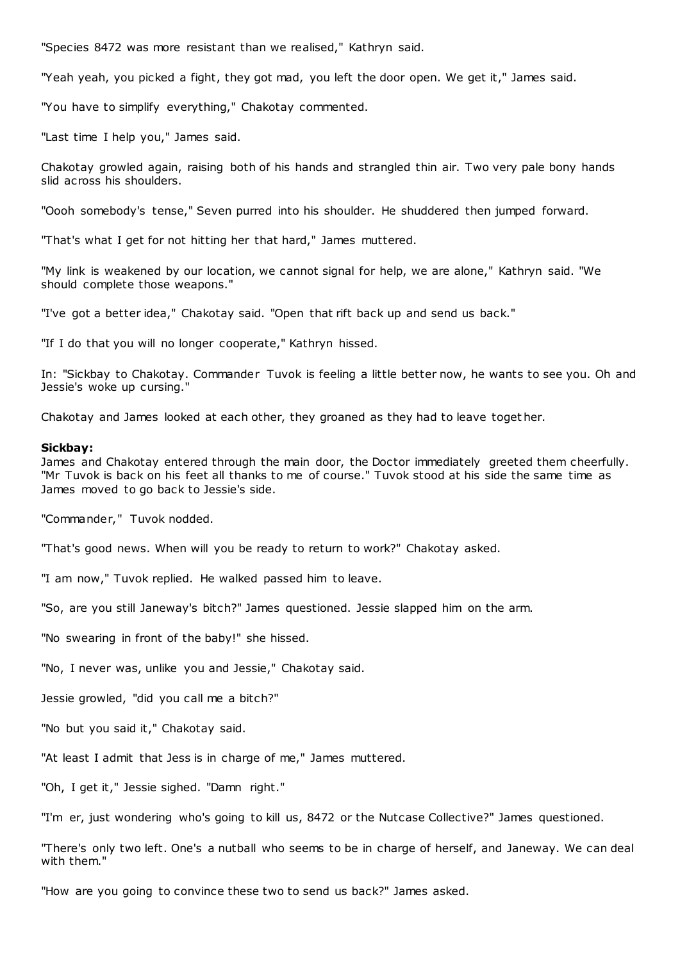"Species 8472 was more resistant than we realised," Kathryn said.

"Yeah yeah, you picked a fight, they got mad, you left the door open. We get it," James said.

"You have to simplify everything," Chakotay commented.

"Last time I help you," James said.

Chakotay growled again, raising both of his hands and strangled thin air. Two very pale bony hands slid across his shoulders.

"Oooh somebody's tense," Seven purred into his shoulder. He shuddered then jumped forward.

"That's what I get for not hitting her that hard," James muttered.

"My link is weakened by our location, we cannot signal for help, we are alone," Kathryn said. "We should complete those weapons."

"I've got a better idea," Chakotay said. "Open that rift back up and send us back."

"If I do that you will no longer cooperate," Kathryn hissed.

In: "Sickbay to Chakotay. Commander Tuvok is feeling a little better now, he wants to see you. Oh and Jessie's woke up cursing."

Chakotay and James looked at each other, they groaned as they had to leave toget her.

# **Sickbay:**

James and Chakotay entered through the main door, the Doctor immediately greeted them cheerfully. "Mr Tuvok is back on his feet all thanks to me of course." Tuvok stood at his side the same time as James moved to go back to Jessie's side.

"Commander," Tuvok nodded.

"That's good news. When will you be ready to return to work?" Chakotay asked.

"I am now," Tuvok replied. He walked passed him to leave.

"So, are you still Janeway's bitch?" James questioned. Jessie slapped him on the arm.

"No swearing in front of the baby!" she hissed.

"No, I never was, unlike you and Jessie," Chakotay said.

Jessie growled, "did you call me a bitch?"

"No but you said it," Chakotay said.

"At least I admit that Jess is in charge of me," James muttered.

"Oh, I get it," Jessie sighed. "Damn right."

"I'm er, just wondering who's going to kill us, 8472 or the Nutcase Collective?" James questioned.

"There's only two left. One's a nutball who seems to be in charge of herself, and Janeway. We can deal with them."

"How are you going to convince these two to send us back?" James asked.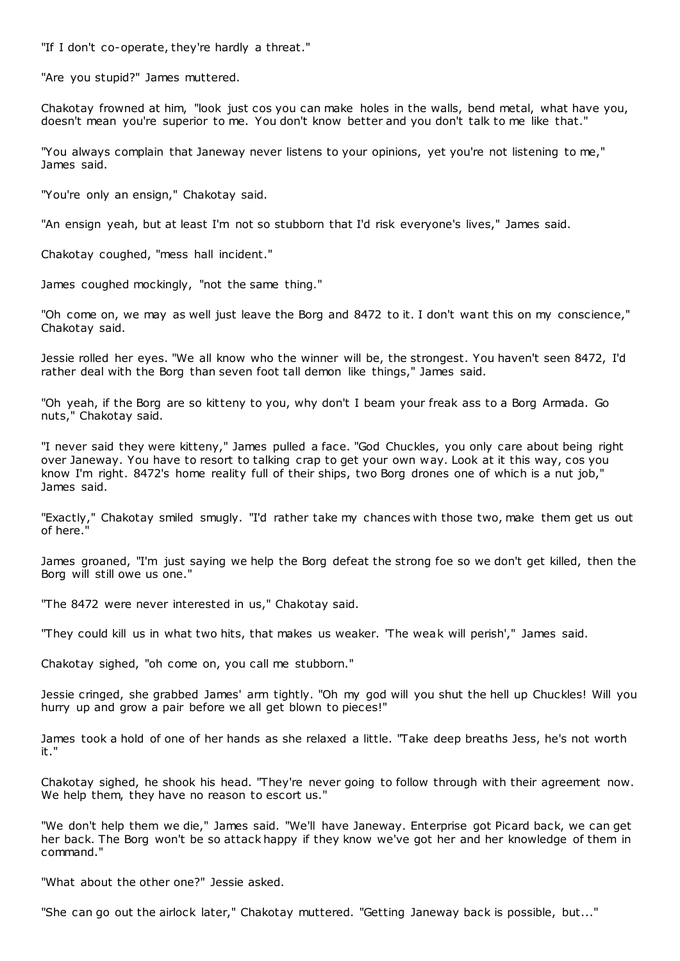"If I don't co-operate, they're hardly a threat."

"Are you stupid?" James muttered.

Chakotay frowned at him, "look just cos you can make holes in the walls, bend metal, what have you, doesn't mean you're superior to me. You don't know better and you don't talk to me like that."

"You always complain that Janeway never listens to your opinions, yet you're not listening to me," James said.

"You're only an ensign," Chakotay said.

"An ensign yeah, but at least I'm not so stubborn that I'd risk everyone's lives," James said.

Chakotay coughed, "mess hall incident."

James coughed mockingly, "not the same thing."

"Oh come on, we may as well just leave the Borg and 8472 to it. I don't want this on my conscience," Chakotay said.

Jessie rolled her eyes. "We all know who the winner will be, the strongest. You haven't seen 8472, I'd rather deal with the Borg than seven foot tall demon like things," James said.

"Oh yeah, if the Borg are so kitteny to you, why don't I beam your freak ass to a Borg Armada. Go nuts," Chakotay said.

"I never said they were kitteny," James pulled a face. "God Chuckles, you only care about being right over Janeway. You have to resort to talking crap to get your own way. Look at it this way, cos you know I'm right. 8472's home reality full of their ships, two Borg drones one of which is a nut job," James said.

"Exactly," Chakotay smiled smugly. "I'd rather take my chances with those two, make them get us out of here."

James groaned, "I'm just saying we help the Borg defeat the strong foe so we don't get killed, then the Borg will still owe us one."

"The 8472 were never interested in us," Chakotay said.

"They could kill us in what two hits, that makes us weaker. 'The weak will perish'," James said.

Chakotay sighed, "oh come on, you call me stubborn."

Jessie cringed, she grabbed James' arm tightly. "Oh my god will you shut the hell up Chuckles! Will you hurry up and grow a pair before we all get blown to pieces!"

James took a hold of one of her hands as she relaxed a little. "Take deep breaths Jess, he's not worth it."

Chakotay sighed, he shook his head. "They're never going to follow through with their agreement now. We help them, they have no reason to escort us."

"We don't help them we die," James said. "We'll have Janeway. Enterprise got Picard back, we can get her back. The Borg won't be so attack happy if they know we've got her and her knowledge of them in command."

"What about the other one?" Jessie asked.

"She can go out the airlock later," Chakotay muttered. "Getting Janeway back is possible, but..."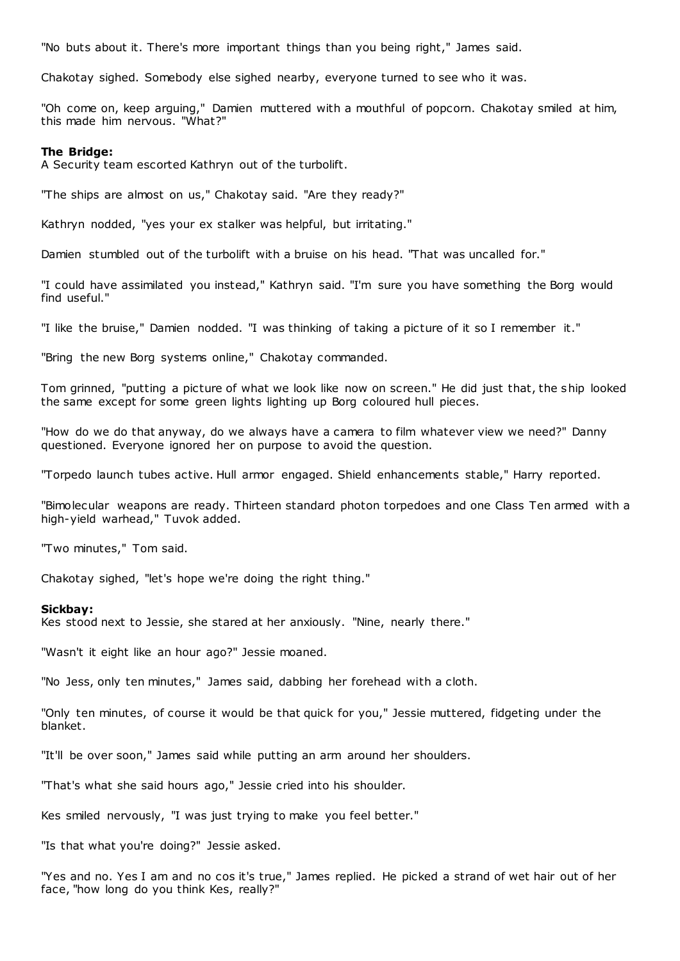"No buts about it. There's more important things than you being right," James said.

Chakotay sighed. Somebody else sighed nearby, everyone turned to see who it was.

"Oh come on, keep arguing," Damien muttered with a mouthful of popcorn. Chakotay smiled at him, this made him nervous. "What?"

### **The Bridge:**

A Security team escorted Kathryn out of the turbolift.

"The ships are almost on us," Chakotay said. "Are they ready?"

Kathryn nodded, "yes your ex stalker was helpful, but irritating."

Damien stumbled out of the turbolift with a bruise on his head. "That was uncalled for."

"I could have assimilated you instead," Kathryn said. "I'm sure you have something the Borg would find useful."

"I like the bruise," Damien nodded. "I was thinking of taking a picture of it so I remember it."

"Bring the new Borg systems online," Chakotay commanded.

Tom grinned, "putting a picture of what we look like now on screen." He did just that, the ship looked the same except for some green lights lighting up Borg coloured hull pieces.

"How do we do that anyway, do we always have a camera to film whatever view we need?" Danny questioned. Everyone ignored her on purpose to avoid the question.

"Torpedo launch tubes active. Hull armor engaged. Shield enhancements stable," Harry reported.

"Bimolecular weapons are ready. Thirteen standard photon torpedoes and one Class Ten armed with a high-yield warhead," Tuvok added.

"Two minutes," Tom said.

Chakotay sighed, "let's hope we're doing the right thing."

#### **Sickbay:**

Kes stood next to Jessie, she stared at her anxiously. "Nine, nearly there."

"Wasn't it eight like an hour ago?" Jessie moaned.

"No Jess, only ten minutes," James said, dabbing her forehead with a cloth.

"Only ten minutes, of course it would be that quick for you," Jessie muttered, fidgeting under the blanket.

"It'll be over soon," James said while putting an arm around her shoulders.

"That's what she said hours ago," Jessie cried into his shoulder.

Kes smiled nervously, "I was just trying to make you feel better."

"Is that what you're doing?" Jessie asked.

"Yes and no. Yes I am and no cos it's true," James replied. He picked a strand of wet hair out of her face, "how long do you think Kes, really?"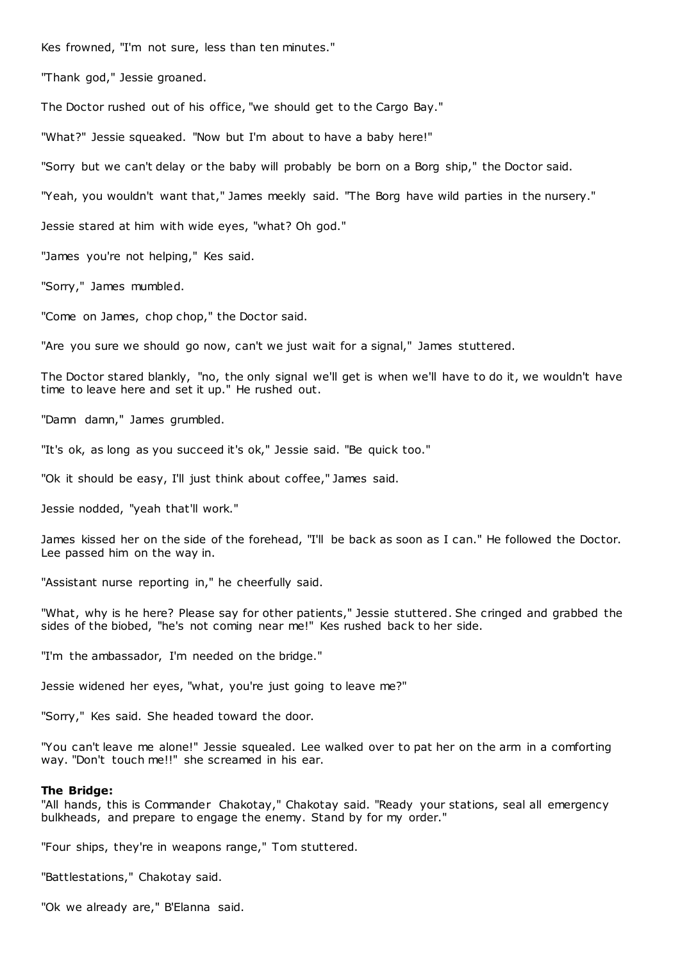Kes frowned, "I'm not sure, less than ten minutes."

"Thank god," Jessie groaned.

The Doctor rushed out of his office, "we should get to the Cargo Bay."

"What?" Jessie squeaked. "Now but I'm about to have a baby here!"

"Sorry but we can't delay or the baby will probably be born on a Borg ship," the Doctor said.

"Yeah, you wouldn't want that," James meekly said. "The Borg have wild parties in the nursery."

Jessie stared at him with wide eyes, "what? Oh god."

"James you're not helping," Kes said.

"Sorry," James mumbled.

"Come on James, chop chop," the Doctor said.

"Are you sure we should go now, can't we just wait for a signal," James stuttered.

The Doctor stared blankly, "no, the only signal we'll get is when we'll have to do it, we wouldn't have time to leave here and set it up." He rushed out.

"Damn damn," James grumbled.

"It's ok, as long as you succeed it's ok," Jessie said. "Be quick too."

"Ok it should be easy, I'll just think about coffee," James said.

Jessie nodded, "yeah that'll work."

James kissed her on the side of the forehead, "I'll be back as soon as I can." He followed the Doctor. Lee passed him on the way in.

"Assistant nurse reporting in," he cheerfully said.

"What, why is he here? Please say for other patients," Jessie stuttered. She cringed and grabbed the sides of the biobed, "he's not coming near me!" Kes rushed back to her side.

"I'm the ambassador, I'm needed on the bridge."

Jessie widened her eyes, "what, you're just going to leave me?"

"Sorry," Kes said. She headed toward the door.

"You can't leave me alone!" Jessie squealed. Lee walked over to pat her on the arm in a comforting way. "Don't touch me!!" she screamed in his ear.

#### **The Bridge:**

"All hands, this is Commander Chakotay," Chakotay said. "Ready your stations, seal all emergency bulkheads, and prepare to engage the enemy. Stand by for my order."

"Four ships, they're in weapons range," Tom stuttered.

"Battlestations," Chakotay said.

"Ok we already are," B'Elanna said.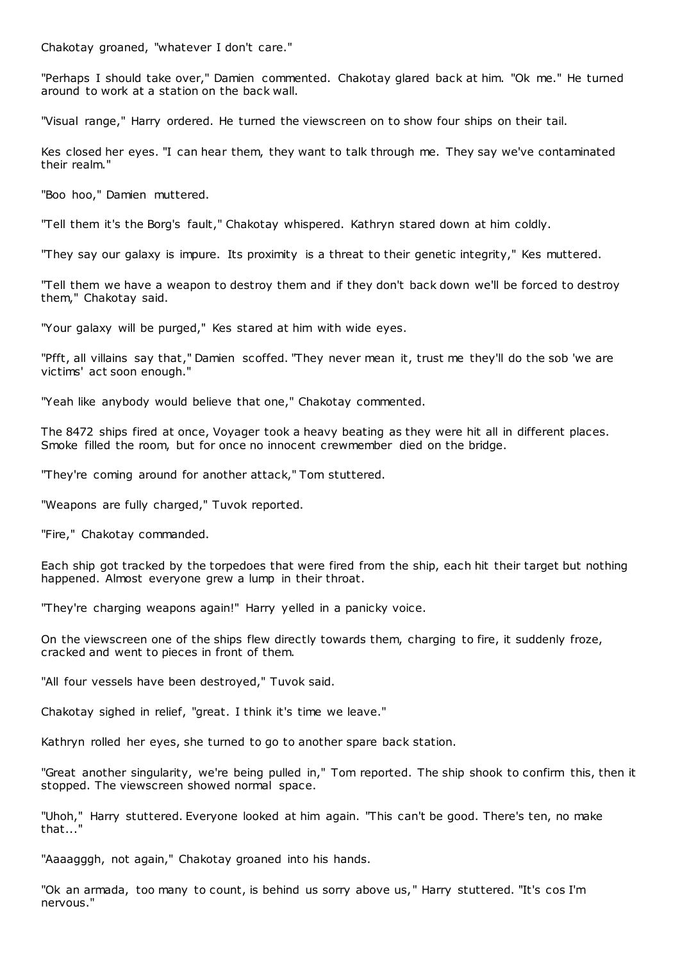Chakotay groaned, "whatever I don't care."

"Perhaps I should take over," Damien commented. Chakotay glared back at him. "Ok me." He turned around to work at a station on the back wall.

"Visual range," Harry ordered. He turned the viewscreen on to show four ships on their tail.

Kes closed her eyes. "I can hear them, they want to talk through me. They say we've contaminated their realm."

"Boo hoo," Damien muttered.

"Tell them it's the Borg's fault," Chakotay whispered. Kathryn stared down at him coldly.

"They say our galaxy is impure. Its proximity is a threat to their genetic integrity," Kes muttered.

"Tell them we have a weapon to destroy them and if they don't back down we'll be forced to destroy them," Chakotay said.

"Your galaxy will be purged," Kes stared at him with wide eyes.

"Pfft, all villains say that," Damien scoffed. "They never mean it, trust me they'll do the sob 'we are victims' act soon enough."

"Yeah like anybody would believe that one," Chakotay commented.

The 8472 ships fired at once, Voyager took a heavy beating as they were hit all in different places. Smoke filled the room, but for once no innocent crewmember died on the bridge.

"They're coming around for another attack," Tom stuttered.

"Weapons are fully charged," Tuvok reported.

"Fire," Chakotay commanded.

Each ship got tracked by the torpedoes that were fired from the ship, each hit their target but nothing happened. Almost everyone grew a lump in their throat.

"They're charging weapons again!" Harry yelled in a panicky voice.

On the viewscreen one of the ships flew directly towards them, charging to fire, it suddenly froze, cracked and went to pieces in front of them.

"All four vessels have been destroyed," Tuvok said.

Chakotay sighed in relief, "great. I think it's time we leave."

Kathryn rolled her eyes, she turned to go to another spare back station.

"Great another singularity, we're being pulled in," Tom reported. The ship shook to confirm this, then it stopped. The viewscreen showed normal space.

"Uhoh," Harry stuttered. Everyone looked at him again. "This can't be good. There's ten, no make that..."

"Aaaagggh, not again," Chakotay groaned into his hands.

"Ok an armada, too many to count, is behind us sorry above us," Harry stuttered. "It's cos I'm nervous."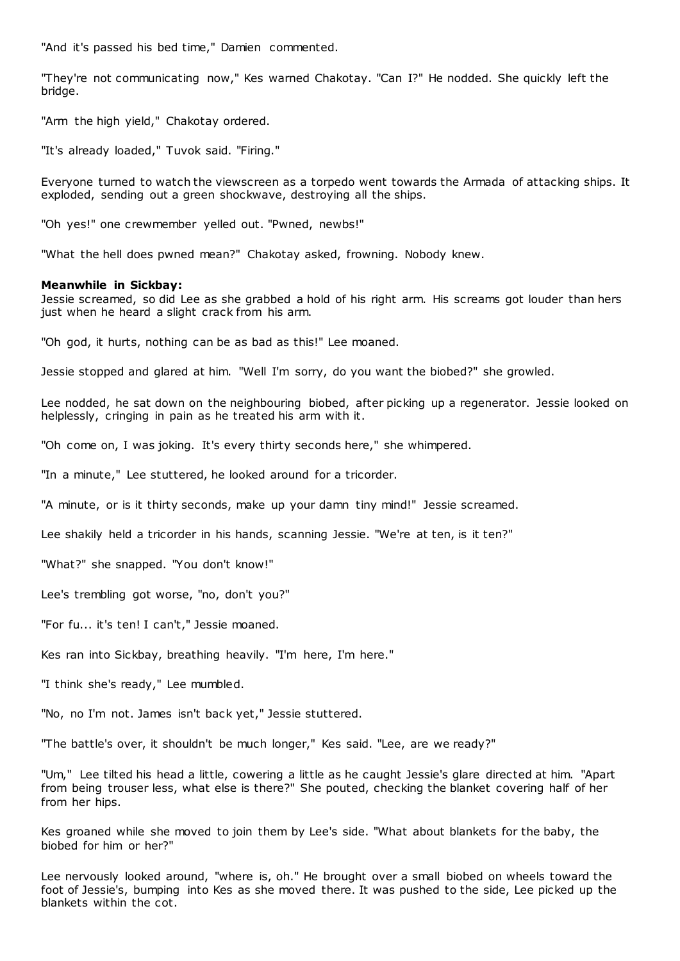"And it's passed his bed time," Damien commented.

"They're not communicating now," Kes warned Chakotay. "Can I?" He nodded. She quickly left the bridge.

"Arm the high yield," Chakotay ordered.

"It's already loaded," Tuvok said. "Firing."

Everyone turned to watch the viewscreen as a torpedo went towards the Armada of attacking ships. It exploded, sending out a green shockwave, destroying all the ships.

"Oh yes!" one crewmember yelled out. "Pwned, newbs!"

"What the hell does pwned mean?" Chakotay asked, frowning. Nobody knew.

### **Meanwhile in Sickbay:**

Jessie screamed, so did Lee as she grabbed a hold of his right arm. His screams got louder than hers just when he heard a slight crack from his arm.

"Oh god, it hurts, nothing can be as bad as this!" Lee moaned.

Jessie stopped and glared at him. "Well I'm sorry, do you want the biobed?" she growled.

Lee nodded, he sat down on the neighbouring biobed, after picking up a regenerator. Jessie looked on helplessly, cringing in pain as he treated his arm with it.

"Oh come on, I was joking. It's every thirty seconds here," she whimpered.

"In a minute," Lee stuttered, he looked around for a tricorder.

"A minute, or is it thirty seconds, make up your damn tiny mind!" Jessie screamed.

Lee shakily held a tricorder in his hands, scanning Jessie. "We're at ten, is it ten?"

"What?" she snapped. "You don't know!"

Lee's trembling got worse, "no, don't you?"

"For fu... it's ten! I can't," Jessie moaned.

Kes ran into Sickbay, breathing heavily. "I'm here, I'm here."

"I think she's ready," Lee mumbled.

"No, no I'm not. James isn't back yet," Jessie stuttered.

"The battle's over, it shouldn't be much longer," Kes said. "Lee, are we ready?"

"Um," Lee tilted his head a little, cowering a little as he caught Jessie's glare directed at him. "Apart from being trouser less, what else is there?" She pouted, checking the blanket covering half of her from her hips.

Kes groaned while she moved to join them by Lee's side. "What about blankets for the baby, the biobed for him or her?"

Lee nervously looked around, "where is, oh." He brought over a small biobed on wheels toward the foot of Jessie's, bumping into Kes as she moved there. It was pushed to the side, Lee picked up the blankets within the cot.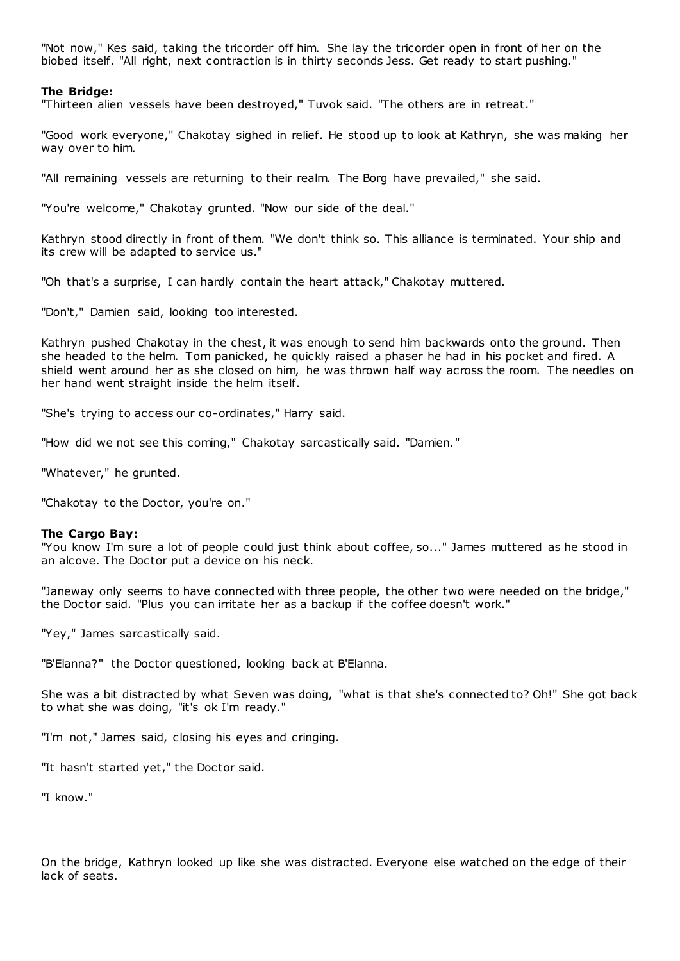"Not now," Kes said, taking the tricorder off him. She lay the tricorder open in front of her on the biobed itself. "All right, next contraction is in thirty seconds Jess. Get ready to start pushing."

# **The Bridge:**

"Thirteen alien vessels have been destroyed," Tuvok said. "The others are in retreat."

"Good work everyone," Chakotay sighed in relief. He stood up to look at Kathryn, she was making her way over to him.

"All remaining vessels are returning to their realm. The Borg have prevailed," she said.

"You're welcome," Chakotay grunted. "Now our side of the deal."

Kathryn stood directly in front of them. "We don't think so. This alliance is terminated. Your ship and its crew will be adapted to service us."

"Oh that's a surprise, I can hardly contain the heart attack," Chakotay muttered.

"Don't," Damien said, looking too interested.

Kathryn pushed Chakotay in the chest, it was enough to send him backwards onto the ground. Then she headed to the helm. Tom panicked, he quickly raised a phaser he had in his pocket and fired. A shield went around her as she closed on him, he was thrown half way across the room. The needles on her hand went straight inside the helm itself.

"She's trying to access our co-ordinates," Harry said.

"How did we not see this coming," Chakotay sarcastically said. "Damien."

"Whatever," he grunted.

"Chakotay to the Doctor, you're on."

### **The Cargo Bay:**

"You know I'm sure a lot of people could just think about coffee, so..." James muttered as he stood in an alcove. The Doctor put a device on his neck.

"Janeway only seems to have connected with three people, the other two were needed on the bridge," the Doctor said. "Plus you can irritate her as a backup if the coffee doesn't work."

"Yey," James sarcastically said.

"B'Elanna?" the Doctor questioned, looking back at B'Elanna.

She was a bit distracted by what Seven was doing, "what is that she's connected to? Oh!" She got back to what she was doing, "it's ok I'm ready."

"I'm not," James said, closing his eyes and cringing.

"It hasn't started yet," the Doctor said.

"I know."

On the bridge, Kathryn looked up like she was distracted. Everyone else watched on the edge of their lack of seats.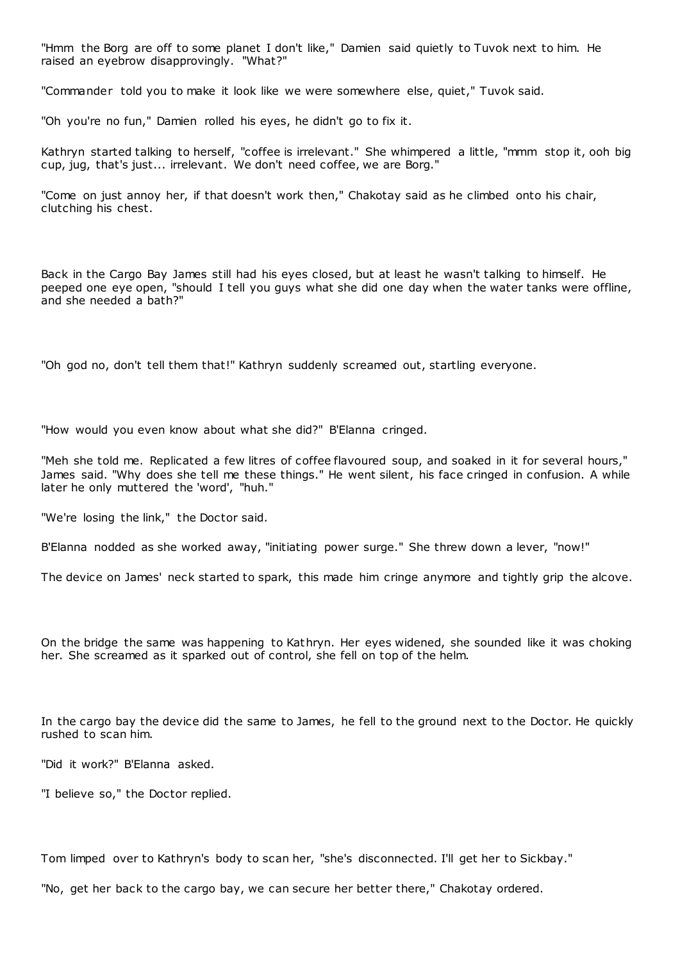"Hmm the Borg are off to some planet I don't like," Damien said quietly to Tuvok next to him. He raised an eyebrow disapprovingly. "What?"

"Commander told you to make it look like we were somewhere else, quiet," Tuvok said.

"Oh you're no fun," Damien rolled his eyes, he didn't go to fix it.

Kathryn started talking to herself, "coffee is irrelevant." She whimpered a little, "mmm stop it, ooh big cup, jug, that's just... irrelevant. We don't need coffee, we are Borg."

"Come on just annoy her, if that doesn't work then," Chakotay said as he climbed onto his chair, clutching his chest.

Back in the Cargo Bay James still had his eyes closed, but at least he wasn't talking to himself. He peeped one eye open, "should I tell you guys what she did one day when the water tanks were offline, and she needed a bath?"

"Oh god no, don't tell them that!" Kathryn suddenly screamed out, startling everyone.

"How would you even know about what she did?" B'Elanna cringed.

"Meh she told me. Replicated a few litres of coffee flavoured soup, and soaked in it for several hours," James said. "Why does she tell me these things." He went silent, his face cringed in confusion. A while later he only muttered the 'word', "huh."

"We're losing the link," the Doctor said.

B'Elanna nodded as she worked away, "initiating power surge." She threw down a lever, "now!"

The device on James' neck started to spark, this made him cringe anymore and tightly grip the alcove.

On the bridge the same was happening to Kathryn. Her eyes widened, she sounded like it was choking her. She screamed as it sparked out of control, she fell on top of the helm.

In the cargo bay the device did the same to James, he fell to the ground next to the Doctor. He quickly rushed to scan him.

"Did it work?" B'Elanna asked.

"I believe so," the Doctor replied.

Tom limped over to Kathryn's body to scan her, "she's disconnected. I'll get her to Sickbay."

"No, get her back to the cargo bay, we can secure her better there," Chakotay ordered.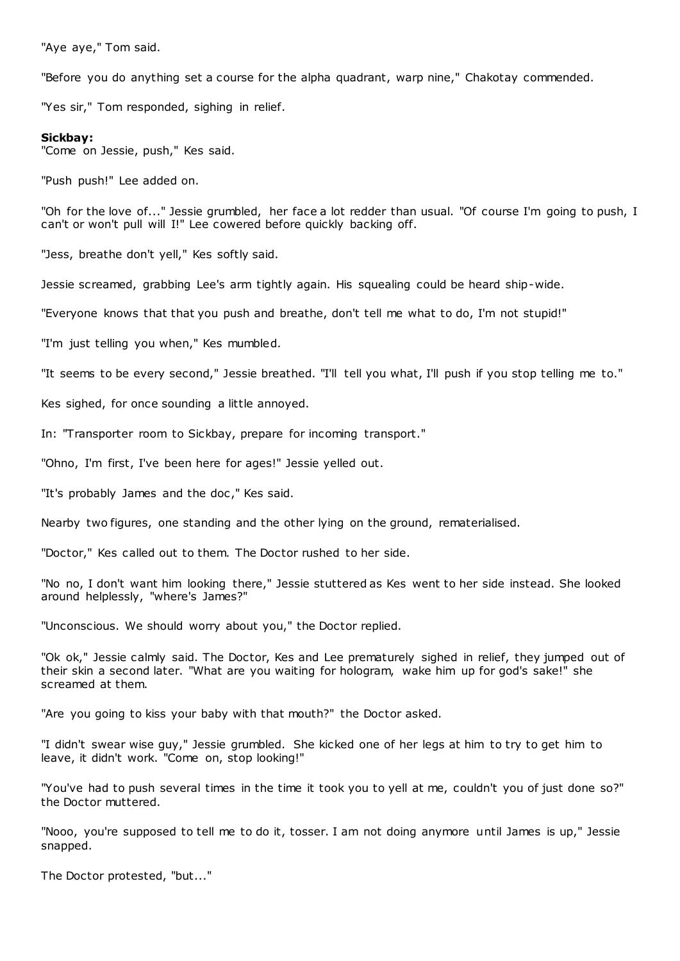"Aye aye," Tom said.

"Before you do anything set a course for the alpha quadrant, warp nine," Chakotay commended.

"Yes sir," Tom responded, sighing in relief.

# **Sickbay:**

"Come on Jessie, push," Kes said.

"Push push!" Lee added on.

"Oh for the love of..." Jessie grumbled, her face a lot redder than usual. "Of course I'm going to push, I can't or won't pull will I!" Lee cowered before quickly backing off.

"Jess, breathe don't yell," Kes softly said.

Jessie screamed, grabbing Lee's arm tightly again. His squealing could be heard ship-wide.

"Everyone knows that that you push and breathe, don't tell me what to do, I'm not stupid!"

"I'm just telling you when," Kes mumbled.

"It seems to be every second," Jessie breathed. "I'll tell you what, I'll push if you stop telling me to."

Kes sighed, for once sounding a little annoyed.

In: "Transporter room to Sickbay, prepare for incoming transport."

"Ohno, I'm first, I've been here for ages!" Jessie yelled out.

"It's probably James and the doc ," Kes said.

Nearby two figures, one standing and the other lying on the ground, rematerialised.

"Doctor," Kes called out to them. The Doctor rushed to her side.

"No no, I don't want him looking there," Jessie stuttered as Kes went to her side instead. She looked around helplessly, "where's James?"

"Unconscious. We should worry about you," the Doctor replied.

"Ok ok," Jessie calmly said. The Doctor, Kes and Lee prematurely sighed in relief, they jumped out of their skin a second later. "What are you waiting for hologram, wake him up for god's sake!" she screamed at them.

"Are you going to kiss your baby with that mouth?" the Doctor asked.

"I didn't swear wise guy," Jessie grumbled. She kicked one of her legs at him to try to get him to leave, it didn't work. "Come on, stop looking!"

"You've had to push several times in the time it took you to yell at me, couldn't you of just done so?" the Doctor muttered.

"Nooo, you're supposed to tell me to do it, tosser. I am not doing anymore until James is up," Jessie snapped.

The Doctor protested, "but..."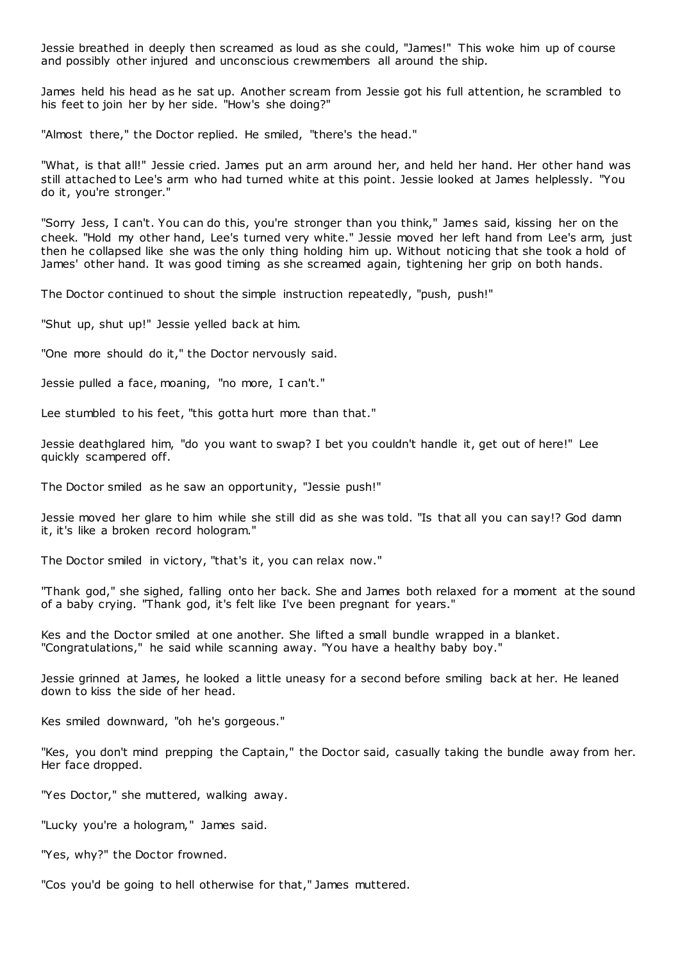Jessie breathed in deeply then screamed as loud as she could, "James!" This woke him up of course and possibly other injured and unconscious crewmembers all around the ship.

James held his head as he sat up. Another scream from Jessie got his full attention, he scrambled to his feet to join her by her side. "How's she doing?"

"Almost there," the Doctor replied. He smiled, "there's the head."

"What, is that all!" Jessie cried. James put an arm around her, and held her hand. Her other hand was still attached to Lee's arm who had turned white at this point. Jessie looked at James helplessly. "You do it, you're stronger."

"Sorry Jess, I can't. You can do this, you're stronger than you think," James said, kissing her on the cheek. "Hold my other hand, Lee's turned very white." Jessie moved her left hand from Lee's arm, just then he collapsed like she was the only thing holding him up. Without noticing that she took a hold of James' other hand. It was good timing as she screamed again, tightening her grip on both hands.

The Doctor continued to shout the simple instruction repeatedly, "push, push!"

"Shut up, shut up!" Jessie yelled back at him.

"One more should do it," the Doctor nervously said.

Jessie pulled a face, moaning, "no more, I can't."

Lee stumbled to his feet, "this gotta hurt more than that."

Jessie deathglared him, "do you want to swap? I bet you couldn't handle it, get out of here!" Lee quickly scampered off.

The Doctor smiled as he saw an opportunity, "Jessie push!"

Jessie moved her glare to him while she still did as she was told. "Is that all you can say!? God damn it, it's like a broken record hologram."

The Doctor smiled in victory, "that's it, you can relax now."

"Thank god," she sighed, falling onto her back. She and James both relaxed for a moment at the sound of a baby crying. "Thank god, it's felt like I've been pregnant for years."

Kes and the Doctor smiled at one another. She lifted a small bundle wrapped in a blanket. "Congratulations," he said while scanning away. "You have a healthy baby boy."

Jessie grinned at James, he looked a little uneasy for a second before smiling back at her. He leaned down to kiss the side of her head.

Kes smiled downward, "oh he's gorgeous."

"Kes, you don't mind prepping the Captain," the Doctor said, casually taking the bundle away from her. Her face dropped.

"Yes Doctor," she muttered, walking away.

"Lucky you're a hologram," James said.

"Yes, why?" the Doctor frowned.

"Cos you'd be going to hell otherwise for that," James muttered.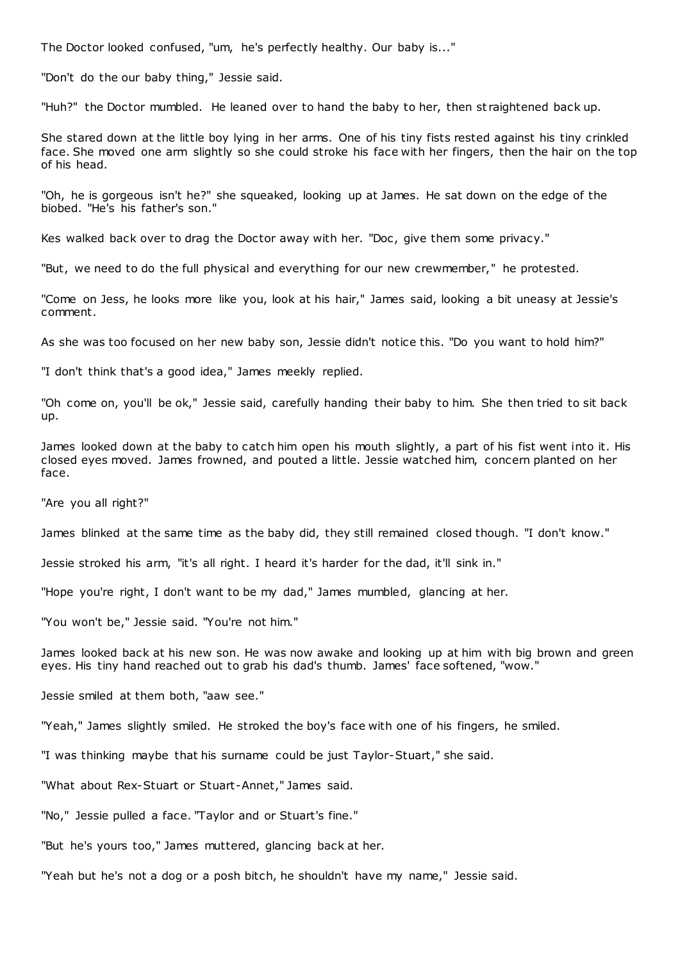The Doctor looked confused, "um, he's perfectly healthy. Our baby is..."

"Don't do the our baby thing," Jessie said.

"Huh?" the Doctor mumbled. He leaned over to hand the baby to her, then st raightened back up.

She stared down at the little boy lying in her arms. One of his tiny fists rested against his tiny crinkled face. She moved one arm slightly so she could stroke his face with her fingers, then the hair on the top of his head.

"Oh, he is gorgeous isn't he?" she squeaked, looking up at James. He sat down on the edge of the biobed. "He's his father's son."

Kes walked back over to drag the Doctor away with her. "Doc, give them some privacy."

"But, we need to do the full physical and everything for our new crewmember," he protested.

"Come on Jess, he looks more like you, look at his hair," James said, looking a bit uneasy at Jessie's comment.

As she was too focused on her new baby son, Jessie didn't notice this. "Do you want to hold him?"

"I don't think that's a good idea," James meekly replied.

"Oh come on, you'll be ok," Jessie said, carefully handing their baby to him. She then tried to sit back up.

James looked down at the baby to catch him open his mouth slightly, a part of his fist went into it. His closed eyes moved. James frowned, and pouted a little. Jessie watched him, concern planted on her face.

"Are you all right?"

James blinked at the same time as the baby did, they still remained closed though. "I don't know."

Jessie stroked his arm, "it's all right. I heard it's harder for the dad, it'll sink in."

"Hope you're right, I don't want to be my dad," James mumbled, glancing at her.

"You won't be," Jessie said. "You're not him."

James looked back at his new son. He was now awake and looking up at him with big brown and green eyes. His tiny hand reached out to grab his dad's thumb. James' face softened, "wow."

Jessie smiled at them both, "aaw see."

"Yeah," James slightly smiled. He stroked the boy's face with one of his fingers, he smiled.

"I was thinking maybe that his surname could be just Taylor-Stuart," she said.

"What about Rex-Stuart or Stuart-Annet," James said.

"No," Jessie pulled a face. "Taylor and or Stuart's fine."

"But he's yours too," James muttered, glancing back at her.

"Yeah but he's not a dog or a posh bitch, he shouldn't have my name," Jessie said.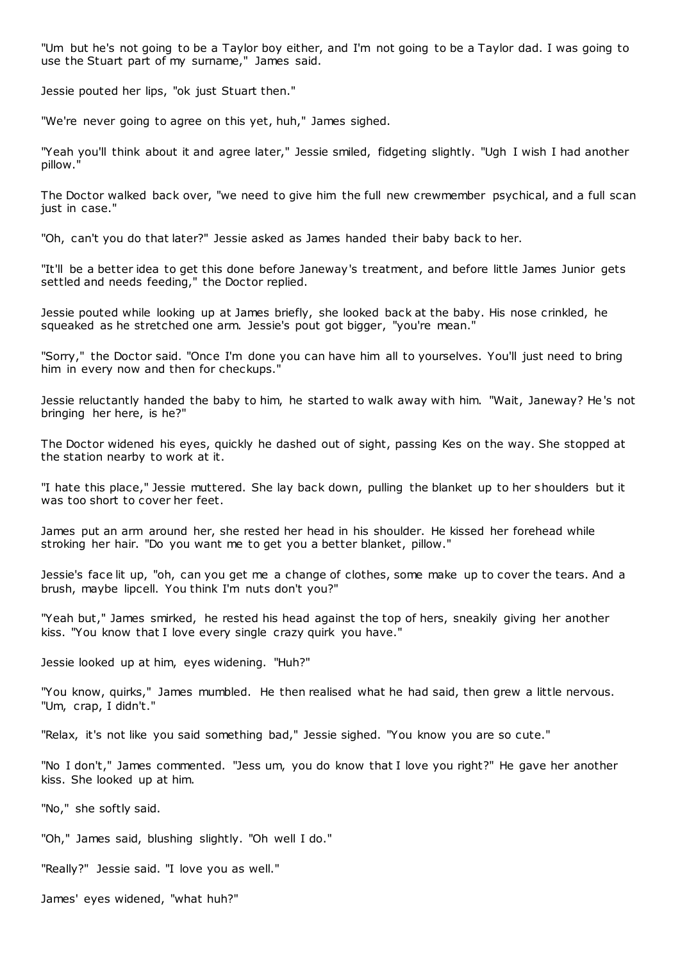"Um but he's not going to be a Taylor boy either, and I'm not going to be a Taylor dad. I was going to use the Stuart part of my surname," James said.

Jessie pouted her lips, "ok just Stuart then."

"We're never going to agree on this yet, huh," James sighed.

"Yeah you'll think about it and agree later," Jessie smiled, fidgeting slightly. "Ugh I wish I had another pillow."

The Doctor walked back over, "we need to give him the full new crewmember psychical, and a full scan just in case."

"Oh, can't you do that later?" Jessie asked as James handed their baby back to her.

"It'll be a better idea to get this done before Janeway's treatment, and before little James Junior gets settled and needs feeding," the Doctor replied.

Jessie pouted while looking up at James briefly, she looked back at the baby. His nose crinkled, he squeaked as he stretched one arm. Jessie's pout got bigger, "you're mean."

"Sorry," the Doctor said. "Once I'm done you can have him all to yourselves. You'll just need to bring him in every now and then for checkups."

Jessie reluctantly handed the baby to him, he started to walk away with him. "Wait, Janeway? He's not bringing her here, is he?"

The Doctor widened his eyes, quickly he dashed out of sight, passing Kes on the way. She stopped at the station nearby to work at it.

"I hate this place," Jessie muttered. She lay back down, pulling the blanket up to her shoulders but it was too short to cover her feet.

James put an arm around her, she rested her head in his shoulder. He kissed her forehead while stroking her hair. "Do you want me to get you a better blanket, pillow."

Jessie's face lit up, "oh, can you get me a change of clothes, some make up to cover the tears. And a brush, maybe lipcell. You think I'm nuts don't you?"

"Yeah but," James smirked, he rested his head against the top of hers, sneakily giving her another kiss. "You know that I love every single crazy quirk you have."

Jessie looked up at him, eyes widening. "Huh?"

"You know, quirks," James mumbled. He then realised what he had said, then grew a little nervous. "Um, crap, I didn't."

"Relax, it's not like you said something bad," Jessie sighed. "You know you are so cute."

"No I don't," James commented. "Jess um, you do know that I love you right?" He gave her another kiss. She looked up at him.

"No," she softly said.

"Oh," James said, blushing slightly. "Oh well I do."

"Really?" Jessie said. "I love you as well."

James' eyes widened, "what huh?"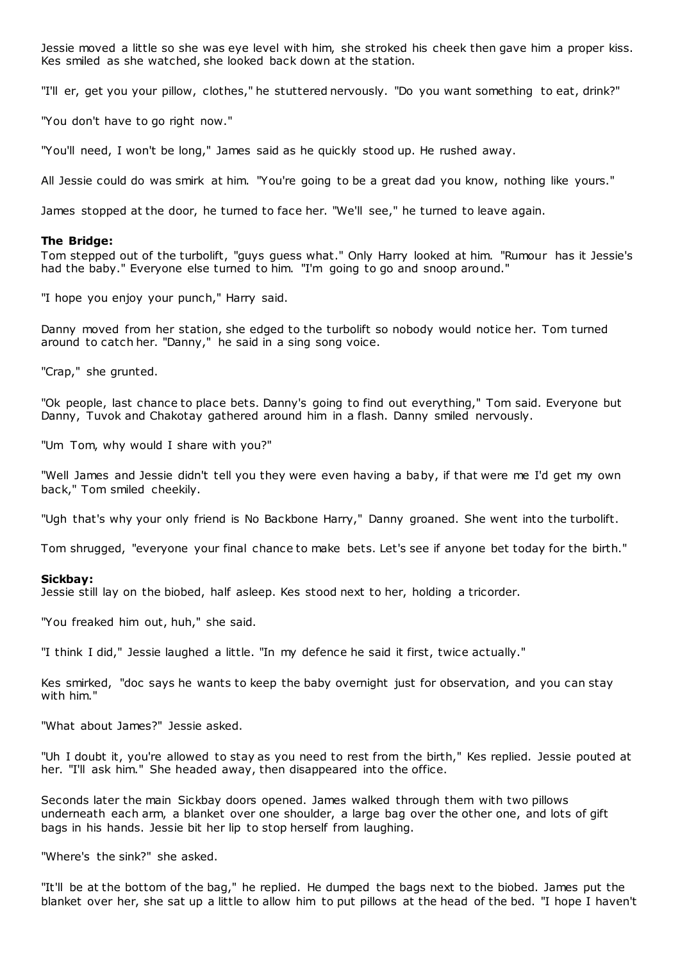Jessie moved a little so she was eye level with him, she stroked his cheek then gave him a proper kiss. Kes smiled as she watched, she looked back down at the station.

"I'll er, get you your pillow, clothes," he stuttered nervously. "Do you want something to eat, drink?"

"You don't have to go right now."

"You'll need, I won't be long," James said as he quickly stood up. He rushed away.

All Jessie could do was smirk at him. "You're going to be a great dad you know, nothing like yours."

James stopped at the door, he turned to face her. "We'll see," he turned to leave again.

### **The Bridge:**

Tom stepped out of the turbolift, "guys guess what." Only Harry looked at him. "Rumour has it Jessie's had the baby." Everyone else turned to him. "I'm going to go and snoop around."

"I hope you enjoy your punch," Harry said.

Danny moved from her station, she edged to the turbolift so nobody would notice her. Tom turned around to catch her. "Danny," he said in a sing song voice.

"Crap," she grunted.

"Ok people, last chance to place bets. Danny's going to find out everything," Tom said. Everyone but Danny, Tuvok and Chakotay gathered around him in a flash. Danny smiled nervously.

"Um Tom, why would I share with you?"

"Well James and Jessie didn't tell you they were even having a baby, if that were me I'd get my own back," Tom smiled cheekily.

"Ugh that's why your only friend is No Backbone Harry," Danny groaned. She went into the turbolift.

Tom shrugged, "everyone your final chance to make bets. Let's see if anyone bet today for the birth."

#### **Sickbay:**

Jessie still lay on the biobed, half asleep. Kes stood next to her, holding a tricorder.

"You freaked him out, huh," she said.

"I think I did," Jessie laughed a little. "In my defence he said it first, twice actually."

Kes smirked, "doc says he wants to keep the baby overnight just for observation, and you can stay with him."

"What about James?" Jessie asked.

"Uh I doubt it, you're allowed to stay as you need to rest from the birth," Kes replied. Jessie pouted at her. "I'll ask him." She headed away, then disappeared into the office.

Seconds later the main Sickbay doors opened. James walked through them with two pillows underneath each arm, a blanket over one shoulder, a large bag over the other one, and lots of gift bags in his hands. Jessie bit her lip to stop herself from laughing.

"Where's the sink?" she asked.

"It'll be at the bottom of the bag," he replied. He dumped the bags next to the biobed. James put the blanket over her, she sat up a little to allow him to put pillows at the head of the bed. "I hope I haven't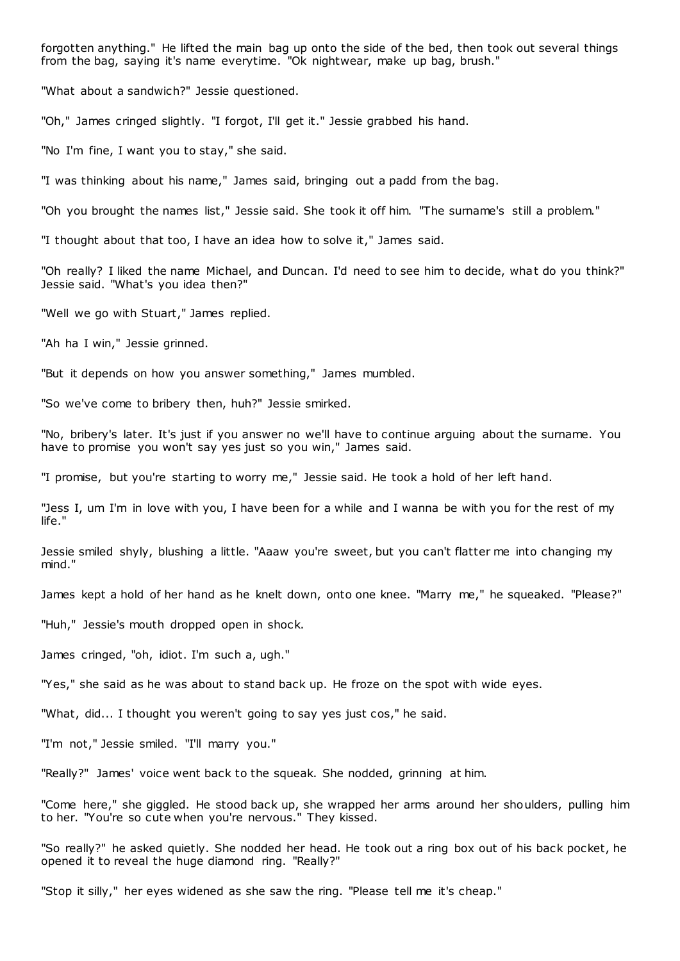forgotten anything." He lifted the main bag up onto the side of the bed, then took out several things from the bag, saying it's name everytime. "Ok nightwear, make up bag, brush."

"What about a sandwich?" Jessie questioned.

"Oh," James cringed slightly. "I forgot, I'll get it." Jessie grabbed his hand.

"No I'm fine, I want you to stay," she said.

"I was thinking about his name," James said, bringing out a padd from the bag.

"Oh you brought the names list," Jessie said. She took it off him. "The surname's still a problem."

"I thought about that too, I have an idea how to solve it," James said.

"Oh really? I liked the name Michael, and Duncan. I'd need to see him to decide, what do you think?" Jessie said. "What's you idea then?"

"Well we go with Stuart," James replied.

"Ah ha I win," Jessie grinned.

"But it depends on how you answer something," James mumbled.

"So we've come to bribery then, huh?" Jessie smirked.

"No, bribery's later. It's just if you answer no we'll have to continue arguing about the surname. You have to promise you won't say yes just so you win," James said.

"I promise, but you're starting to worry me," Jessie said. He took a hold of her left hand.

"Jess I, um I'm in love with you, I have been for a while and I wanna be with you for the rest of my life."

Jessie smiled shyly, blushing a little. "Aaaw you're sweet, but you can't flatter me into changing my mind."

James kept a hold of her hand as he knelt down, onto one knee. "Marry me," he squeaked. "Please?"

"Huh," Jessie's mouth dropped open in shock.

James cringed, "oh, idiot. I'm such a, ugh."

"Yes," she said as he was about to stand back up. He froze on the spot with wide eyes.

"What, did... I thought you weren't going to say yes just cos," he said.

"I'm not," Jessie smiled. "I'll marry you."

"Really?" James' voice went back to the squeak. She nodded, grinning at him.

"Come here," she giggled. He stood back up, she wrapped her arms around her shoulders, pulling him to her. "You're so cute when you're nervous." They kissed.

"So really?" he asked quietly. She nodded her head. He took out a ring box out of his back pocket, he opened it to reveal the huge diamond ring. "Really?"

"Stop it silly," her eyes widened as she saw the ring. "Please tell me it's cheap."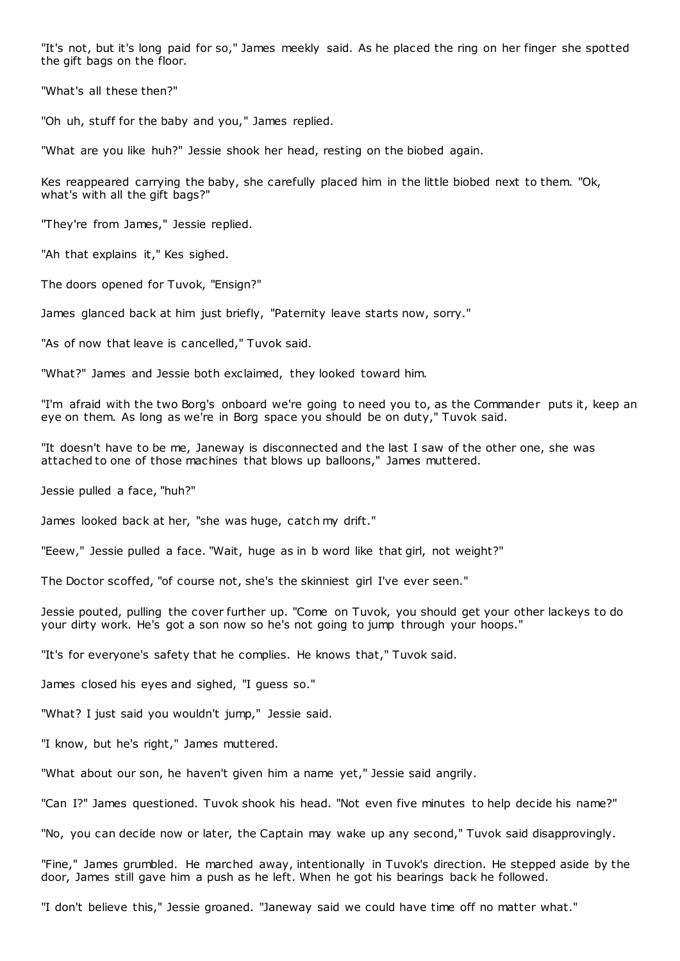"It's not, but it's long paid for so," James meekly said. As he placed the ring on her finger she spotted the gift bags on the floor.

"What's all these then?"

"Oh uh, stuff for the baby and you," James replied.

"What are you like huh?" Jessie shook her head, resting on the biobed again.

Kes reappeared carrying the baby, she carefully placed him in the little biobed next to them. "Ok, what's with all the gift bags?"

"They're from James," Jessie replied.

"Ah that explains it," Kes sighed.

The doors opened for Tuvok, "Ensign?"

James glanced back at him just briefly, "Paternity leave starts now, sorry."

"As of now that leave is cancelled," Tuvok said.

"What?" James and Jessie both exclaimed, they looked toward him.

"I'm afraid with the two Borg's onboard we're going to need you to, as the Commander puts it, keep an eye on them. As long as we're in Borg space you should be on duty," Tuvok said.

"It doesn't have to be me, Janeway is disconnected and the last I saw of the other one, she was attached to one of those machines that blows up balloons," James muttered.

Jessie pulled a face, "huh?"

James looked back at her, "she was huge, catch my drift."

"Eeew," Jessie pulled a face. "Wait, huge as in b word like that girl, not weight?"

The Doctor scoffed, "of course not, she's the skinniest girl I've ever seen."

Jessie pouted, pulling the cover further up. "Come on Tuvok, you should get your other lackeys to do your dirty work. He's got a son now so he's not going to jump through your hoops."

"It's for everyone's safety that he complies. He knows that," Tuvok said.

James closed his eyes and sighed, "I guess so."

"What? I just said you wouldn't jump," Jessie said.

"I know, but he's right," James muttered.

"What about our son, he haven't given him a name yet," Jessie said angrily.

"Can I?" James questioned. Tuvok shook his head. "Not even five minutes to help decide his name?"

"No, you can decide now or later, the Captain may wake up any second," Tuvok said disapprovingly.

"Fine," James grumbled. He marched away, intentionally in Tuvok's direction. He stepped aside by the door, James still gave him a push as he left. When he got his bearings back he followed.

"I don't believe this," Jessie groaned. "Janeway said we could have time off no matter what."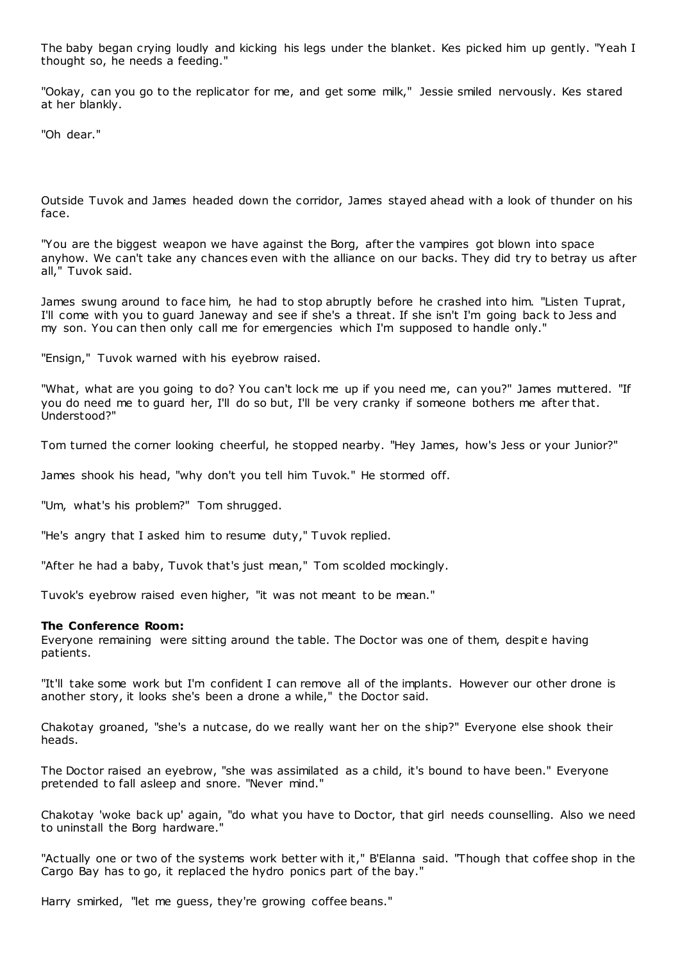The baby began crying loudly and kicking his legs under the blanket. Kes picked him up gently. "Yeah I thought so, he needs a feeding."

"Ookay, can you go to the replicator for me, and get some milk," Jessie smiled nervously. Kes stared at her blankly.

"Oh dear."

Outside Tuvok and James headed down the corridor, James stayed ahead with a look of thunder on his face.

"You are the biggest weapon we have against the Borg, after the vampires got blown into space anyhow. We can't take any chances even with the alliance on our backs. They did try to betray us after all," Tuvok said.

James swung around to face him, he had to stop abruptly before he crashed into him. "Listen Tuprat, I'll come with you to guard Janeway and see if she's a threat. If she isn't I'm going back to Jess and my son. You can then only call me for emergencies which I'm supposed to handle only."

"Ensign," Tuvok warned with his eyebrow raised.

"What, what are you going to do? You can't lock me up if you need me, can you?" James muttered. "If you do need me to guard her, I'll do so but, I'll be very cranky if someone bothers me after that. Understood?"

Tom turned the corner looking cheerful, he stopped nearby. "Hey James, how's Jess or your Junior?"

James shook his head, "why don't you tell him Tuvok." He stormed off.

"Um, what's his problem?" Tom shrugged.

"He's angry that I asked him to resume duty," Tuvok replied.

"After he had a baby, Tuvok that's just mean," Tom scolded mockingly.

Tuvok's eyebrow raised even higher, "it was not meant to be mean."

## **The Conference Room:**

Everyone remaining were sitting around the table. The Doctor was one of them, despit e having patients.

"It'll take some work but I'm confident I can remove all of the implants. However our other drone is another story, it looks she's been a drone a while," the Doctor said.

Chakotay groaned, "she's a nutcase, do we really want her on the ship?" Everyone else shook their heads.

The Doctor raised an eyebrow, "she was assimilated as a child, it's bound to have been." Everyone pretended to fall asleep and snore. "Never mind."

Chakotay 'woke back up' again, "do what you have to Doctor, that girl needs counselling. Also we need to uninstall the Borg hardware."

"Actually one or two of the systems work better with it," B'Elanna said. "Though that coffee shop in the Cargo Bay has to go, it replaced the hydro ponics part of the bay."

Harry smirked, "let me guess, they're growing coffee beans."